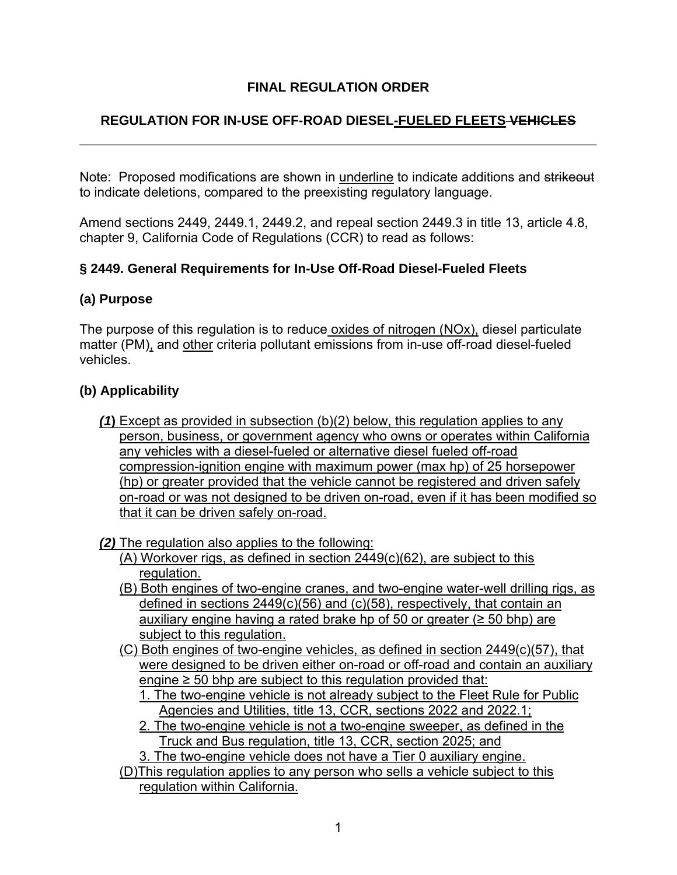# **FINAL REGULATION ORDER**

# **REGULATION FOR IN-USE OFF-ROAD DIESEL-FUELED FLEETS VEHICLES**

Note: Proposed modifications are shown in underline to indicate additions and strikeout to indicate deletions, compared to the preexisting regulatory language.

Amend sections 2449, 2449.1, 2449.2, and repeal section 2449.3 in title 13, article 4.8, chapter 9, California Code of Regulations (CCR) to read as follows:

## **§ 2449. General Requirements for In-Use Off-Road Diesel-Fueled Fleets**

#### **(a) Purpose**

The purpose of this regulation is to reduce oxides of nitrogen (NOx), diesel particulate matter (PM), and other criteria pollutant emissions from in-use off-road diesel-fueled vehicles.

#### **(b) Applicability**

*(1***)** Except as provided in subsection (b)(2) below, this regulation applies to any person, business, or government agency who owns or operates within California any vehicles with a diesel-fueled or alternative diesel fueled off-road compression-ignition engine with maximum power (max hp) of 25 horsepower (hp) or greater provided that the vehicle cannot be registered and driven safely on-road or was not designed to be driven on-road, even if it has been modified so that it can be driven safely on-road.

#### *(2)* The regulation also applies to the following:

- (A) Workover rigs, as defined in section 2449(c)(62), are subject to this regulation.
- (B) Both engines of two-engine cranes, and two-engine water-well drilling rigs, as defined in sections 2449(c)(56) and (c)(58), respectively, that contain an auxiliary engine having a rated brake hp of 50 or greater ( $\geq$  50 bhp) are subject to this regulation.
- (C) Both engines of two-engine vehicles, as defined in section 2449(c)(57), that were designed to be driven either on-road or off-road and contain an auxiliary engine  $\geq$  50 bhp are subject to this regulation provided that:
	- 1. The two-engine vehicle is not already subject to the Fleet Rule for Public Agencies and Utilities, title 13, CCR, sections 2022 and 2022.1;
	- 2. The two-engine vehicle is not a two-engine sweeper, as defined in the Truck and Bus regulation, title 13, CCR, section 2025; and

3. The two-engine vehicle does not have a Tier 0 auxiliary engine.

(D)This regulation applies to any person who sells a vehicle subject to this regulation within California.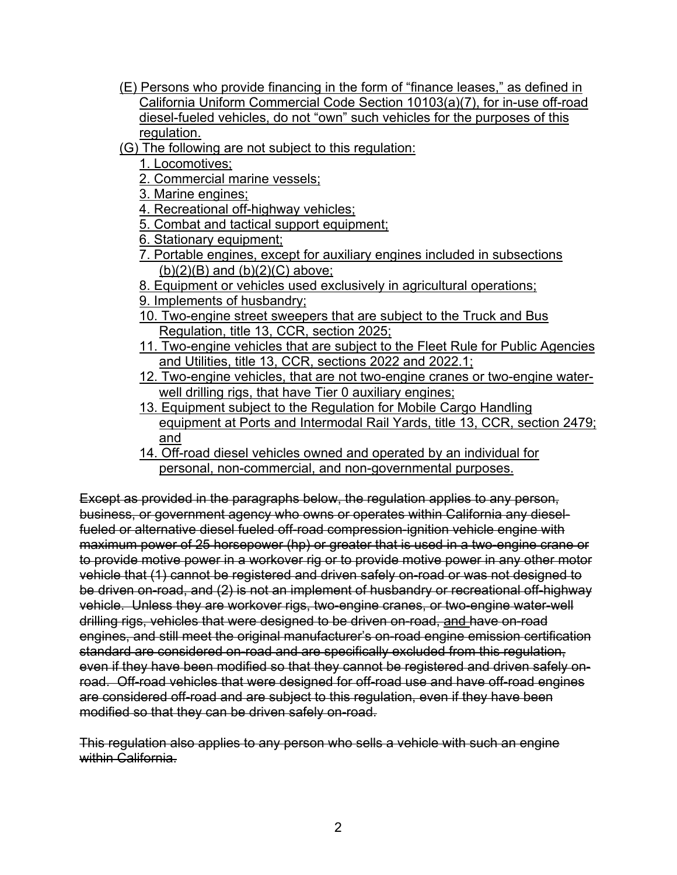- (E) Persons who provide financing in the form of "finance leases," as defined in California Uniform Commercial Code Section 10103(a)(7), for in-use off-road diesel-fueled vehicles, do not "own" such vehicles for the purposes of this regulation.
- (G) The following are not subject to this regulation:
	- 1. Locomotives;
	- 2. Commercial marine vessels;
	- 3. Marine engines;
	- 4. Recreational off-highway vehicles;
	- 5. Combat and tactical support equipment;
	- 6. Stationary equipment;
	- 7. Portable engines, except for auxiliary engines included in subsections  $(b)(2)(B)$  and  $(b)(2)(C)$  above;
	- 8. Equipment or vehicles used exclusively in agricultural operations;
	- 9. Implements of husbandry;
	- 10. Two-engine street sweepers that are subject to the Truck and Bus Regulation, title 13, CCR, section 2025;
	- 11. Two-engine vehicles that are subject to the Fleet Rule for Public Agencies and Utilities, title 13, CCR, sections 2022 and 2022.1;
	- 12. Two-engine vehicles, that are not two-engine cranes or two-engine waterwell drilling rigs, that have Tier 0 auxiliary engines;
	- 13. Equipment subject to the Regulation for Mobile Cargo Handling equipment at Ports and Intermodal Rail Yards, title 13, CCR, section 2479; and
	- 14. Off-road diesel vehicles owned and operated by an individual for personal, non-commercial, and non-governmental purposes.

Except as provided in the paragraphs below, the regulation applies to any person, business, or government agency who owns or operates within California any dieselfueled or alternative diesel fueled off-road compression-ignition vehicle engine with maximum power of 25 horsepower (hp) or greater that is used in a two-engine crane or to provide motive power in a workover rig or to provide motive power in any other motor vehicle that (1) cannot be registered and driven safely on-road or was not designed to be driven on-road, and (2) is not an implement of husbandry or recreational off-highway vehicle. Unless they are workover rigs, two-engine cranes, or two-engine water-well drilling rigs, vehicles that were designed to be driven on-road, and have on-road engines, and still meet the original manufacturer's on-road engine emission certification standard are considered on-road and are specifically excluded from this regulation, even if they have been modified so that they cannot be registered and driven safely onroad. Off-road vehicles that were designed for off-road use and have off-road engines are considered off-road and are subject to this regulation, even if they have been modified so that they can be driven safely on-road.

This regulation also applies to any person who sells a vehicle with such an engine within California.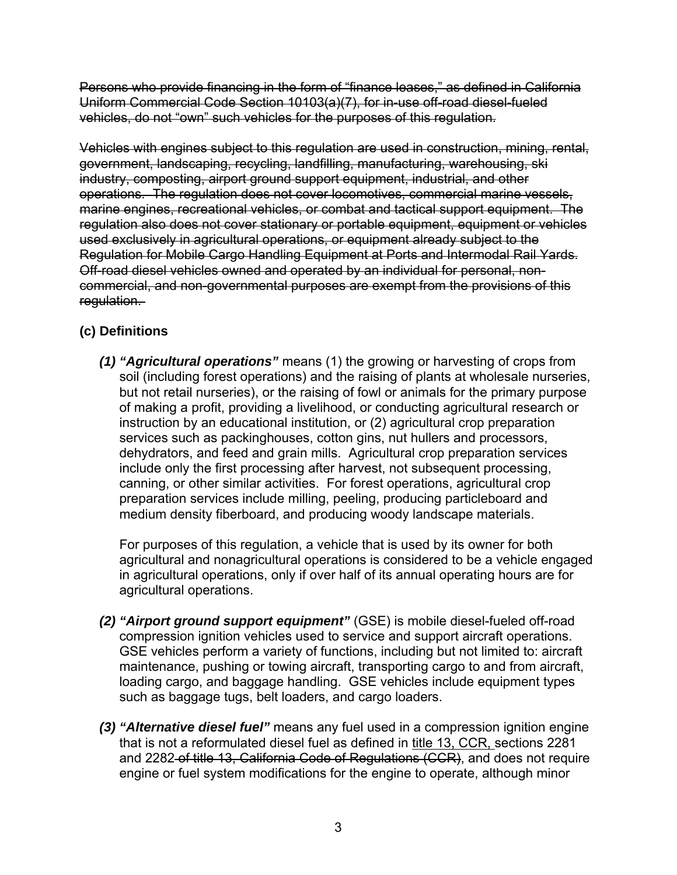Persons who provide financing in the form of "finance leases," as defined in California Uniform Commercial Code Section 10103(a)(7), for in-use off-road diesel-fueled vehicles, do not "own" such vehicles for the purposes of this regulation.

Vehicles with engines subject to this regulation are used in construction, mining, rental, government, landscaping, recycling, landfilling, manufacturing, warehousing, ski industry, composting, airport ground support equipment, industrial, and other operations.The regulation does not cover locomotives, commercial marine vessels, marine engines, recreational vehicles, or combat and tactical support equipment. The regulation also does not cover stationary or portable equipment, equipment or vehicles used exclusively in agricultural operations, or equipment already subject to the Regulation for Mobile Cargo Handling Equipment at Ports and Intermodal Rail Yards. Off-road diesel vehicles owned and operated by an individual for personal, noncommercial, and non-governmental purposes are exempt from the provisions of this regulation.

# **(c) Definitions**

*(1) "Agricultural operations"* means (1) the growing or harvesting of crops from soil (including forest operations) and the raising of plants at wholesale nurseries, but not retail nurseries), or the raising of fowl or animals for the primary purpose of making a profit, providing a livelihood, or conducting agricultural research or instruction by an educational institution, or (2) agricultural crop preparation services such as packinghouses, cotton gins, nut hullers and processors, dehydrators, and feed and grain mills. Agricultural crop preparation services include only the first processing after harvest, not subsequent processing, canning, or other similar activities. For forest operations, agricultural crop preparation services include milling, peeling, producing particleboard and medium density fiberboard, and producing woody landscape materials.

For purposes of this regulation, a vehicle that is used by its owner for both agricultural and nonagricultural operations is considered to be a vehicle engaged in agricultural operations, only if over half of its annual operating hours are for agricultural operations.

- *(2) "Airport ground support equipment"* (GSE) is mobile diesel-fueled off-road compression ignition vehicles used to service and support aircraft operations. GSE vehicles perform a variety of functions, including but not limited to: aircraft maintenance, pushing or towing aircraft, transporting cargo to and from aircraft, loading cargo, and baggage handling. GSE vehicles include equipment types such as baggage tugs, belt loaders, and cargo loaders.
- *(3) "Alternative diesel fuel"* means any fuel used in a compression ignition engine that is not a reformulated diesel fuel as defined in title 13, CCR, sections 2281 and 2282 of title 13, California Code of Regulations (CCR), and does not require engine or fuel system modifications for the engine to operate, although minor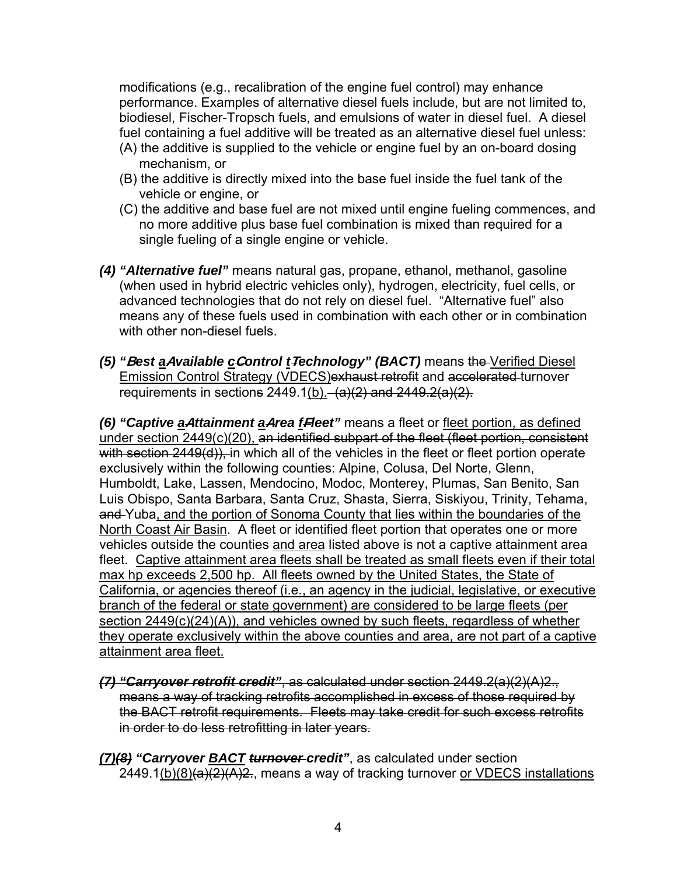modifications (e.g., recalibration of the engine fuel control) may enhance performance. Examples of alternative diesel fuels include, but are not limited to, biodiesel, Fischer-Tropsch fuels, and emulsions of water in diesel fuel. A diesel fuel containing a fuel additive will be treated as an alternative diesel fuel unless:

- (A) the additive is supplied to the vehicle or engine fuel by an on-board dosing mechanism, or
- (B) the additive is directly mixed into the base fuel inside the fuel tank of the vehicle or engine, or
- (C) the additive and base fuel are not mixed until engine fueling commences, and no more additive plus base fuel combination is mixed than required for a single fueling of a single engine or vehicle.
- *(4) "Alternative fuel"* means natural gas, propane, ethanol, methanol, gasoline (when used in hybrid electric vehicles only), hydrogen, electricity, fuel cells, or advanced technologies that do not rely on diesel fuel. "Alternative fuel" also means any of these fuels used in combination with each other or in combination with other non-diesel fuels.
- *(5) "***B***est a***A***vailable c***C***ontrol t***T***echnology" (BACT)* means the Verified Diesel Emission Control Strategy (VDECS)exhaust retrofit and accelerated turnover requirements in sections 2449.1(b).  $(a)(2)$  and 2449.2(a)(2).

*(6) "Captive a***A***ttainment a***A***rea f***F***leet"* means a fleet or fleet portion, as defined under section 2449(c)(20), an identified subpart of the fleet (fleet portion, consistent with section 2449(d)), in which all of the vehicles in the fleet or fleet portion operate exclusively within the following counties: Alpine, Colusa, Del Norte, Glenn, Humboldt, Lake, Lassen, Mendocino, Modoc, Monterey, Plumas, San Benito, San Luis Obispo, Santa Barbara, Santa Cruz, Shasta, Sierra, Siskiyou, Trinity, Tehama, and Yuba, and the portion of Sonoma County that lies within the boundaries of the North Coast Air Basin. A fleet or identified fleet portion that operates one or more vehicles outside the counties and area listed above is not a captive attainment area fleet. Captive attainment area fleets shall be treated as small fleets even if their total max hp exceeds 2,500 hp. All fleets owned by the United States, the State of California, or agencies thereof (i.e., an agency in the judicial, legislative, or executive branch of the federal or state government) are considered to be large fleets (per section 2449(c)(24)(A)), and vehicles owned by such fleets, regardless of whether they operate exclusively within the above counties and area, are not part of a captive attainment area fleet.

- *(7) "Carryover retrofit credit"*, as calculated under section 2449.2(a)(2)(A)2., means a way of tracking retrofits accomplished in excess of those required by the BACT retrofit requirements. Fleets may take credit for such excess retrofits in order to do less retrofitting in later years.
- *(7)(8) "Carryover BACT turnover credit"*, as calculated under section  $2449.1(b)(8)(a)(2)(A)2.$ , means a way of tracking turnover or VDECS installations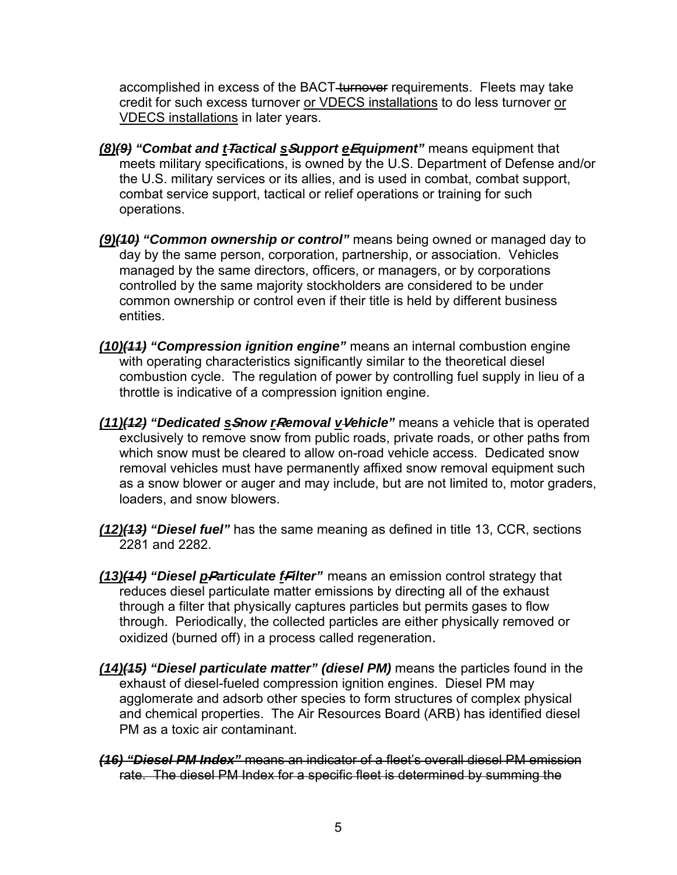accomplished in excess of the BACT-turnover requirements. Fleets may take credit for such excess turnover or VDECS installations to do less turnover or VDECS installations in later years.

- *(8)(9) "Combat and t***T***actical s***S***upport e***E***quipment"* means equipment that meets military specifications, is owned by the U.S. Department of Defense and/or the U.S. military services or its allies, and is used in combat, combat support, combat service support, tactical or relief operations or training for such operations.
- *(9)(10) "Common ownership or control"* means being owned or managed day to day by the same person, corporation, partnership, or association. Vehicles managed by the same directors, officers, or managers, or by corporations controlled by the same majority stockholders are considered to be under common ownership or control even if their title is held by different business entities.
- *(10)(11) "Compression ignition engine"* means an internal combustion engine with operating characteristics significantly similar to the theoretical diesel combustion cycle. The regulation of power by controlling fuel supply in lieu of a throttle is indicative of a compression ignition engine.
- *(11)(12) "Dedicated s***S***now r***R***emoval v***V***ehicle"* means a vehicle that is operated exclusively to remove snow from public roads, private roads, or other paths from which snow must be cleared to allow on-road vehicle access. Dedicated snow removal vehicles must have permanently affixed snow removal equipment such as a snow blower or auger and may include, but are not limited to, motor graders, loaders, and snow blowers.
- *(12)(13) "Diesel fuel"* has the same meaning as defined in title 13, CCR, sections 2281 and 2282.
- *(13)(14) "Diesel p***P***articulate f***F***ilter"* means an emission control strategy that reduces diesel particulate matter emissions by directing all of the exhaust through a filter that physically captures particles but permits gases to flow through. Periodically, the collected particles are either physically removed or oxidized (burned off) in a process called regeneration.
- *(14)(15) "Diesel particulate matter" (diesel PM)* means the particles found in the exhaust of diesel-fueled compression ignition engines. Diesel PM may agglomerate and adsorb other species to form structures of complex physical and chemical properties. The Air Resources Board (ARB) has identified diesel PM as a toxic air contaminant.
- *(16) "Diesel PM Index"* means an indicator of a fleet's overall diesel PM emission rate. The diesel PM Index for a specific fleet is determined by summing the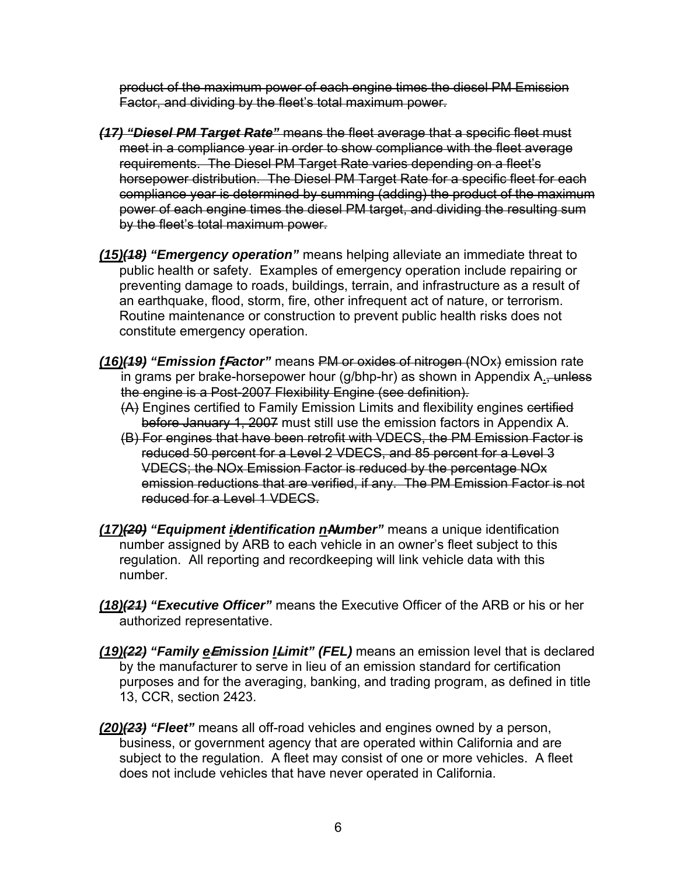product of the maximum power of each engine times the diesel PM Emission Factor, and dividing by the fleet's total maximum power.

- *(17) "Diesel PM Target Rate"* means the fleet average that a specific fleet must meet in a compliance year in order to show compliance with the fleet average requirements. The Diesel PM Target Rate varies depending on a fleet's horsepower distribution. The Diesel PM Target Rate for a specific fleet for each compliance year is determined by summing (adding) the product of the maximum power of each engine times the diesel PM target, and dividing the resulting sum by the fleet's total maximum power.
- *(15)(18) "Emergency operation"* means helping alleviate an immediate threat to public health or safety. Examples of emergency operation include repairing or preventing damage to roads, buildings, terrain, and infrastructure as a result of an earthquake, flood, storm, fire, other infrequent act of nature, or terrorism. Routine maintenance or construction to prevent public health risks does not constitute emergency operation.
- *(16)(19) "Emission f***F***actor"* means PM or oxides of nitrogen (NOx) emission rate  $\overline{a}$  in grams per brake-horsepower hour (g/bhp-hr) as shown in Appendix A., unless the engine is a Post-2007 Flexibility Engine (see definition).
	- (A) Engines certified to Family Emission Limits and flexibility engines certified before January 1, 2007 must still use the emission factors in Appendix A.
	- (B) For engines that have been retrofit with VDECS, the PM Emission Factor is reduced 50 percent for a Level 2 VDECS, and 85 percent for a Level 3 VDECS; the NOx Emission Factor is reduced by the percentage NOx emission reductions that are verified, if any. The PM Emission Factor is not reduced for a Level 1 VDECS.
- *(17)(20) "Equipment i***I***dentification n***N***umber"* means a unique identification number assigned by ARB to each vehicle in an owner's fleet subject to this regulation. All reporting and recordkeeping will link vehicle data with this number.
- *(18)(21) "Executive Officer"* means the Executive Officer of the ARB or his or her authorized representative.
- *(19)(22) "Family e***E***mission l***L***imit" (FEL)* means an emission level that is declared by the manufacturer to serve in lieu of an emission standard for certification purposes and for the averaging, banking, and trading program, as defined in title 13, CCR, section 2423.
- *(20)(23) "Fleet"* means all off-road vehicles and engines owned by a person, business, or government agency that are operated within California and are subject to the regulation. A fleet may consist of one or more vehicles. A fleet does not include vehicles that have never operated in California.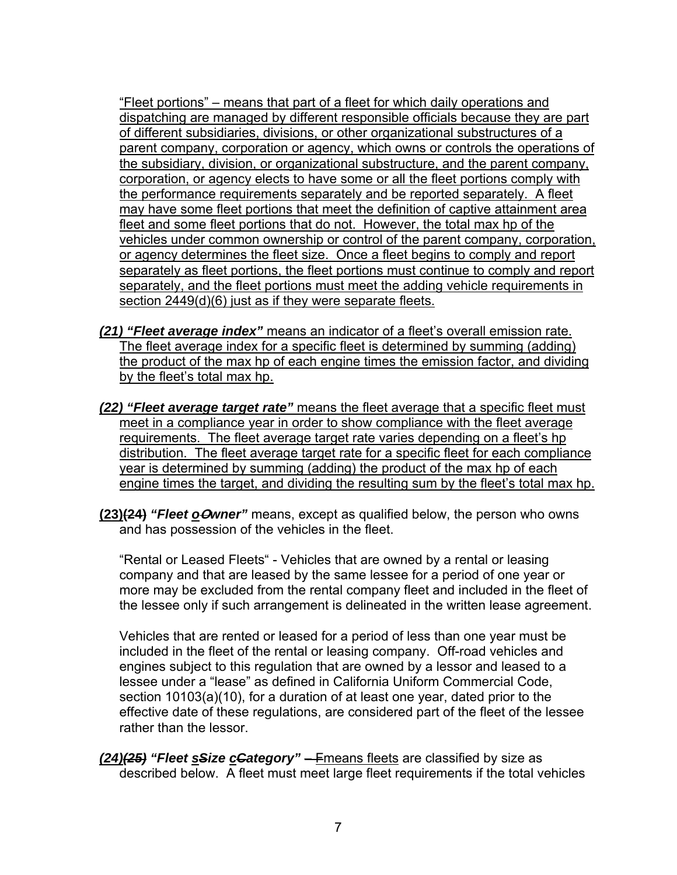"Fleet portions" – means that part of a fleet for which daily operations and dispatching are managed by different responsible officials because they are part of different subsidiaries, divisions, or other organizational substructures of a parent company, corporation or agency, which owns or controls the operations of the subsidiary, division, or organizational substructure, and the parent company, corporation, or agency elects to have some or all the fleet portions comply with the performance requirements separately and be reported separately. A fleet may have some fleet portions that meet the definition of captive attainment area fleet and some fleet portions that do not. However, the total max hp of the vehicles under common ownership or control of the parent company, corporation, or agency determines the fleet size. Once a fleet begins to comply and report separately as fleet portions, the fleet portions must continue to comply and report separately, and the fleet portions must meet the adding vehicle requirements in section 2449(d)(6) just as if they were separate fleets.

- *(21) "Fleet average index"* means an indicator of a fleet's overall emission rate. The fleet average index for a specific fleet is determined by summing (adding) the product of the max hp of each engine times the emission factor, and dividing by the fleet's total max hp.
- *(22) "Fleet average target rate"* means the fleet average that a specific fleet must meet in a compliance year in order to show compliance with the fleet average requirements. The fleet average target rate varies depending on a fleet's hp distribution. The fleet average target rate for a specific fleet for each compliance year is determined by summing (adding) the product of the max hp of each engine times the target, and dividing the resulting sum by the fleet's total max hp.
- **(23)(24)** *"Fleet o***O***wner"* means, except as qualified below, the person who owns and has possession of the vehicles in the fleet.

"Rental or Leased Fleets" - Vehicles that are owned by a rental or leasing company and that are leased by the same lessee for a period of one year or more may be excluded from the rental company fleet and included in the fleet of the lessee only if such arrangement is delineated in the written lease agreement.

Vehicles that are rented or leased for a period of less than one year must be included in the fleet of the rental or leasing company. Off-road vehicles and engines subject to this regulation that are owned by a lessor and leased to a lessee under a "lease" as defined in California Uniform Commercial Code, section 10103(a)(10), for a duration of at least one year, dated prior to the effective date of these regulations, are considered part of the fleet of the lessee rather than the lessor.

*(24)(25) "Fleet sSize cCategory"* – Fmeans fleets are classified by size as described below. A fleet must meet large fleet requirements if the total vehicles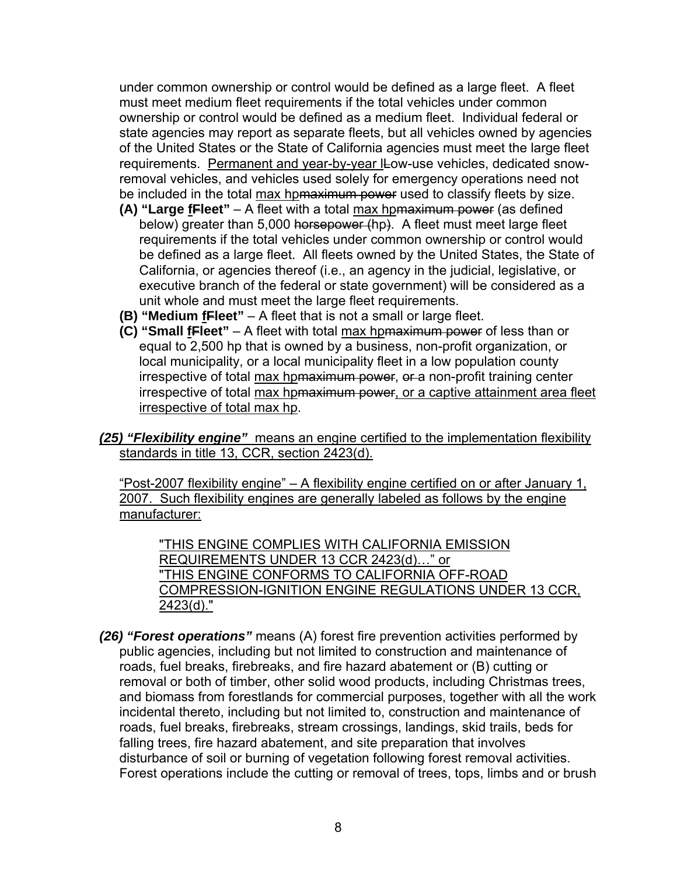under common ownership or control would be defined as a large fleet. A fleet must meet medium fleet requirements if the total vehicles under common ownership or control would be defined as a medium fleet. Individual federal or state agencies may report as separate fleets, but all vehicles owned by agencies of the United States or the State of California agencies must meet the large fleet requirements. Permanent and year-by-year ILow-use vehicles, dedicated snowremoval vehicles, and vehicles used solely for emergency operations need not be included in the total max hpmaximum power used to classify fleets by size.

- **(A) "Large fFleet"** A fleet with a total max hpmaximum power (as defined below) greater than 5,000 horsepower (hp). A fleet must meet large fleet requirements if the total vehicles under common ownership or control would be defined as a large fleet. All fleets owned by the United States, the State of California, or agencies thereof (i.e., an agency in the judicial, legislative, or executive branch of the federal or state government) will be considered as a unit whole and must meet the large fleet requirements.
- **(B) "Medium fFleet"** A fleet that is not a small or large fleet.
- **(C) "Small fFleet"** A fleet with total max hpmaximum power of less than or equal to 2,500 hp that is owned by a business, non-profit organization, or local municipality, or a local municipality fleet in a low population county irrespective of total max hpmaximum power, or a non-profit training center irrespective of total max hp<del>maximum power</del>, or a captive attainment area fleet irrespective of total max hp.
- *(25) "Flexibility engine"* means an engine certified to the implementation flexibility standards in title 13, CCR, section 2423(d).

"Post-2007 flexibility engine" – A flexibility engine certified on or after January 1, 2007. Such flexibility engines are generally labeled as follows by the engine manufacturer:

"THIS ENGINE COMPLIES WITH CALIFORNIA EMISSION REQUIREMENTS UNDER 13 CCR 2423(d)…" or "THIS ENGINE CONFORMS TO CALIFORNIA OFF-ROAD COMPRESSION-IGNITION ENGINE REGULATIONS UNDER 13 CCR, 2423(d)."

*(26) "Forest operations"* means (A) forest fire prevention activities performed by public agencies, including but not limited to construction and maintenance of roads, fuel breaks, firebreaks, and fire hazard abatement or (B) cutting or removal or both of timber, other solid wood products, including Christmas trees, and biomass from forestlands for commercial purposes, together with all the work incidental thereto, including but not limited to, construction and maintenance of roads, fuel breaks, firebreaks, stream crossings, landings, skid trails, beds for falling trees, fire hazard abatement, and site preparation that involves disturbance of soil or burning of vegetation following forest removal activities. Forest operations include the cutting or removal of trees, tops, limbs and or brush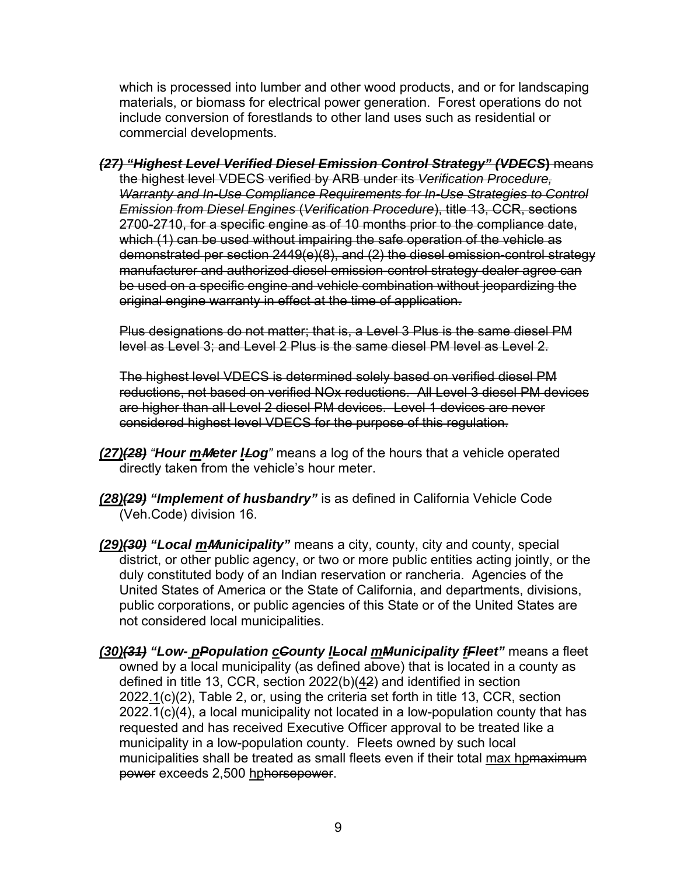which is processed into lumber and other wood products, and or for landscaping materials, or biomass for electrical power generation. Forest operations do not include conversion of forestlands to other land uses such as residential or commercial developments.

*(27) "Highest Level Verified Diesel Emission Control Strategy" (VDECS***)** means the highest level VDECS verified by ARB under its *Verification Procedure, Warranty and In-Use Compliance Requirements for In-Use Strategies to Control Emission from Diesel Engines* (*Verification Procedure*), title 13, CCR, sections 2700-2710, for a specific engine as of 10 months prior to the compliance date, which (1) can be used without impairing the safe operation of the vehicle as demonstrated per section 2449(e)(8), and (2) the diesel emission-control strategy manufacturer and authorized diesel emission-control strategy dealer agree can be used on a specific engine and vehicle combination without jeopardizing the original engine warranty in effect at the time of application.

Plus designations do not matter; that is, a Level 3 Plus is the same diesel PM level as Level 3; and Level 2 Plus is the same diesel PM level as Level 2.

The highest level VDECS is determined solely based on verified diesel PM reductions, not based on verified NOx reductions. All Level 3 diesel PM devices are higher than all Level 2 diesel PM devices. Level 1 devices are never considered highest level VDECS for the purpose of this regulation.

- *(27)(28) "Hour m***M***eter l***L***og"* means a log of the hours that a vehicle operated directly taken from the vehicle's hour meter.
- *(28)(29) "Implement of husbandry"* is as defined in California Vehicle Code (Veh.Code) division 16.
- *(29)(30) "Local m***M***unicipality"* means a city, county, city and county, special district, or other public agency, or two or more public entities acting jointly, or the duly constituted body of an Indian reservation or rancheria. Agencies of the United States of America or the State of California, and departments, divisions, public corporations, or public agencies of this State or of the United States are not considered local municipalities.
- *(30)(31) "Low- pPopulation cCounty lLocal mMunicipality fFleet"* means a fleet owned by a local municipality (as defined above) that is located in a county as defined in title 13, CCR, section 2022(b)(42) and identified in section  $2022.1(c)(2)$ , Table 2, or, using the criteria set forth in title 13, CCR, section 2022.1(c)(4), a local municipality not located in a low-population county that has requested and has received Executive Officer approval to be treated like a municipality in a low-population county. Fleets owned by such local municipalities shall be treated as small fleets even if their total max hpmaximum power exceeds 2,500 hphorsepower.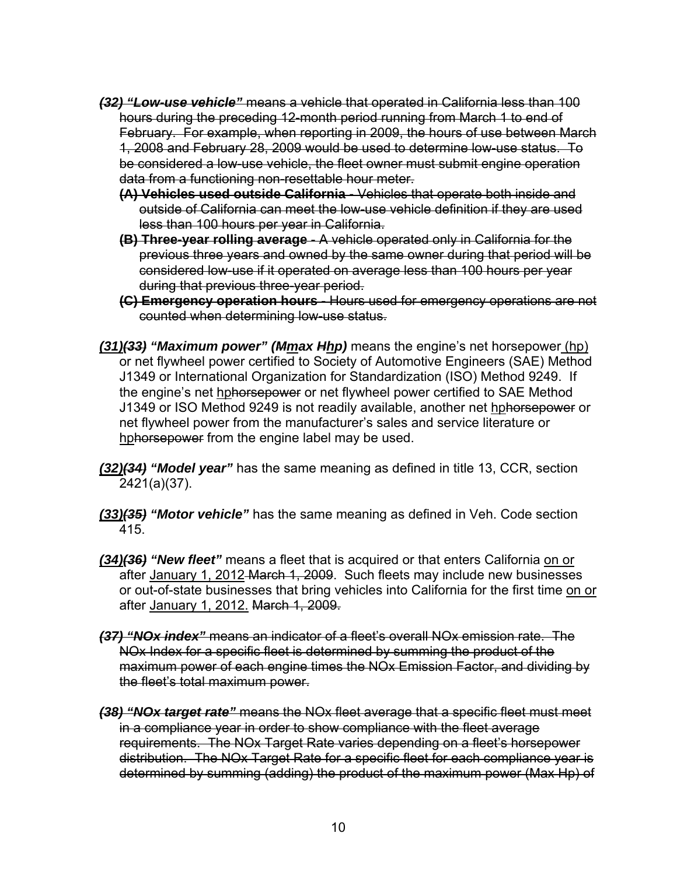- *(32) "Low-use vehicle"* means a vehicle that operated in California less than 100 hours during the preceding 12-month period running from March 1 to end of February. For example, when reporting in 2009, the hours of use between March 1, 2008 and February 28, 2009 would be used to determine low-use status. To be considered a low-use vehicle, the fleet owner must submit engine operation data from a functioning non-resettable hour meter.
	- **(A) Vehicles used outside California** Vehicles that operate both inside and outside of California can meet the low-use vehicle definition if they are used less than 100 hours per year in California.
	- **(B) Three-year rolling average** A vehicle operated only in California for the previous three years and owned by the same owner during that period will be considered low-use if it operated on average less than 100 hours per year during that previous three-year period.
	- **(C) Emergency operation hours** Hours used for emergency operations are not counted when determining low-use status.
- *(31)(33) "Maximum power" (Mmax Hhp)* means the engine's net horsepower (hp) or net flywheel power certified to Society of Automotive Engineers (SAE) Method J1349 or International Organization for Standardization (ISO) Method 9249. If the engine's net hphorsepower or net flywheel power certified to SAE Method J1349 or ISO Method 9249 is not readily available, another net hphorsepower or net flywheel power from the manufacturer's sales and service literature or hphorsepower from the engine label may be used.
- *(32)(34) "Model year"* has the same meaning as defined in title 13, CCR, section 2421(a)(37).
- *(33)(35) "Motor vehicle"* has the same meaning as defined in Veh. Code section 415.
- *(34)(36) "New fleet"* means a fleet that is acquired or that enters California on or after January 1, 2012 March 1, 2009. Such fleets may include new businesses or out-of-state businesses that bring vehicles into California for the first time on or after January 1, 2012. March 1, 2009.
- *(37) "NOx index"* means an indicator of a fleet's overall NOx emission rate. The NOx Index for a specific fleet is determined by summing the product of the maximum power of each engine times the NOx Emission Factor, and dividing by the fleet's total maximum power.
- *(38) "NOx target rate"* means the NOx fleet average that a specific fleet must meet in a compliance year in order to show compliance with the fleet average requirements. The NOx Target Rate varies depending on a fleet's horsepower distribution. The NOx Target Rate for a specific fleet for each compliance year is determined by summing (adding) the product of the maximum power (Max Hp) of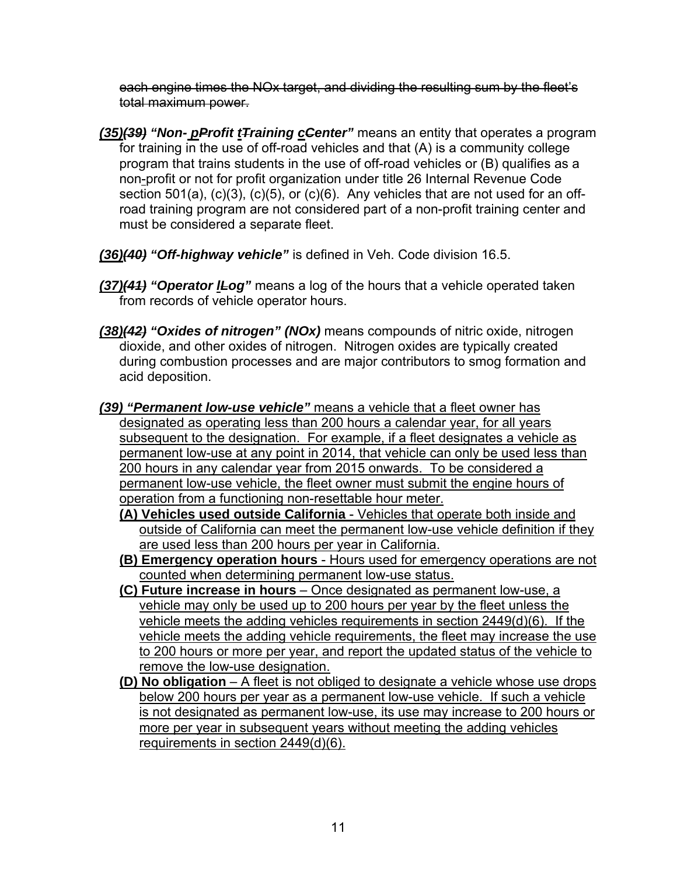each engine times the NOx target, and dividing the resulting sum by the fleet's total maximum power.

- *(35)(39) "Non- pProfit tTraining cCenter"* means an entity that operates a program for training in the use of off-road vehicles and that (A) is a community college program that trains students in the use of off-road vehicles or (B) qualifies as a non-profit or not for profit organization under title 26 Internal Revenue Code section 501(a), (c)(3), (c)(5), or (c)(6). Any vehicles that are not used for an offroad training program are not considered part of a non-profit training center and must be considered a separate fleet.
- *(36)(40) "Off-highway vehicle"* is defined in Veh. Code division 16.5.
- *(37)(41) "Operator lLog"* means a log of the hours that a vehicle operated taken from records of vehicle operator hours.
- *(38)(42) "Oxides of nitrogen" (NOx)* means compounds of nitric oxide, nitrogen dioxide, and other oxides of nitrogen. Nitrogen oxides are typically created during combustion processes and are major contributors to smog formation and acid deposition.
- *(39) "Permanent low-use vehicle"* means a vehicle that a fleet owner has designated as operating less than 200 hours a calendar year, for all years subsequent to the designation. For example, if a fleet designates a vehicle as permanent low-use at any point in 2014, that vehicle can only be used less than 200 hours in any calendar year from 2015 onwards. To be considered a permanent low-use vehicle, the fleet owner must submit the engine hours of operation from a functioning non-resettable hour meter.
	- **(A) Vehicles used outside California**  Vehicles that operate both inside and outside of California can meet the permanent low-use vehicle definition if they are used less than 200 hours per year in California.
	- **(B) Emergency operation hours** Hours used for emergency operations are not counted when determining permanent low-use status.
	- **(C) Future increase in hours** Once designated as permanent low-use, a vehicle may only be used up to 200 hours per year by the fleet unless the vehicle meets the adding vehicles requirements in section 2449(d)(6). If the vehicle meets the adding vehicle requirements, the fleet may increase the use to 200 hours or more per year, and report the updated status of the vehicle to remove the low-use designation.
	- **(D) No obligation** A fleet is not obliged to designate a vehicle whose use drops below 200 hours per year as a permanent low-use vehicle. If such a vehicle is not designated as permanent low-use, its use may increase to 200 hours or more per year in subsequent years without meeting the adding vehicles requirements in section 2449(d)(6).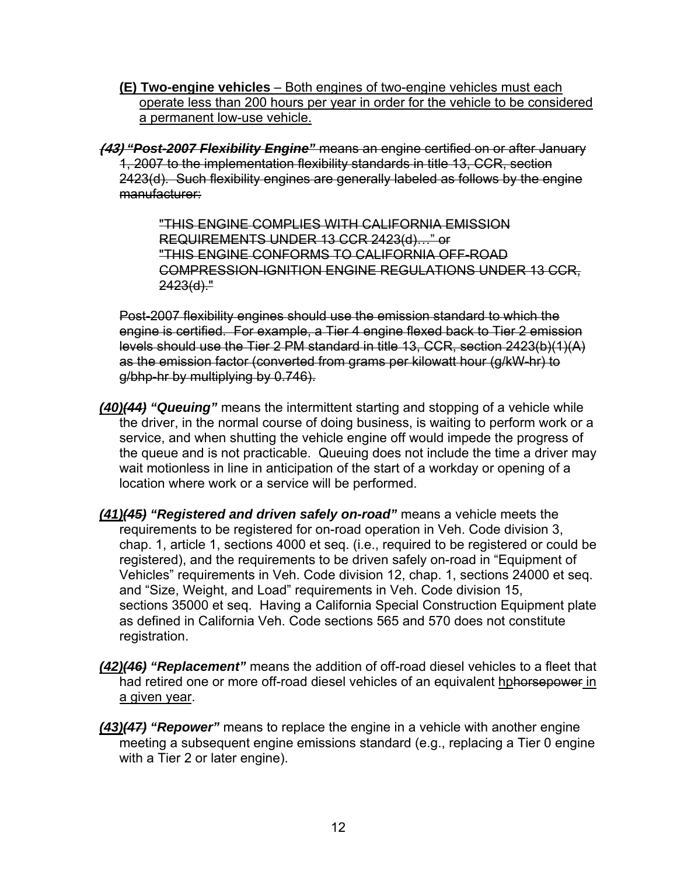**(E) Two-engine vehicles** – Both engines of two-engine vehicles must each operate less than 200 hours per year in order for the vehicle to be considered a permanent low-use vehicle.

**(43)** *"Post-2007 Flexibility Engine"* means an engine certified on or after January 1, 2007 to the implementation flexibility standards in title 13, CCR, section 2423(d). Such flexibility engines are generally labeled as follows by the engine manufacturer:

> "THIS ENGINE COMPLIES WITH CALIFORNIA EMISSION REQUIREMENTS UNDER 13 CCR 2423(d)…" or "THIS ENGINE CONFORMS TO CALIFORNIA OFF-ROAD COMPRESSION-IGNITION ENGINE REGULATIONS UNDER 13 CCR,  $2423(d)$ ."

Post-2007 flexibility engines should use the emission standard to which the engine is certified. For example, a Tier 4 engine flexed back to Tier 2 emission levels should use the Tier 2 PM standard in title 13, CCR, section 2423(b)(1)(A) as the emission factor (converted from grams per kilowatt hour (g/kW-hr) to g/bhp-hr by multiplying by 0.746).

- *(40)(44) "Queuing"* means the intermittent starting and stopping of a vehicle while the driver, in the normal course of doing business, is waiting to perform work or a service, and when shutting the vehicle engine off would impede the progress of the queue and is not practicable. Queuing does not include the time a driver may wait motionless in line in anticipation of the start of a workday or opening of a location where work or a service will be performed.
- *(41)(45) "Registered and driven safely on-road"* means a vehicle meets the requirements to be registered for on-road operation in Veh. Code division 3, chap. 1, article 1, sections 4000 et seq. (i.e., required to be registered or could be registered), and the requirements to be driven safely on-road in "Equipment of Vehicles" requirements in Veh. Code division 12, chap. 1, sections 24000 et seq. and "Size, Weight, and Load" requirements in Veh. Code division 15, sections 35000 et seq. Having a California Special Construction Equipment plate as defined in California Veh. Code sections 565 and 570 does not constitute registration.
- *(42)(46) "Replacement"* means the addition of off-road diesel vehicles to a fleet that had retired one or more off-road diesel vehicles of an equivalent hphorsepower in a given year.
- *(43)(47) "Repower"* means to replace the engine in a vehicle with another engine meeting a subsequent engine emissions standard (e.g., replacing a Tier 0 engine with a Tier 2 or later engine).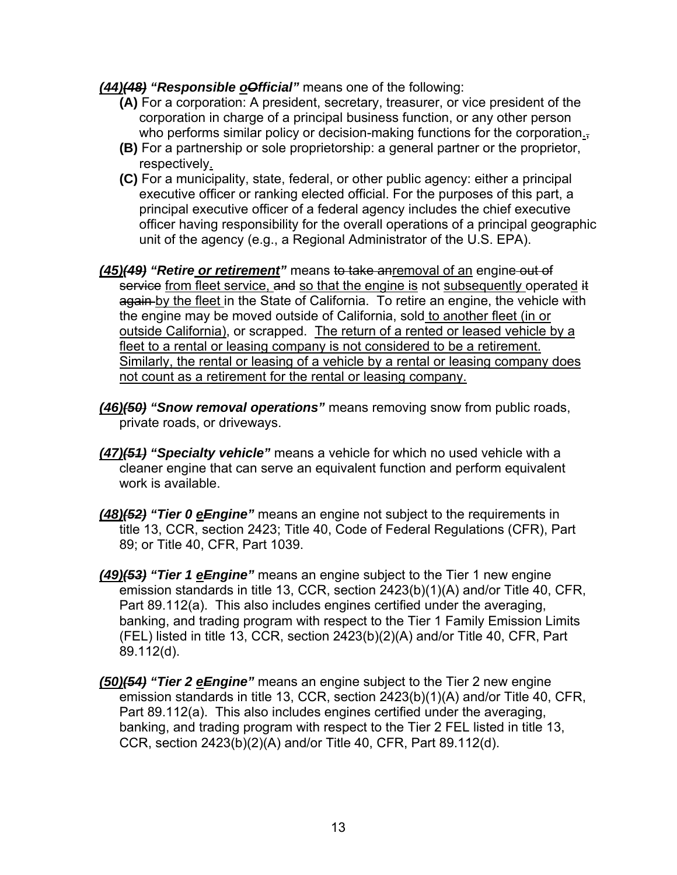#### *(44)(48) "Responsible oOfficial"* means one of the following:

- **(A)** For a corporation: A president, secretary, treasurer, or vice president of the corporation in charge of a principal business function, or any other person who performs similar policy or decision-making functions for the corporation.
- **(B)** For a partnership or sole proprietorship: a general partner or the proprietor, respectively.
- **(C)** For a municipality, state, federal, or other public agency: either a principal executive officer or ranking elected official. For the purposes of this part, a principal executive officer of a federal agency includes the chief executive officer having responsibility for the overall operations of a principal geographic unit of the agency (e.g., a Regional Administrator of the U.S. EPA).
- *(45)(49) "Retire or retirement"* means to take anremoval of an engine out of service from fleet service, and so that the engine is not subsequently operated it again by the fleet in the State of California. To retire an engine, the vehicle with the engine may be moved outside of California, sold to another fleet (in or outside California), or scrapped. The return of a rented or leased vehicle by a fleet to a rental or leasing company is not considered to be a retirement. Similarly, the rental or leasing of a vehicle by a rental or leasing company does not count as a retirement for the rental or leasing company.
- *(46)(50) "Snow removal operations"* means removing snow from public roads, private roads, or driveways.
- *(47)(51) "Specialty vehicle"* means a vehicle for which no used vehicle with a cleaner engine that can serve an equivalent function and perform equivalent work is available.
- *(48)(52) "Tier 0 eEngine"* means an engine not subject to the requirements in title 13, CCR, section 2423; Title 40, Code of Federal Regulations (CFR), Part 89; or Title 40, CFR, Part 1039.
- *(49)(53) "Tier 1 eEngine"* means an engine subject to the Tier 1 new engine emission standards in title 13, CCR, section 2423(b)(1)(A) and/or Title 40, CFR, Part 89.112(a). This also includes engines certified under the averaging, banking, and trading program with respect to the Tier 1 Family Emission Limits (FEL) listed in title 13, CCR, section 2423(b)(2)(A) and/or Title 40, CFR, Part 89.112(d).
- *(50)(54) "Tier 2 eEngine"* means an engine subject to the Tier 2 new engine emission standards in title 13, CCR, section 2423(b)(1)(A) and/or Title 40, CFR, Part 89.112(a). This also includes engines certified under the averaging, banking, and trading program with respect to the Tier 2 FEL listed in title 13, CCR, section 2423(b)(2)(A) and/or Title 40, CFR, Part 89.112(d).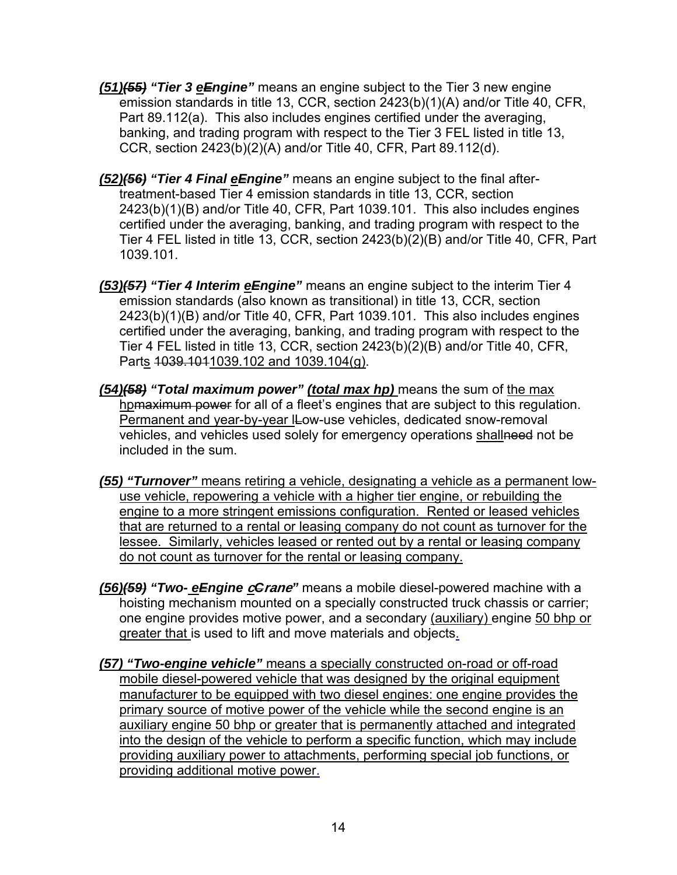- *(51)(55) "Tier 3 eEngine"* means an engine subject to the Tier 3 new engine emission standards in title 13, CCR, section 2423(b)(1)(A) and/or Title 40, CFR, Part 89.112(a). This also includes engines certified under the averaging, banking, and trading program with respect to the Tier 3 FEL listed in title 13, CCR, section 2423(b)(2)(A) and/or Title 40, CFR, Part 89.112(d).
- *(52)(56) "Tier 4 Final eEngine"* means an engine subject to the final aftertreatment-based Tier 4 emission standards in title 13, CCR, section 2423(b)(1)(B) and/or Title 40, CFR, Part 1039.101. This also includes engines certified under the averaging, banking, and trading program with respect to the Tier 4 FEL listed in title 13, CCR, section 2423(b)(2)(B) and/or Title 40, CFR, Part 1039.101.
- *(53)(57) "Tier 4 Interim eEngine"* means an engine subject to the interim Tier 4 emission standards (also known as transitional) in title 13, CCR, section 2423(b)(1)(B) and/or Title 40, CFR, Part 1039.101. This also includes engines certified under the averaging, banking, and trading program with respect to the Tier 4 FEL listed in title 13, CCR, section 2423(b)(2)(B) and/or Title 40, CFR, Parts 1039.1011039.102 and 1039.104(g).
- *(54)(58) "Total maximum power" (total max hp)* means the sum of the max hpmaximum power for all of a fleet's engines that are subject to this regulation. Permanent and year-by-year ILow-use vehicles, dedicated snow-removal vehicles, and vehicles used solely for emergency operations shallneed not be included in the sum.
- *(55) "Turnover"* means retiring a vehicle, designating a vehicle as a permanent lowuse vehicle, repowering a vehicle with a higher tier engine, or rebuilding the engine to a more stringent emissions configuration. Rented or leased vehicles that are returned to a rental or leasing company do not count as turnover for the lessee. Similarly, vehicles leased or rented out by a rental or leasing company do not count as turnover for the rental or leasing company.
- *(56)(59) "Two- eEngine* **c***C***rane***"* means a mobile diesel-powered machine with a hoisting mechanism mounted on a specially constructed truck chassis or carrier; one engine provides motive power, and a secondary (auxiliary) engine 50 bhp or greater that is used to lift and move materials and objects.
- *(57) "Two-engine vehicle"* means a specially constructed on-road or off-road mobile diesel-powered vehicle that was designed by the original equipment manufacturer to be equipped with two diesel engines: one engine provides the primary source of motive power of the vehicle while the second engine is an auxiliary engine 50 bhp or greater that is permanently attached and integrated into the design of the vehicle to perform a specific function, which may include providing auxiliary power to attachments, performing special job functions, or providing additional motive power.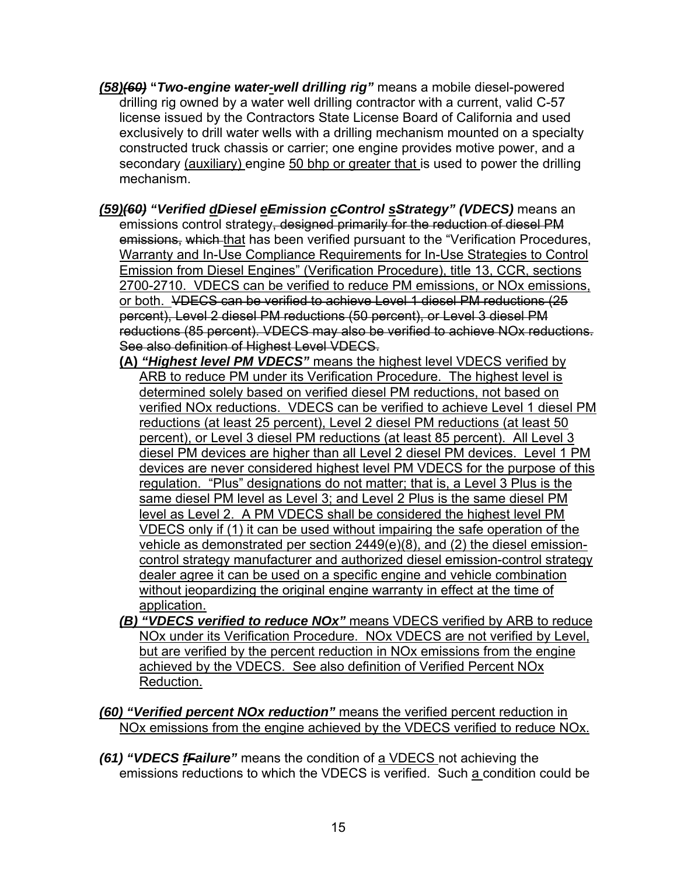- *(58)(60)* **"***Two-engine water-well drilling rig"* means a mobile diesel-powered drilling rig owned by a water well drilling contractor with a current, valid C-57 license issued by the Contractors State License Board of California and used exclusively to drill water wells with a drilling mechanism mounted on a specialty constructed truck chassis or carrier; one engine provides motive power, and a secondary (auxiliary) engine 50 bhp or greater that is used to power the drilling mechanism.
- *(59)(60) "Verified dDiesel eEmission cControl sStrategy" (VDECS)* means an emissions control strategy, designed primarily for the reduction of diesel PM emissions, which that has been verified pursuant to the "Verification Procedures, Warranty and In-Use Compliance Requirements for In-Use Strategies to Control Emission from Diesel Engines" (Verification Procedure), title 13, CCR, sections 2700-2710.VDECS can be verified to reduce PM emissions, or NOx emissions, or both. VDECS can be verified to achieve Level 1 diesel PM reductions (25 percent), Level 2 diesel PM reductions (50 percent), or Level 3 diesel PM reductions (85 percent). VDECS may also be verified to achieve NOx reductions. See also definition of Highest Level VDECS.
	- **(A)** *"Highest level PM VDECS"* means the highest level VDECS verified by ARB to reduce PM under its Verification Procedure. The highest level is determined solely based on verified diesel PM reductions, not based on verified NOx reductions. VDECS can be verified to achieve Level 1 diesel PM reductions (at least 25 percent), Level 2 diesel PM reductions (at least 50 percent), or Level 3 diesel PM reductions (at least 85 percent). All Level 3 diesel PM devices are higher than all Level 2 diesel PM devices. Level 1 PM devices are never considered highest level PM VDECS for the purpose of this regulation. "Plus" designations do not matter; that is, a Level 3 Plus is the same diesel PM level as Level 3; and Level 2 Plus is the same diesel PM level as Level 2. A PM VDECS shall be considered the highest level PM VDECS only if (1) it can be used without impairing the safe operation of the vehicle as demonstrated per section 2449(e)(8), and (2) the diesel emissioncontrol strategy manufacturer and authorized diesel emission-control strategy dealer agree it can be used on a specific engine and vehicle combination without jeopardizing the original engine warranty in effect at the time of application.
	- *(B) "VDECS verified to reduce NOx"* means VDECS verified by ARB to reduce NOx under its Verification Procedure. NOx VDECS are not verified by Level, but are verified by the percent reduction in NOx emissions from the engine achieved by the VDECS. See also definition of Verified Percent NOx Reduction.
- *(60) "Verified percent NOx reduction"* means the verified percent reduction in NOx emissions from the engine achieved by the VDECS verified to reduce NOx.
- *(61) "VDECS fFailure"* means the condition of a VDECS not achieving the emissions reductions to which the VDECS is verified. Such a condition could be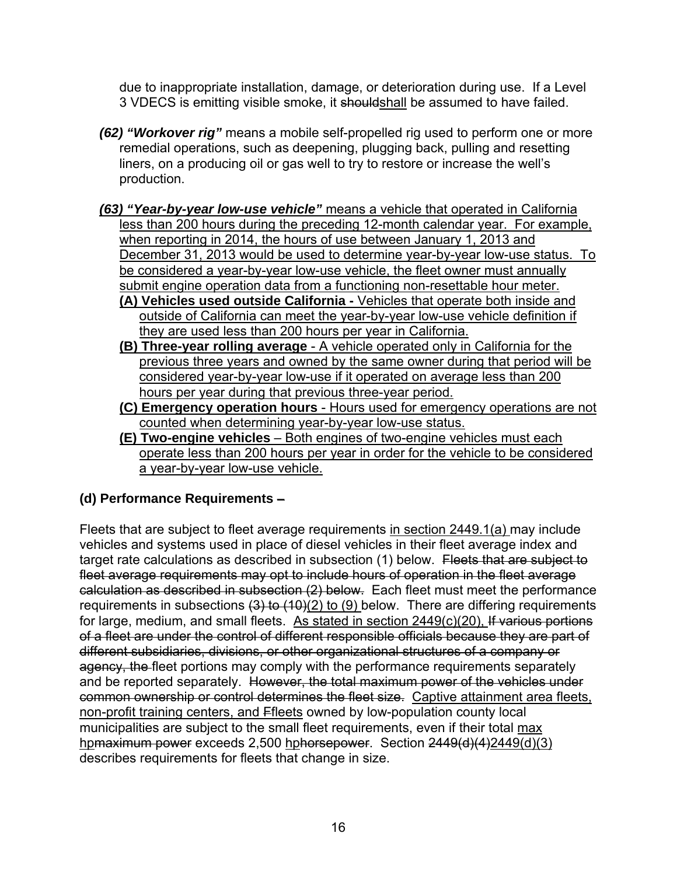due to inappropriate installation, damage, or deterioration during use. If a Level 3 VDECS is emitting visible smoke, it shouldshall be assumed to have failed.

- *(62) "Workover rig"* means a mobile self-propelled rig used to perform one or more remedial operations, such as deepening, plugging back, pulling and resetting liners, on a producing oil or gas well to try to restore or increase the well's production.
- *(63) "Year-by-year low-use vehicle"* means a vehicle that operated in California less than 200 hours during the preceding 12-month calendar year. For example, when reporting in 2014, the hours of use between January 1, 2013 and December 31, 2013 would be used to determine year-by-year low-use status. To be considered a year-by-year low-use vehicle, the fleet owner must annually submit engine operation data from a functioning non-resettable hour meter.
	- **(A) Vehicles used outside California** Vehicles that operate both inside and outside of California can meet the year-by-year low-use vehicle definition if they are used less than 200 hours per year in California.
	- **(B) Three-year rolling average** A vehicle operated only in California for the previous three years and owned by the same owner during that period will be considered year-by-year low-use if it operated on average less than 200 hours per year during that previous three-year period.
	- **(C) Emergency operation hours** Hours used for emergency operations are not counted when determining year-by-year low-use status.
	- **(E) Two-engine vehicles** Both engines of two-engine vehicles must each operate less than 200 hours per year in order for the vehicle to be considered a year-by-year low-use vehicle.

# **(d) Performance Requirements** –

Fleets that are subject to fleet average requirements in section 2449.1(a) may include vehicles and systems used in place of diesel vehicles in their fleet average index and target rate calculations as described in subsection (1) below. Fleets that are subject to fleet average requirements may opt to include hours of operation in the fleet average calculation as described in subsection (2) below. Each fleet must meet the performance requirements in subsections  $(3)$  to  $(10)(2)$  to  $(9)$  below. There are differing requirements for large, medium, and small fleets. As stated in section 2449(c)(20), If various portions of a fleet are under the control of different responsible officials because they are part of different subsidiaries, divisions, or other organizational structures of a company or agency, the fleet portions may comply with the performance requirements separately and be reported separately. However, the total maximum power of the vehicles under common ownership or control determines the fleet size. Captive attainment area fleets, non-profit training centers, and Ffleets owned by low-population county local municipalities are subject to the small fleet requirements, even if their total max hpmaximum power exceeds 2,500 hphorsepower. Section 2449(d)(4)2449(d)(3) describes requirements for fleets that change in size.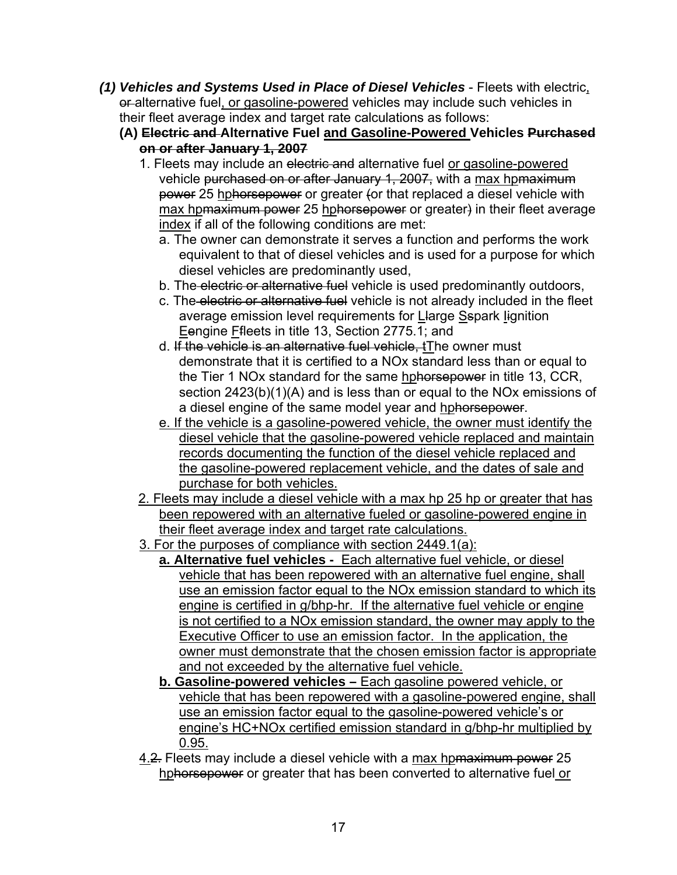- *(1) Vehicles and Systems Used in Place of Diesel Vehicles* Fleets with electric, or alternative fuel, or gasoline-powered vehicles may include such vehicles in their fleet average index and target rate calculations as follows:
	- **(A) Electric and Alternative Fuel and Gasoline-Powered Vehicles Purchased on or after January 1, 2007**
		- 1. Fleets may include an electric and alternative fuel or gasoline-powered vehicle purchased on or after January 1, 2007, with a max hpmaximum power 25 hphorsepower or greater (or that replaced a diesel vehicle with max hp<del>maximum power</del> 25 hphorsepower or greater) in their fleet average index if all of the following conditions are met:
			- a. The owner can demonstrate it serves a function and performs the work equivalent to that of diesel vehicles and is used for a purpose for which diesel vehicles are predominantly used,
			- b. The electric or alternative fuel vehicle is used predominantly outdoors,
			- c. The electric or alternative fuel vehicle is not already included in the fleet average emission level requirements for Llarge Sspark Iignition Eengine Ffleets in title 13, Section 2775.1; and
			- d. If the vehicle is an alternative fuel vehicle, tThe owner must demonstrate that it is certified to a NOx standard less than or equal to the Tier 1 NOx standard for the same hphorsepower in title 13, CCR, section 2423(b)(1)(A) and is less than or equal to the NOx emissions of a diesel engine of the same model year and hphorsepower.
			- e. If the vehicle is a gasoline-powered vehicle, the owner must identify the diesel vehicle that the gasoline-powered vehicle replaced and maintain records documenting the function of the diesel vehicle replaced and the gasoline-powered replacement vehicle, and the dates of sale and purchase for both vehicles.
		- 2. Fleets may include a diesel vehicle with a max hp 25 hp or greater that has been repowered with an alternative fueled or gasoline-powered engine in their fleet average index and target rate calculations.
		- 3. For the purposes of compliance with section 2449.1(a):
			- **a. Alternative fuel vehicles** Each alternative fuel vehicle, or diesel vehicle that has been repowered with an alternative fuel engine, shall use an emission factor equal to the NOx emission standard to which its engine is certified in g/bhp-hr. If the alternative fuel vehicle or engine is not certified to a NOx emission standard, the owner may apply to the Executive Officer to use an emission factor. In the application, the owner must demonstrate that the chosen emission factor is appropriate and not exceeded by the alternative fuel vehicle.
			- **b. Gasoline-powered vehicles** Each gasoline powered vehicle, or vehicle that has been repowered with a gasoline-powered engine, shall use an emission factor equal to the gasoline-powered vehicle's or engine's HC+NOx certified emission standard in g/bhp-hr multiplied by 0.95.
		- 4.2. Fleets may include a diesel vehicle with a max hpmaximum power 25 hphorsepower or greater that has been converted to alternative fuel or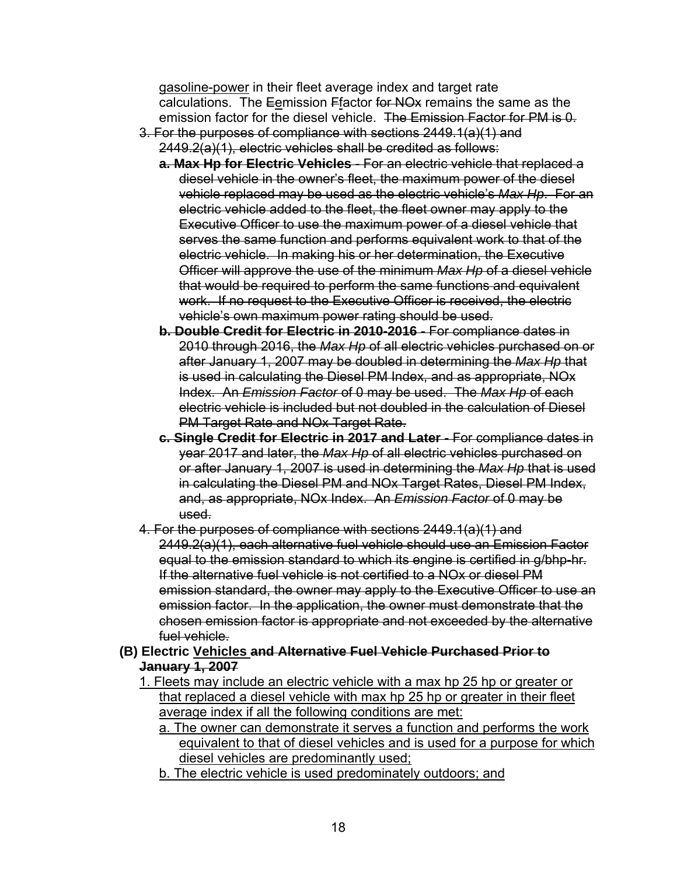gasoline-power in their fleet average index and target rate calculations. The Eemission Ffactor for NO<sub>x</sub> remains the same as the emission factor for the diesel vehicle. The Emission Factor for PM is 0.

- 3. For the purposes of compliance with sections 2449.1(a)(1) and 2449.2(a)(1), electric vehicles shall be credited as follows:
	- **a. Max Hp for Electric Vehicles** For an electric vehicle that replaced a diesel vehicle in the owner's fleet, the maximum power of the diesel vehicle replaced may be used as the electric vehicle's *Max Hp*. For an electric vehicle added to the fleet, the fleet owner may apply to the Executive Officer to use the maximum power of a diesel vehicle that serves the same function and performs equivalent work to that of the electric vehicle. In making his or her determination, the Executive Officer will approve the use of the minimum *Max Hp* of a diesel vehicle that would be required to perform the same functions and equivalent work. If no request to the Executive Officer is received, the electric vehicle's own maximum power rating should be used.
	- **b. Double Credit for Electric in 2010-2016** For compliance dates in 2010 through 2016, the *Max Hp* of all electric vehicles purchased on or after January 1, 2007 may be doubled in determining the *Max Hp* that is used in calculating the Diesel PM Index, and as appropriate, NOx Index. An *Emission Factor* of 0 may be used. The *Max Hp* of each electric vehicle is included but not doubled in the calculation of Diesel PM Target Rate and NOx Target Rate.
	- **c. Single Credit for Electric in 2017 and Later**  For compliance dates in year 2017 and later, the *Max Hp* of all electric vehicles purchased on or after January 1, 2007 is used in determining the *Max Hp* that is used in calculating the Diesel PM and NOx Target Rates, Diesel PM Index, and, as appropriate, NOx Index. An *Emission Factor* of 0 may be used.
- 4. For the purposes of compliance with sections 2449.1(a)(1) and 2449.2(a)(1), each alternative fuel vehicle should use an Emission Factor equal to the emission standard to which its engine is certified in g/bhp-hr. If the alternative fuel vehicle is not certified to a NOx or diesel PM emission standard, the owner may apply to the Executive Officer to use an emission factor. In the application, the owner must demonstrate that the chosen emission factor is appropriate and not exceeded by the alternative fuel vehicle.

#### **(B) Electric Vehicles and Alternative Fuel Vehicle Purchased Prior to January 1, 2007**

- 1. Fleets may include an electric vehicle with a max hp 25 hp or greater or that replaced a diesel vehicle with max hp 25 hp or greater in their fleet average index if all the following conditions are met:
	- a. The owner can demonstrate it serves a function and performs the work equivalent to that of diesel vehicles and is used for a purpose for which diesel vehicles are predominantly used;
	- b. The electric vehicle is used predominately outdoors; and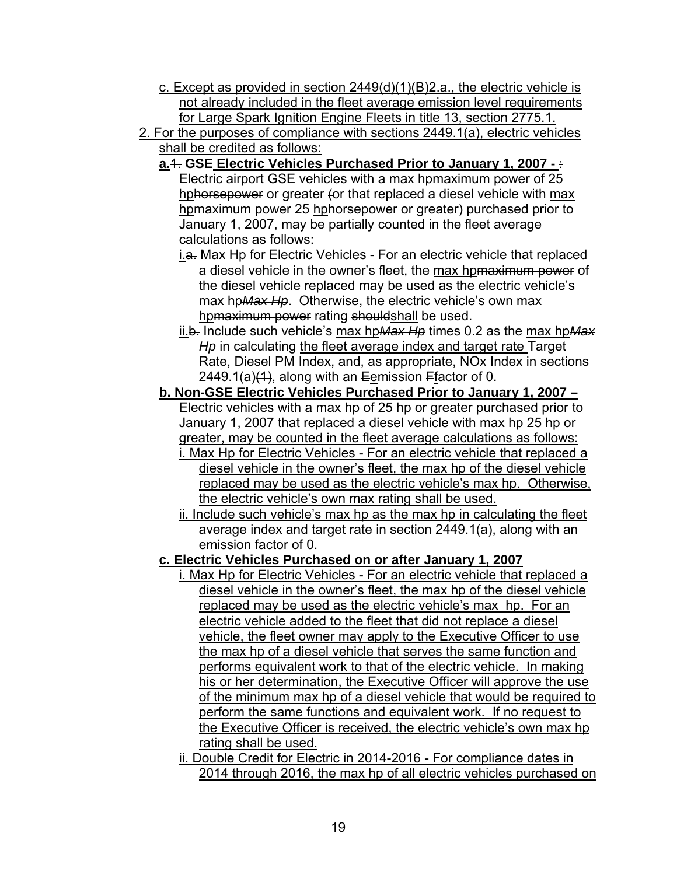- c. Except as provided in section  $2449(d)(1)(B)2.a.$ , the electric vehicle is not already included in the fleet average emission level requirements for Large Spark Ignition Engine Fleets in title 13, section 2775.1.
- 2. For the purposes of compliance with sections 2449.1(a), electric vehicles shall be credited as follows:
	- **a.**1. **GSE Electric Vehicles Purchased Prior to January 1, 2007** : Electric airport GSE vehicles with a max hpmaximum power of 25 hphorsepower or greater (or that replaced a diesel vehicle with max hpmaximum power 25 hphorsepower or greater) purchased prior to January 1, 2007, may be partially counted in the fleet average calculations as follows:
		- i.a. Max Hp for Electric Vehicles For an electric vehicle that replaced a diesel vehicle in the owner's fleet, the max hpmaximum power of the diesel vehicle replaced may be used as the electric vehicle's max hp*Max Hp*. Otherwise, the electric vehicle's own max hpmaximum power rating shouldshall be used.
		- ii.b. Include such vehicle's max hp*Max Hp* times 0.2 as the max hp*Max*  H<sub>p</sub> in calculating the fleet average index and target rate Target Rate, Diesel PM Index, and, as appropriate, NOx Index in sections 2449.1(a) $(1)$ , along with an Eemission Ffactor of 0.
	- **b. Non-GSE Electric Vehicles Purchased Prior to January 1, 2007**  Electric vehicles with a max hp of 25 hp or greater purchased prior to January 1, 2007 that replaced a diesel vehicle with max hp 25 hp or greater, may be counted in the fleet average calculations as follows:
		- i. Max Hp for Electric Vehicles For an electric vehicle that replaced a diesel vehicle in the owner's fleet, the max hp of the diesel vehicle replaced may be used as the electric vehicle's max hp. Otherwise, the electric vehicle's own max rating shall be used.
		- ii. Include such vehicle's max hp as the max hp in calculating the fleet average index and target rate in section 2449.1(a), along with an emission factor of 0.
	- **c. Electric Vehicles Purchased on or after January 1, 2007** 
		- i. Max Hp for Electric Vehicles For an electric vehicle that replaced a diesel vehicle in the owner's fleet, the max hp of the diesel vehicle replaced may be used as the electric vehicle's max hp. For an electric vehicle added to the fleet that did not replace a diesel vehicle, the fleet owner may apply to the Executive Officer to use the max hp of a diesel vehicle that serves the same function and performs equivalent work to that of the electric vehicle. In making his or her determination, the Executive Officer will approve the use of the minimum max hp of a diesel vehicle that would be required to perform the same functions and equivalent work. If no request to the Executive Officer is received, the electric vehicle's own max hp rating shall be used.
		- ii. Double Credit for Electric in 2014-2016 For compliance dates in 2014 through 2016, the max hp of all electric vehicles purchased on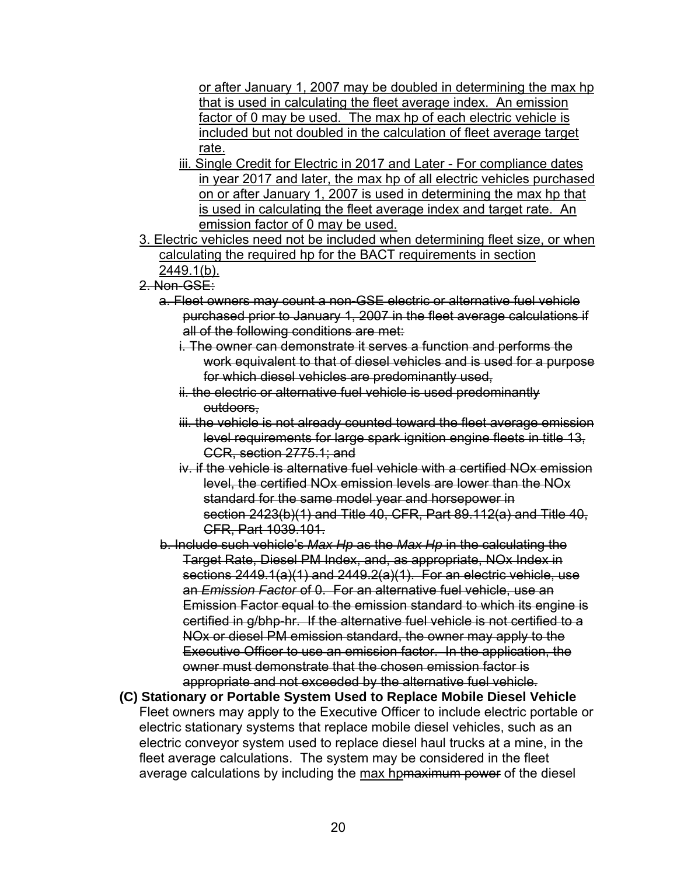or after January 1, 2007 may be doubled in determining the max hp that is used in calculating the fleet average index. An emission factor of 0 may be used. The max hp of each electric vehicle is included but not doubled in the calculation of fleet average target rate.

- iii. Single Credit for Electric in 2017 and Later For compliance dates in year 2017 and later, the max hp of all electric vehicles purchased on or after January 1, 2007 is used in determining the max hp that is used in calculating the fleet average index and target rate. An emission factor of 0 may be used.
- 3. Electric vehicles need not be included when determining fleet size, or when calculating the required hp for the BACT requirements in section 2449.1(b).
- 2. Non-GSE:
	- a. Fleet owners may count a non-GSE electric or alternative fuel vehicle purchased prior to January 1, 2007 in the fleet average calculations if all of the following conditions are met:
		- i. The owner can demonstrate it serves a function and performs the work equivalent to that of diesel vehicles and is used for a purpose for which diesel vehicles are predominantly used,
		- ii. the electric or alternative fuel vehicle is used predominantly outdoors.
		- iii. the vehicle is not already counted toward the fleet average emission level requirements for large spark ignition engine fleets in title 13, CCR, section 2775.1; and
		- iv. if the vehicle is alternative fuel vehicle with a certified NOx emission level, the certified NOx emission levels are lower than the NOx standard for the same model year and horsepower in section 2423(b)(1) and Title 40, CFR, Part 89.112(a) and Title 40, CFR, Part 1039.101.

b. Include such vehicle's *Max Hp* as the *Max Hp* in the calculating the Target Rate, Diesel PM Index, and, as appropriate, NOx Index in sections 2449.1(a)(1) and 2449.2(a)(1). For an electric vehicle, use an *Emission Factor* of 0. For an alternative fuel vehicle, use an Emission Factor equal to the emission standard to which its engine is certified in g/bhp-hr. If the alternative fuel vehicle is not certified to a NOx or diesel PM emission standard, the owner may apply to the Executive Officer to use an emission factor. In the application, the owner must demonstrate that the chosen emission factor is appropriate and not exceeded by the alternative fuel vehicle.

**(C) Stationary or Portable System Used to Replace Mobile Diesel Vehicle** Fleet owners may apply to the Executive Officer to include electric portable or electric stationary systems that replace mobile diesel vehicles, such as an electric conveyor system used to replace diesel haul trucks at a mine, in the fleet average calculations. The system may be considered in the fleet average calculations by including the max hpmaximum power of the diesel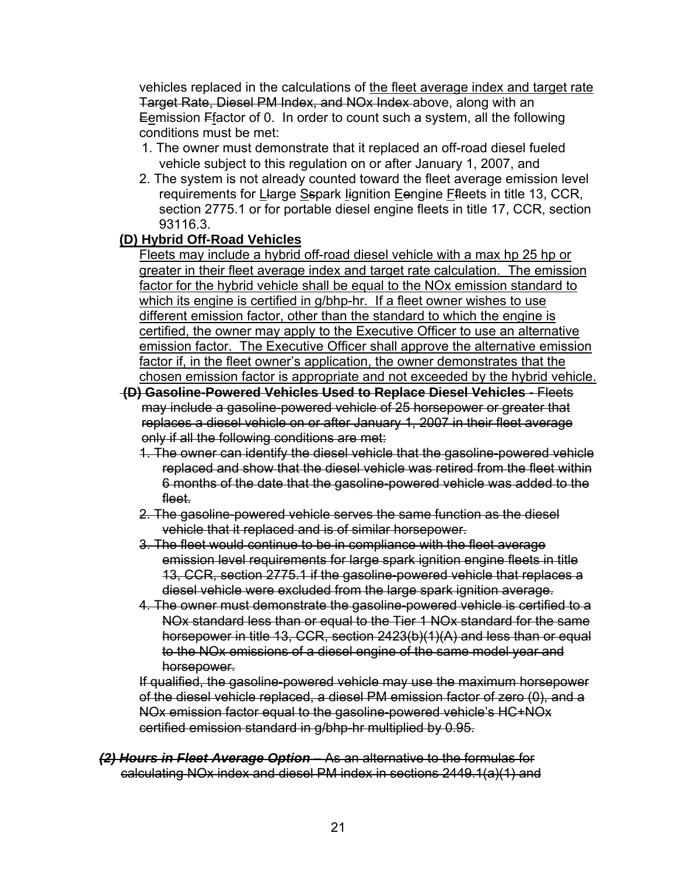vehicles replaced in the calculations of the fleet average index and target rate Target Rate, Diesel PM Index, and NOx Index above, along with an Eemission Ffactor of 0. In order to count such a system, all the following conditions must be met:

- 1. The owner must demonstrate that it replaced an off-road diesel fueled vehicle subject to this regulation on or after January 1, 2007, and
- 2. The system is not already counted toward the fleet average emission level requirements for Llarge Sspark lignition Eengine Ffleets in title 13, CCR, section 2775.1 or for portable diesel engine fleets in title 17, CCR, section 93116.3.

## **(D) Hybrid Off-Road Vehicles**

Fleets may include a hybrid off-road diesel vehicle with a max hp 25 hp or greater in their fleet average index and target rate calculation. The emission factor for the hybrid vehicle shall be equal to the NOx emission standard to which its engine is certified in g/bhp-hr. If a fleet owner wishes to use different emission factor, other than the standard to which the engine is certified, the owner may apply to the Executive Officer to use an alternative emission factor. The Executive Officer shall approve the alternative emission factor if, in the fleet owner's application, the owner demonstrates that the chosen emission factor is appropriate and not exceeded by the hybrid vehicle.

- **(D) Gasoline-Powered Vehicles Used to Replace Diesel Vehicles** Fleets may include a gasoline-powered vehicle of 25 horsepower or greater that replaces a diesel vehicle on or after January 1, 2007 in their fleet average only if all the following conditions are met:
	- 1. The owner can identify the diesel vehicle that the gasoline-powered vehicle replaced and show that the diesel vehicle was retired from the fleet within 6 months of the date that the gasoline-powered vehicle was added to the fleet.
	- 2. The gasoline-powered vehicle serves the same function as the diesel vehicle that it replaced and is of similar horsepower.
	- 3. The fleet would continue to be in compliance with the fleet average emission level requirements for large spark ignition engine fleets in title 13, CCR, section 2775.1 if the gasoline-powered vehicle that replaces a diesel vehicle were excluded from the large spark ignition average.
	- 4. The owner must demonstrate the gasoline-powered vehicle is certified to a NOx standard less than or equal to the Tier 1 NOx standard for the same horsepower in title 13, CCR, section 2423(b)(1)(A) and less than or equal to the NOx emissions of a diesel engine of the same model year and horsepower.

If qualified, the gasoline-powered vehicle may use the maximum horsepower of the diesel vehicle replaced, a diesel PM emission factor of zero (0), and a NOx emission factor equal to the gasoline-powered vehicle's HC+NOx certified emission standard in g/bhp-hr multiplied by 0.95.

*(2) Hours in Fleet Average Option* – As an alternative to the formulas for calculating NOx index and diesel PM index in sections 2449.1(a)(1) and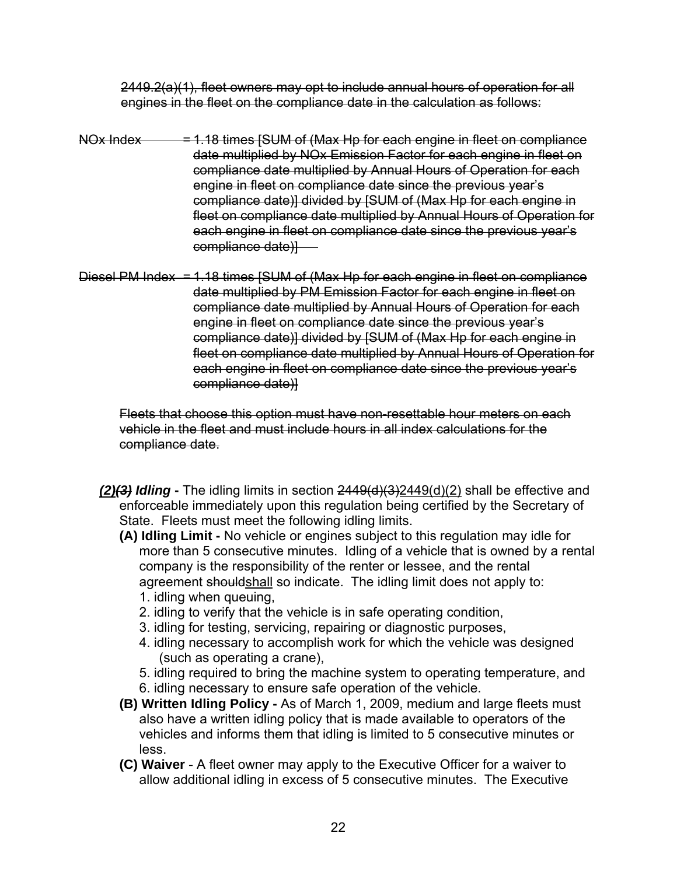2449.2(a)(1), fleet owners may opt to include annual hours of operation for all engines in the fleet on the compliance date in the calculation as follows:

- NOx Index  $= 1.18$  times [SUM of (Max Hp for each engine in fleet on compliance date multiplied by NOx Emission Factor for each engine in fleet on compliance date multiplied by Annual Hours of Operation for each engine in fleet on compliance date since the previous year's compliance date)] divided by [SUM of (Max Hp for each engine in fleet on compliance date multiplied by Annual Hours of Operation for each engine in fleet on compliance date since the previous year's compliance date)]
- Diesel PM Index = 1.18 times [SUM of (Max Hp for each engine in fleet on compliance date multiplied by PM Emission Factor for each engine in fleet on compliance date multiplied by Annual Hours of Operation for each engine in fleet on compliance date since the previous year's compliance date)] divided by [SUM of (Max Hp for each engine in fleet on compliance date multiplied by Annual Hours of Operation for each engine in fleet on compliance date since the previous year's compliance date)]

Fleets that choose this option must have non-resettable hour meters on each vehicle in the fleet and must include hours in all index calculations for the compliance date.

- *(2)(3) Idling* The idling limits in section 2449(d)(3)2449(d)(2) shall be effective and enforceable immediately upon this regulation being certified by the Secretary of State. Fleets must meet the following idling limits.
	- **(A) Idling Limit** No vehicle or engines subject to this regulation may idle for more than 5 consecutive minutes. Idling of a vehicle that is owned by a rental company is the responsibility of the renter or lessee, and the rental agreement shouldshall so indicate. The idling limit does not apply to: 1. idling when queuing,
		- 2. idling to verify that the vehicle is in safe operating condition,
		- 3. idling for testing, servicing, repairing or diagnostic purposes,
		- 4. idling necessary to accomplish work for which the vehicle was designed (such as operating a crane),
		- 5. idling required to bring the machine system to operating temperature, and
		- 6. idling necessary to ensure safe operation of the vehicle.
	- **(B) Written Idling Policy** As of March 1, 2009, medium and large fleets must also have a written idling policy that is made available to operators of the vehicles and informs them that idling is limited to 5 consecutive minutes or less.
	- **(C) Waiver** A fleet owner may apply to the Executive Officer for a waiver to allow additional idling in excess of 5 consecutive minutes. The Executive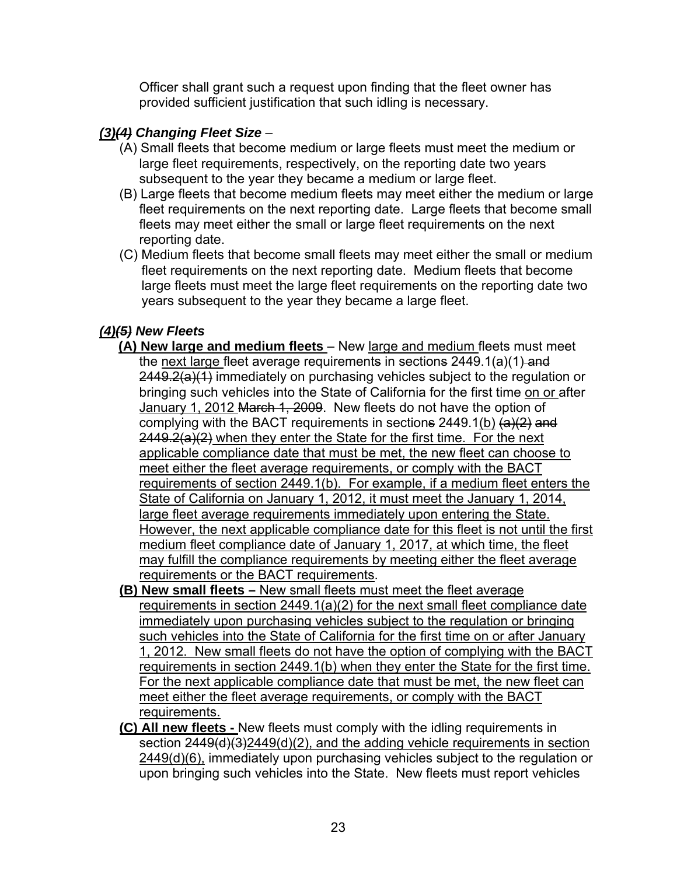Officer shall grant such a request upon finding that the fleet owner has provided sufficient justification that such idling is necessary.

# *(3)(4) Changing Fleet Size* –

- (A) Small fleets that become medium or large fleets must meet the medium or large fleet requirements, respectively, on the reporting date two years subsequent to the year they became a medium or large fleet.
- (B) Large fleets that become medium fleets may meet either the medium or large fleet requirements on the next reporting date. Large fleets that become small fleets may meet either the small or large fleet requirements on the next reporting date.
- (C) Medium fleets that become small fleets may meet either the small or medium fleet requirements on the next reporting date. Medium fleets that become large fleets must meet the large fleet requirements on the reporting date two years subsequent to the year they became a large fleet.

## *(4)(5) New Fleets*

- **(A) New large and medium fleets**  New large and medium fleets must meet the next large fleet average requirements in sections 2449.1(a)(1) and 2449.2(a)(1) immediately on purchasing vehicles subject to the regulation or bringing such vehicles into the State of California for the first time on or after January 1, 2012 March 1, 2009. New fleets do not have the option of complying with the BACT requirements in sections  $2449.1(b)$   $(a)(2)$  and  $2449.2(a)(2)$  when they enter the State for the first time. For the next applicable compliance date that must be met, the new fleet can choose to meet either the fleet average requirements, or comply with the BACT requirements of section 2449.1(b). For example, if a medium fleet enters the State of California on January 1, 2012, it must meet the January 1, 2014, large fleet average requirements immediately upon entering the State. However, the next applicable compliance date for this fleet is not until the first medium fleet compliance date of January 1, 2017, at which time, the fleet may fulfill the compliance requirements by meeting either the fleet average requirements or the BACT requirements.
- **(B) New small fleets** New small fleets must meet the fleet average requirements in section 2449.1(a)(2) for the next small fleet compliance date immediately upon purchasing vehicles subject to the regulation or bringing such vehicles into the State of California for the first time on or after January 1, 2012. New small fleets do not have the option of complying with the BACT requirements in section 2449.1(b) when they enter the State for the first time. For the next applicable compliance date that must be met, the new fleet can meet either the fleet average requirements, or comply with the BACT requirements.
- **(C) All new fleets** New fleets must comply with the idling requirements in section  $2449(d)(3)2449(d)(2)$ , and the adding vehicle requirements in section 2449(d)(6), immediately upon purchasing vehicles subject to the regulation or upon bringing such vehicles into the State. New fleets must report vehicles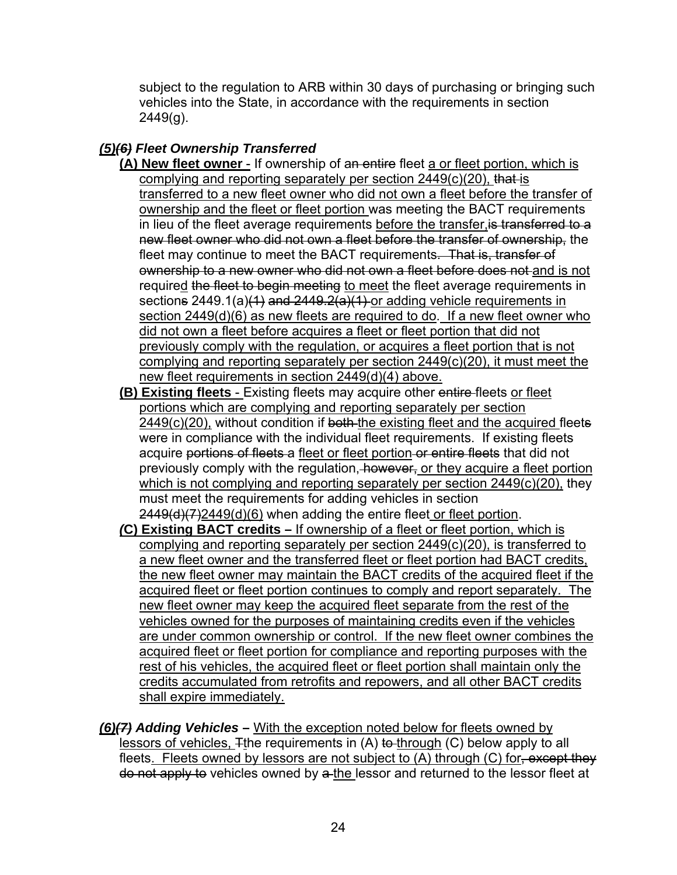subject to the regulation to ARB within 30 days of purchasing or bringing such vehicles into the State, in accordance with the requirements in section 2449(g).

# *(5)(6) Fleet Ownership Transferred*

- **(A) New fleet owner** If ownership of an entire fleet a or fleet portion, which is complying and reporting separately per section 2449(c)(20), that is transferred to a new fleet owner who did not own a fleet before the transfer of ownership and the fleet or fleet portion was meeting the BACT requirements in lieu of the fleet average requirements before the transfer, is transferred to a new fleet owner who did not own a fleet before the transfer of ownership, the fleet may continue to meet the BACT requirements. That is, transfer of ownership to a new owner who did not own a fleet before does not and is not required the fleet to begin meeting to meet the fleet average requirements in sections  $2449.1(a)(1)$  and  $2449.2(a)(1)$  or adding vehicle requirements in section 2449(d)(6) as new fleets are required to do. If a new fleet owner who did not own a fleet before acquires a fleet or fleet portion that did not previously comply with the regulation, or acquires a fleet portion that is not complying and reporting separately per section 2449(c)(20), it must meet the new fleet requirements in section 2449(d)(4) above.
- **(B) Existing fleets**  Existing fleets may acquire other entire fleets or fleet portions which are complying and reporting separately per section 2449(c)(20), without condition if both the existing fleet and the acquired fleets were in compliance with the individual fleet requirements. If existing fleets acquire portions of fleets a fleet or fleet portion or entire fleets that did not previously comply with the regulation, however, or they acquire a fleet portion which is not complying and reporting separately per section 2449(c)(20), they must meet the requirements for adding vehicles in section  $2449(d)(7)2449(d)(6)$  when adding the entire fleet or fleet portion.
- *(***C) Existing BACT credits –** If ownership of a fleet or fleet portion, which is complying and reporting separately per section 2449(c)(20), is transferred to a new fleet owner and the transferred fleet or fleet portion had BACT credits, the new fleet owner may maintain the BACT credits of the acquired fleet if the acquired fleet or fleet portion continues to comply and report separately. The new fleet owner may keep the acquired fleet separate from the rest of the vehicles owned for the purposes of maintaining credits even if the vehicles are under common ownership or control. If the new fleet owner combines the acquired fleet or fleet portion for compliance and reporting purposes with the rest of his vehicles, the acquired fleet or fleet portion shall maintain only the credits accumulated from retrofits and repowers, and all other BACT credits shall expire immediately.
- *(6)(7) Adding Vehicles* **–** With the exception noted below for fleets owned by lessors of vehicles,  $\pm$ the requirements in (A) to through (C) below apply to all fleets. Fleets owned by lessors are not subject to (A) through (C) for, except they do not apply to vehicles owned by a the lessor and returned to the lessor fleet at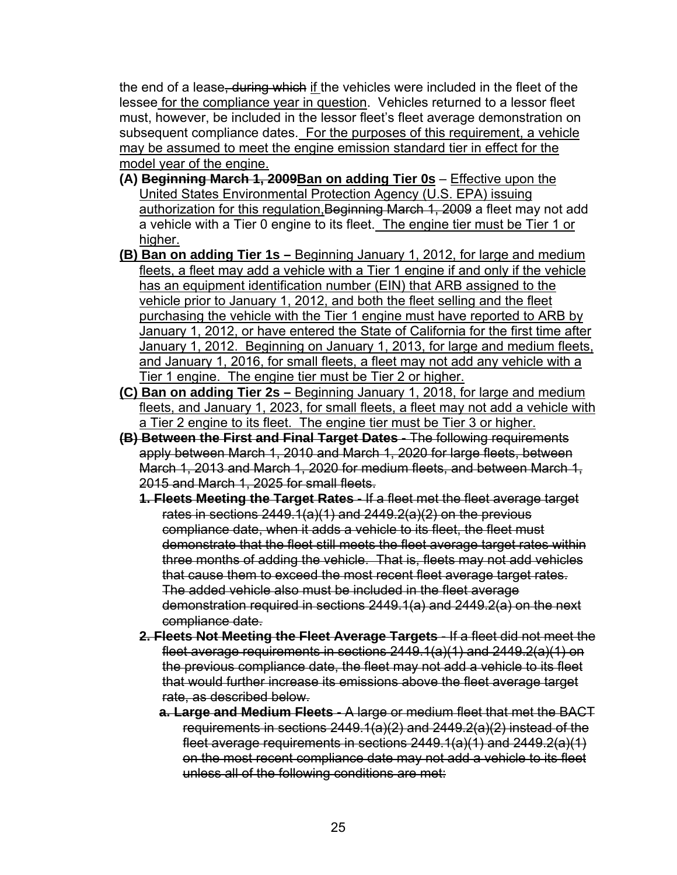the end of a lease, during which if the vehicles were included in the fleet of the lessee for the compliance year in question. Vehicles returned to a lessor fleet must, however, be included in the lessor fleet's fleet average demonstration on subsequent compliance dates. For the purposes of this requirement, a vehicle may be assumed to meet the engine emission standard tier in effect for the model year of the engine.

- **(A) Beginning March 1, 2009Ban on adding Tier 0s** Effective upon the United States Environmental Protection Agency (U.S. EPA) issuing authorization for this regulation, Beginning March 1, 2009 a fleet may not add a vehicle with a Tier 0 engine to its fleet. The engine tier must be Tier 1 or higher.
- **(B) Ban on adding Tier 1s** Beginning January 1, 2012, for large and medium fleets, a fleet may add a vehicle with a Tier 1 engine if and only if the vehicle has an equipment identification number (EIN) that ARB assigned to the vehicle prior to January 1, 2012, and both the fleet selling and the fleet purchasing the vehicle with the Tier 1 engine must have reported to ARB by January 1, 2012, or have entered the State of California for the first time after January 1, 2012. Beginning on January 1, 2013, for large and medium fleets, and January 1, 2016, for small fleets, a fleet may not add any vehicle with a Tier 1 engine. The engine tier must be Tier 2 or higher.
- **(C) Ban on adding Tier 2s –** Beginning January 1, 2018, for large and medium fleets, and January 1, 2023, for small fleets, a fleet may not add a vehicle with a Tier 2 engine to its fleet. The engine tier must be Tier 3 or higher.
- **(B) Between the First and Final Target Dates** The following requirements apply between March 1, 2010 and March 1, 2020 for large fleets, between March 1, 2013 and March 1, 2020 for medium fleets, and between March 1, 2015 and March 1, 2025 for small fleets.
	- **1. Fleets Meeting the Target Rates** If a fleet met the fleet average target rates in sections  $2449.1(a)(1)$  and  $2449.2(a)(2)$  on the previous compliance date, when it adds a vehicle to its fleet, the fleet must demonstrate that the fleet still meets the fleet average target rates within three months of adding the vehicle. That is, fleets may not add vehicles that cause them to exceed the most recent fleet average target rates. The added vehicle also must be included in the fleet average demonstration required in sections 2449.1(a) and 2449.2(a) on the next compliance date.
	- **2. Fleets Not Meeting the Fleet Average Targets** If a fleet did not meet the fleet average requirements in sections 2449.1(a)(1) and 2449.2(a)(1) on the previous compliance date, the fleet may not add a vehicle to its fleet that would further increase its emissions above the fleet average target rate, as described below.
		- **a. Large and Medium Fleets**  A large or medium fleet that met the BACT requirements in sections 2449.1(a)(2) and 2449.2(a)(2) instead of the fleet average requirements in sections 2449.1(a)(1) and 2449.2(a)(1) on the most recent compliance date may not add a vehicle to its fleet unless all of the following conditions are met: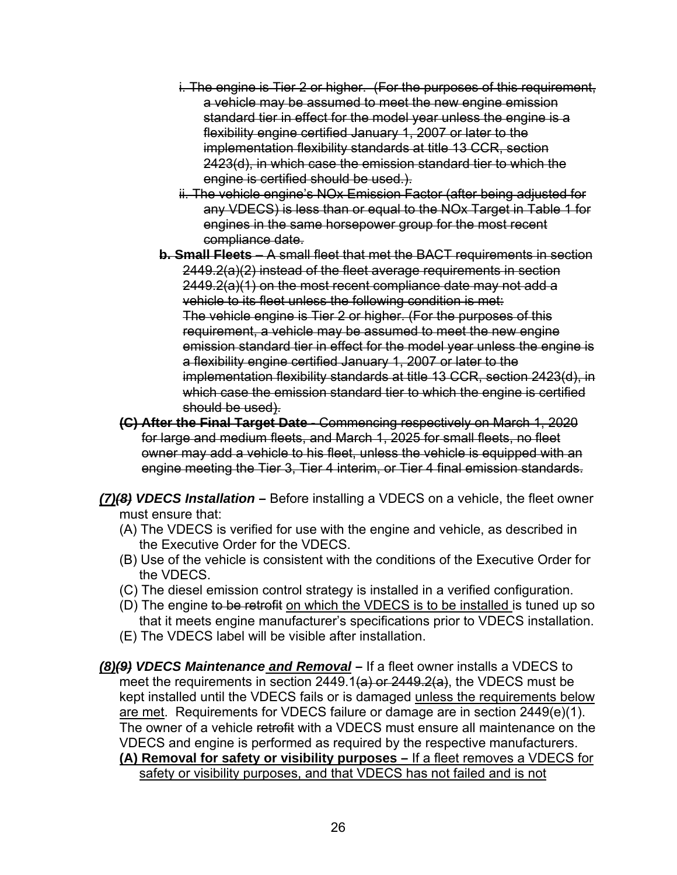- i. The engine is Tier 2 or higher. (For the purposes of this requirement, a vehicle may be assumed to meet the new engine emission standard tier in effect for the model year unless the engine is a flexibility engine certified January 1, 2007 or later to the implementation flexibility standards at title 13 CCR, section 2423(d), in which case the emission standard tier to which the engine is certified should be used.).
- ii. The vehicle engine's NOx Emission Factor (after being adjusted for any VDECS) is less than or equal to the NOx Target in Table 1 for engines in the same horsepower group for the most recent compliance date.
- **b. Small Fleets**  A small fleet that met the BACT requirements in section 2449.2(a)(2) instead of the fleet average requirements in section 2449.2(a)(1) on the most recent compliance date may not add a vehicle to its fleet unless the following condition is met: The vehicle engine is Tier 2 or higher. (For the purposes of this requirement, a vehicle may be assumed to meet the new engine emission standard tier in effect for the model year unless the engine is a flexibility engine certified January 1, 2007 or later to the implementation flexibility standards at title 13 CCR, section 2423(d), in which case the emission standard tier to which the engine is certified should be used).
- **(C) After the Final Target Date** Commencing respectively on March 1, 2020 for large and medium fleets, and March 1, 2025 for small fleets, no fleet owner may add a vehicle to his fleet, unless the vehicle is equipped with an engine meeting the Tier 3, Tier 4 interim, or Tier 4 final emission standards.
- *(7)(8) VDECS Installation* **–** Before installing a VDECS on a vehicle, the fleet owner must ensure that:
	- (A) The VDECS is verified for use with the engine and vehicle, as described in the Executive Order for the VDECS.
	- (B) Use of the vehicle is consistent with the conditions of the Executive Order for the VDECS.
	- (C) The diesel emission control strategy is installed in a verified configuration.
	- (D) The engine to be retrofit on which the VDECS is to be installed is tuned up so that it meets engine manufacturer's specifications prior to VDECS installation.
	- (E) The VDECS label will be visible after installation.
- *(8)(9) VDECS Maintenance and Removal* If a fleet owner installs a VDECS to meet the requirements in section  $2449.1(a)$  or  $2449.2(a)$ , the VDECS must be kept installed until the VDECS fails or is damaged unless the requirements below are met. Requirements for VDECS failure or damage are in section 2449(e)(1). The owner of a vehicle retrofit with a VDECS must ensure all maintenance on the VDECS and engine is performed as required by the respective manufacturers. **(A) Removal for safety or visibility purposes –** If a fleet removes a VDECS for safety or visibility purposes, and that VDECS has not failed and is not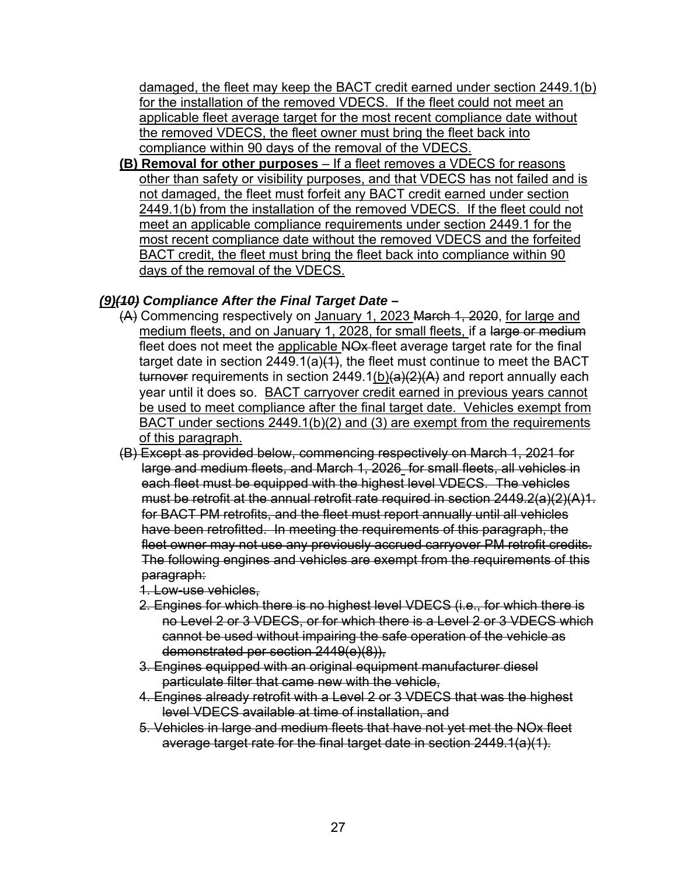damaged, the fleet may keep the BACT credit earned under section 2449.1(b) for the installation of the removed VDECS. If the fleet could not meet an applicable fleet average target for the most recent compliance date without the removed VDECS, the fleet owner must bring the fleet back into compliance within 90 days of the removal of the VDECS.

**(B) Removal for other purposes** – If a fleet removes a VDECS for reasons other than safety or visibility purposes, and that VDECS has not failed and is not damaged, the fleet must forfeit any BACT credit earned under section 2449.1(b) from the installation of the removed VDECS. If the fleet could not meet an applicable compliance requirements under section 2449.1 for the most recent compliance date without the removed VDECS and the forfeited BACT credit, the fleet must bring the fleet back into compliance within 90 days of the removal of the VDECS.

# *(9)(10) Compliance After the Final Target Date* **–**

- (A) Commencing respectively on January 1, 2023 March 1, 2020, for large and medium fleets, and on January 1, 2028, for small fleets, if a large or medium fleet does not meet the applicable NO<sub>x</sub>-fleet average target rate for the final target date in section  $2449.1(a)(1)$ , the fleet must continue to meet the BACT turnover requirements in section  $2449.1(b)(a)(2)(A)$  and report annually each year until it does so. BACT carryover credit earned in previous years cannot be used to meet compliance after the final target date. Vehicles exempt from BACT under sections 2449.1(b)(2) and (3) are exempt from the requirements of this paragraph.
- (B) Except as provided below, commencing respectively on March 1, 2021 for large and medium fleets, and March 1, 2026 for small fleets, all vehicles in each fleet must be equipped with the highest level VDECS. The vehicles must be retrofit at the annual retrofit rate required in section 2449.2(a)(2)(A)1. for BACT PM retrofits, and the fleet must report annually until all vehicles have been retrofitted. In meeting the requirements of this paragraph, the fleet owner may not use any previously accrued carryover PM retrofit credits. The following engines and vehicles are exempt from the requirements of this paragraph:
	- 1. Low-use vehicles,
	- 2. Engines for which there is no highest level VDECS (i.e., for which there is no Level 2 or 3 VDECS, or for which there is a Level 2 or 3 VDECS which cannot be used without impairing the safe operation of the vehicle as demonstrated per section 2449(e)(8)),
	- 3. Engines equipped with an original equipment manufacturer diesel particulate filter that came new with the vehicle,
	- 4. Engines already retrofit with a Level 2 or 3 VDECS that was the highest level VDECS available at time of installation, and
	- 5. Vehicles in large and medium fleets that have not yet met the NOx fleet average target rate for the final target date in section 2449.1(a)(1).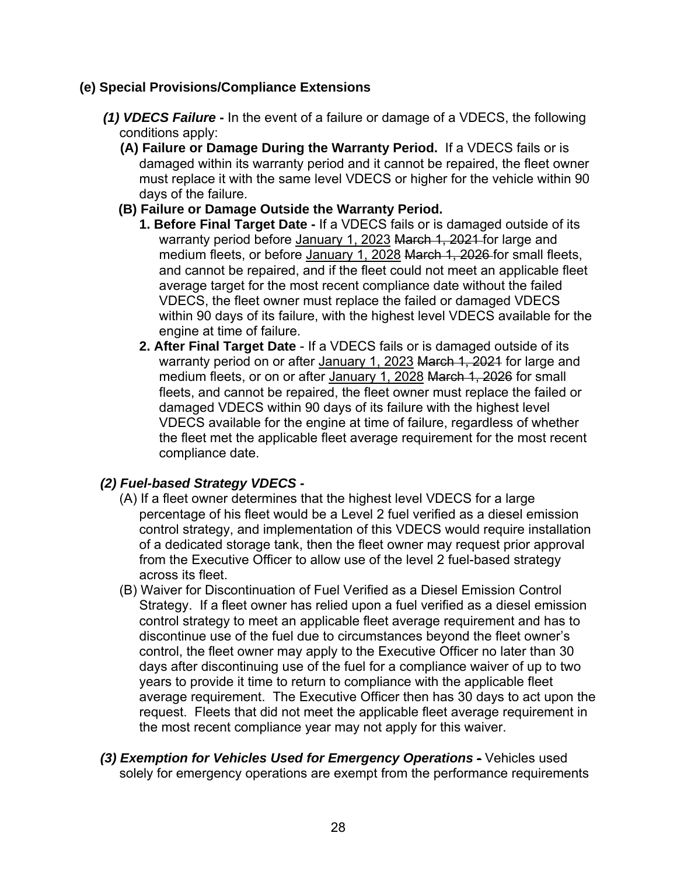#### **(e) Special Provisions/Compliance Extensions**

- *(1) VDECS Failure* **-** In the event of a failure or damage of a VDECS, the following conditions apply:
	- **(A) Failure or Damage During the Warranty Period.** If a VDECS fails or is damaged within its warranty period and it cannot be repaired, the fleet owner must replace it with the same level VDECS or higher for the vehicle within 90 days of the failure.
	- **(B) Failure or Damage Outside the Warranty Period.**
		- **1. Before Final Target Date -** If a VDECS fails or is damaged outside of its warranty period before January 1, 2023 March 1, 2021 for large and medium fleets, or before January 1, 2028 March 1, 2026 for small fleets. and cannot be repaired, and if the fleet could not meet an applicable fleet average target for the most recent compliance date without the failed VDECS, the fleet owner must replace the failed or damaged VDECS within 90 days of its failure, with the highest level VDECS available for the engine at time of failure.
		- **2. After Final Target Date** If a VDECS fails or is damaged outside of its warranty period on or after January 1, 2023 March 1, 2021 for large and medium fleets, or on or after January 1, 2028 March 1, 2026 for small fleets, and cannot be repaired, the fleet owner must replace the failed or damaged VDECS within 90 days of its failure with the highest level VDECS available for the engine at time of failure, regardless of whether the fleet met the applicable fleet average requirement for the most recent compliance date.

## *(2) Fuel-based Strategy VDECS -*

- (A) If a fleet owner determines that the highest level VDECS for a large percentage of his fleet would be a Level 2 fuel verified as a diesel emission control strategy, and implementation of this VDECS would require installation of a dedicated storage tank, then the fleet owner may request prior approval from the Executive Officer to allow use of the level 2 fuel-based strategy across its fleet.
- (B) Waiver for Discontinuation of Fuel Verified as a Diesel Emission Control Strategy. If a fleet owner has relied upon a fuel verified as a diesel emission control strategy to meet an applicable fleet average requirement and has to discontinue use of the fuel due to circumstances beyond the fleet owner's control, the fleet owner may apply to the Executive Officer no later than 30 days after discontinuing use of the fuel for a compliance waiver of up to two years to provide it time to return to compliance with the applicable fleet average requirement. The Executive Officer then has 30 days to act upon the request. Fleets that did not meet the applicable fleet average requirement in the most recent compliance year may not apply for this waiver.
- *(3) Exemption for Vehicles Used for Emergency Operations Vehicles used* solely for emergency operations are exempt from the performance requirements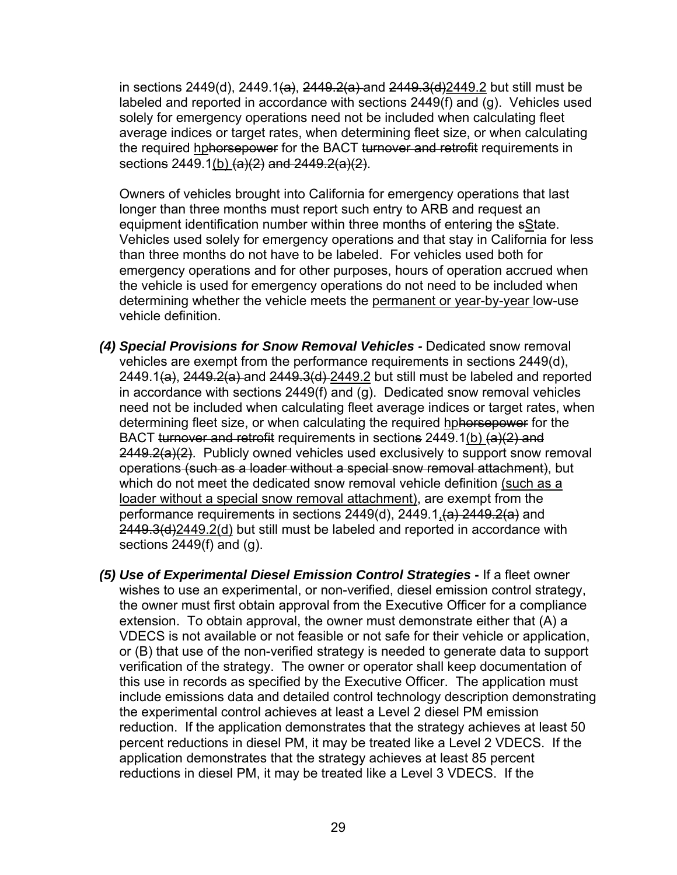in sections 2449(d), 2449.1(a), 2449.2(a) and  $2449.3$ (d)  $2449.2$  but still must be labeled and reported in accordance with sections 2449(f) and (g). Vehicles used solely for emergency operations need not be included when calculating fleet average indices or target rates, when determining fleet size, or when calculating the required hphorsepower for the BACT turnover and retrofit requirements in sections  $2449.1(b)$  (a)(2) and  $2449.2(a)(2)$ .

Owners of vehicles brought into California for emergency operations that last longer than three months must report such entry to ARB and request an equipment identification number within three months of entering the sState. Vehicles used solely for emergency operations and that stay in California for less than three months do not have to be labeled. For vehicles used both for emergency operations and for other purposes, hours of operation accrued when the vehicle is used for emergency operations do not need to be included when determining whether the vehicle meets the permanent or year-by-year low-use vehicle definition.

- *(4) Special Provisions for Snow Removal Vehicles -* Dedicated snow removal vehicles are exempt from the performance requirements in sections 2449(d), 2449.1(a),  $2449.2(a)$  and  $2449.3(d)$   $2449.2$  but still must be labeled and reported in accordance with sections 2449(f) and (g). Dedicated snow removal vehicles need not be included when calculating fleet average indices or target rates, when determining fleet size, or when calculating the required hphorsepower for the BACT turnover and retrofit requirements in sections 2449.1(b) (a)(2) and 2449.2(a)(2). Publicly owned vehicles used exclusively to support snow removal operations (such as a loader without a special snow removal attachment), but which do not meet the dedicated snow removal vehicle definition (such as a loader without a special snow removal attachment), are exempt from the performance requirements in sections  $2449(d)$ ,  $2449.1(d)$ ,  $2449.2(d)$  and 2449.3(d)2449.2(d) but still must be labeled and reported in accordance with sections 2449(f) and (g).
- *(5) Use of Experimental Diesel Emission Control Strategies* **-** If a fleet owner wishes to use an experimental, or non-verified, diesel emission control strategy, the owner must first obtain approval from the Executive Officer for a compliance extension. To obtain approval, the owner must demonstrate either that (A) a VDECS is not available or not feasible or not safe for their vehicle or application, or (B) that use of the non-verified strategy is needed to generate data to support verification of the strategy. The owner or operator shall keep documentation of this use in records as specified by the Executive Officer. The application must include emissions data and detailed control technology description demonstrating the experimental control achieves at least a Level 2 diesel PM emission reduction. If the application demonstrates that the strategy achieves at least 50 percent reductions in diesel PM, it may be treated like a Level 2 VDECS. If the application demonstrates that the strategy achieves at least 85 percent reductions in diesel PM, it may be treated like a Level 3 VDECS. If the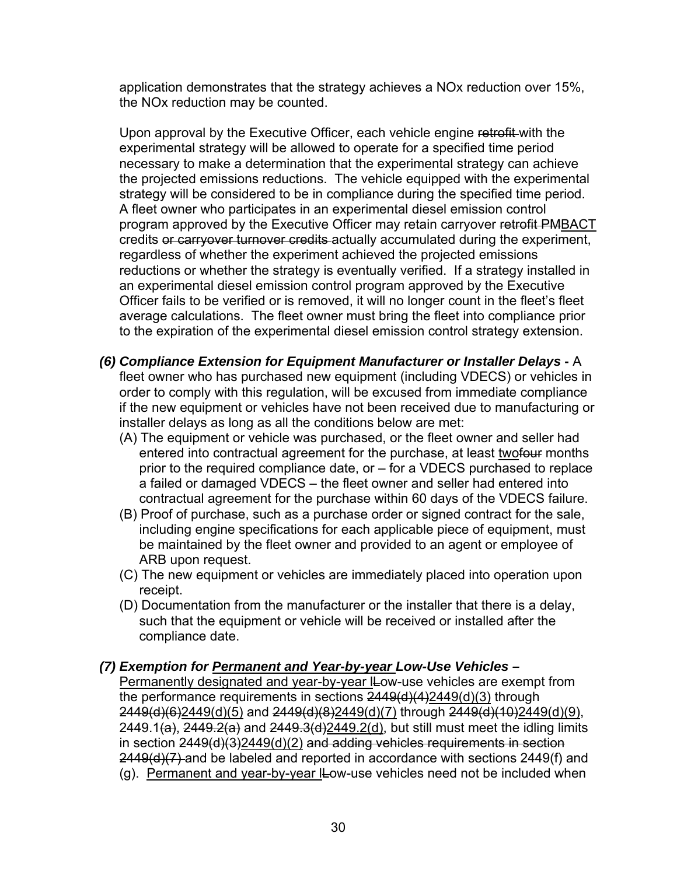application demonstrates that the strategy achieves a NOx reduction over 15%, the NOx reduction may be counted.

Upon approval by the Executive Officer, each vehicle engine retrofit with the experimental strategy will be allowed to operate for a specified time period necessary to make a determination that the experimental strategy can achieve the projected emissions reductions. The vehicle equipped with the experimental strategy will be considered to be in compliance during the specified time period. A fleet owner who participates in an experimental diesel emission control program approved by the Executive Officer may retain carryover retrofit PMBACT credits or carryover turnover credits actually accumulated during the experiment, regardless of whether the experiment achieved the projected emissions reductions or whether the strategy is eventually verified. If a strategy installed in an experimental diesel emission control program approved by the Executive Officer fails to be verified or is removed, it will no longer count in the fleet's fleet average calculations. The fleet owner must bring the fleet into compliance prior to the expiration of the experimental diesel emission control strategy extension.

- *(6) Compliance Extension for Equipment Manufacturer or Installer Delays* **-** A fleet owner who has purchased new equipment (including VDECS) or vehicles in order to comply with this regulation, will be excused from immediate compliance if the new equipment or vehicles have not been received due to manufacturing or installer delays as long as all the conditions below are met:
	- (A) The equipment or vehicle was purchased, or the fleet owner and seller had entered into contractual agreement for the purchase, at least twofour months prior to the required compliance date, or – for a VDECS purchased to replace a failed or damaged VDECS – the fleet owner and seller had entered into contractual agreement for the purchase within 60 days of the VDECS failure.
	- (B) Proof of purchase, such as a purchase order or signed contract for the sale, including engine specifications for each applicable piece of equipment, must be maintained by the fleet owner and provided to an agent or employee of ARB upon request.
	- (C) The new equipment or vehicles are immediately placed into operation upon receipt.
	- (D) Documentation from the manufacturer or the installer that there is a delay, such that the equipment or vehicle will be received or installed after the compliance date.

#### *(7) Exemption for Permanent and Year-by-year Low-Use Vehicles –*

Permanently designated and year-by-year ILow-use vehicles are exempt from the performance requirements in sections 2449(d)(4)2449(d)(3) through 2449(d)(6)2449(d)(5) and 2449(d)(8)2449(d)(7) through 2449(d)(10)2449(d)(9), 2449.1(a),  $2449.2(a)$  and  $2449.3(d)$ 2449.2(d), but still must meet the idling limits in section 2449(d)(3)2449(d)(2) and adding vehicles requirements in section 2449(d)(7) and be labeled and reported in accordance with sections 2449(f) and (g). Permanent and year-by-year lLow-use vehicles need not be included when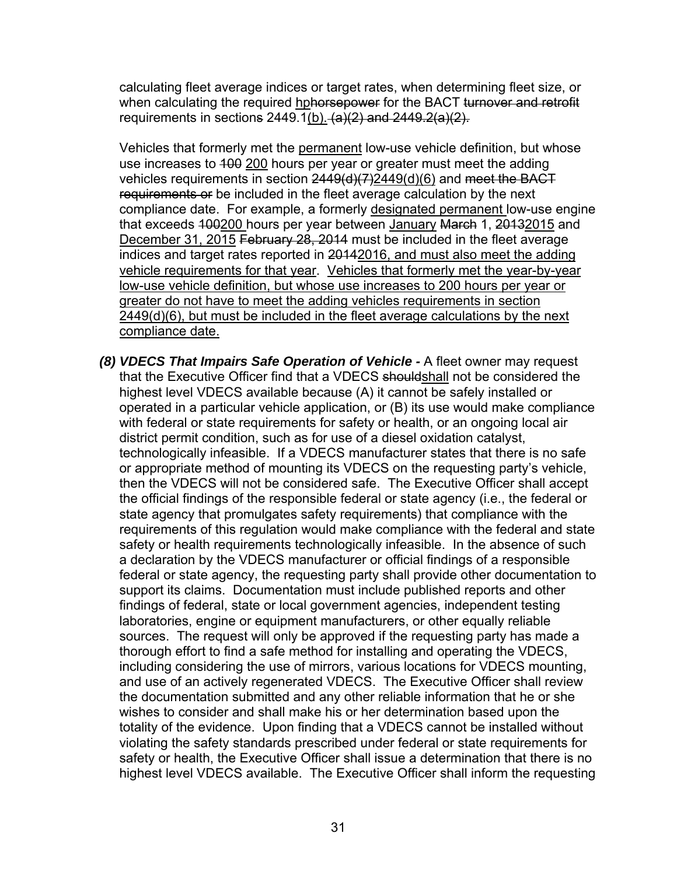calculating fleet average indices or target rates, when determining fleet size, or when calculating the required hohorsepower for the BACT turnover and retrofit requirements in sections 2449.1(b).  $(a)(2)$  and 2449.2(a)(2).

Vehicles that formerly met the permanent low-use vehicle definition, but whose use increases to 400 200 hours per year or greater must meet the adding vehicles requirements in section  $2449(d)(7)2449(d)(6)$  and meet the BACT requirements or be included in the fleet average calculation by the next compliance date. For example, a formerly designated permanent low-use engine that exceeds 400200 hours per year between January March 1, 20132015 and December 31, 2015 February 28, 2014 must be included in the fleet average indices and target rates reported in 20142016, and must also meet the adding vehicle requirements for that year. Vehicles that formerly met the year-by-year low-use vehicle definition, but whose use increases to 200 hours per year or greater do not have to meet the adding vehicles requirements in section 2449(d)(6), but must be included in the fleet average calculations by the next compliance date.

*(8) VDECS That Impairs Safe Operation of Vehicle -* A fleet owner may request that the Executive Officer find that a VDECS shouldshall not be considered the highest level VDECS available because (A) it cannot be safely installed or operated in a particular vehicle application, or (B) its use would make compliance with federal or state requirements for safety or health, or an ongoing local air district permit condition, such as for use of a diesel oxidation catalyst, technologically infeasible. If a VDECS manufacturer states that there is no safe or appropriate method of mounting its VDECS on the requesting party's vehicle, then the VDECS will not be considered safe. The Executive Officer shall accept the official findings of the responsible federal or state agency (i.e., the federal or state agency that promulgates safety requirements) that compliance with the requirements of this regulation would make compliance with the federal and state safety or health requirements technologically infeasible. In the absence of such a declaration by the VDECS manufacturer or official findings of a responsible federal or state agency, the requesting party shall provide other documentation to support its claims. Documentation must include published reports and other findings of federal, state or local government agencies, independent testing laboratories, engine or equipment manufacturers, or other equally reliable sources. The request will only be approved if the requesting party has made a thorough effort to find a safe method for installing and operating the VDECS, including considering the use of mirrors, various locations for VDECS mounting, and use of an actively regenerated VDECS. The Executive Officer shall review the documentation submitted and any other reliable information that he or she wishes to consider and shall make his or her determination based upon the totality of the evidence. Upon finding that a VDECS cannot be installed without violating the safety standards prescribed under federal or state requirements for safety or health, the Executive Officer shall issue a determination that there is no highest level VDECS available. The Executive Officer shall inform the requesting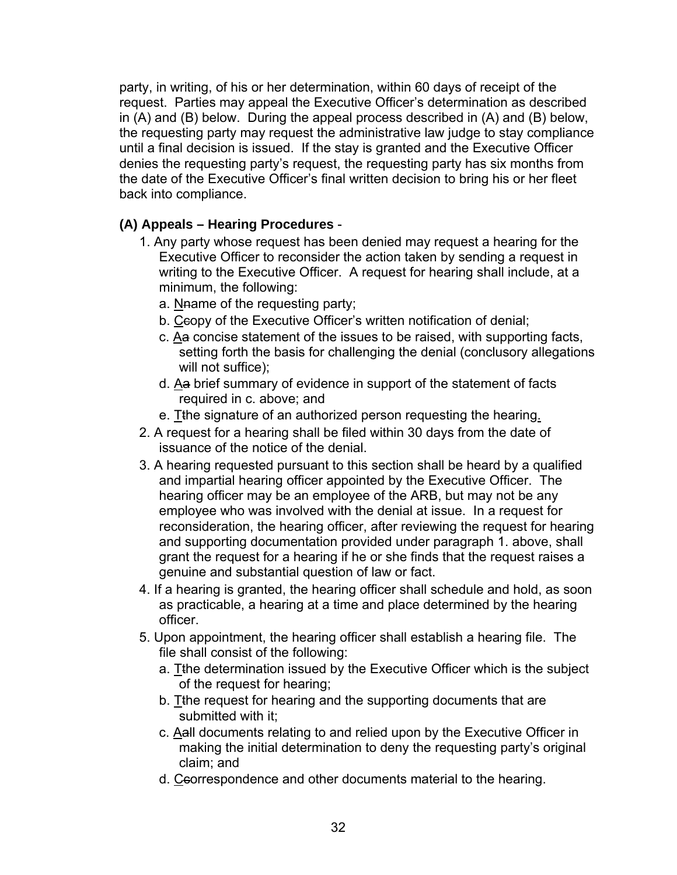party, in writing, of his or her determination, within 60 days of receipt of the request. Parties may appeal the Executive Officer's determination as described in (A) and (B) below. During the appeal process described in (A) and (B) below, the requesting party may request the administrative law judge to stay compliance until a final decision is issued. If the stay is granted and the Executive Officer denies the requesting party's request, the requesting party has six months from the date of the Executive Officer's final written decision to bring his or her fleet back into compliance.

# **(A) Appeals – Hearing Procedures** -

- 1. Any party whose request has been denied may request a hearing for the Executive Officer to reconsider the action taken by sending a request in writing to the Executive Officer. A request for hearing shall include, at a minimum, the following:
	- a. Naame of the requesting party;
	- b. Ceopy of the Executive Officer's written notification of denial;
	- c. Aa concise statement of the issues to be raised, with supporting facts, setting forth the basis for challenging the denial (conclusory allegations will not suffice);
	- d. Aa brief summary of evidence in support of the statement of facts required in c. above; and
	- e. The signature of an authorized person requesting the hearing.
- 2. A request for a hearing shall be filed within 30 days from the date of issuance of the notice of the denial.
- 3. A hearing requested pursuant to this section shall be heard by a qualified and impartial hearing officer appointed by the Executive Officer. The hearing officer may be an employee of the ARB, but may not be any employee who was involved with the denial at issue. In a request for reconsideration, the hearing officer, after reviewing the request for hearing and supporting documentation provided under paragraph 1. above, shall grant the request for a hearing if he or she finds that the request raises a genuine and substantial question of law or fact.
- 4. If a hearing is granted, the hearing officer shall schedule and hold, as soon as practicable, a hearing at a time and place determined by the hearing officer.
- 5. Upon appointment, the hearing officer shall establish a hearing file. The file shall consist of the following:
	- a. Tthe determination issued by the Executive Officer which is the subject of the request for hearing;
	- b. Tthe request for hearing and the supporting documents that are submitted with it;
	- c. Aall documents relating to and relied upon by the Executive Officer in making the initial determination to deny the requesting party's original claim; and
	- d. Ccorrespondence and other documents material to the hearing.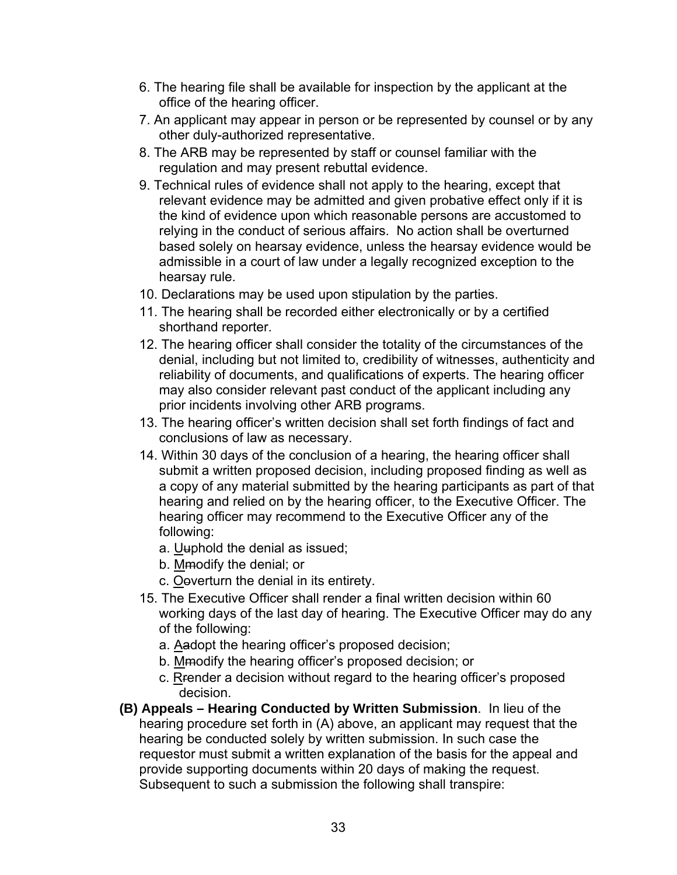- 6. The hearing file shall be available for inspection by the applicant at the office of the hearing officer.
- 7. An applicant may appear in person or be represented by counsel or by any other duly-authorized representative.
- 8. The ARB may be represented by staff or counsel familiar with the regulation and may present rebuttal evidence.
- 9. Technical rules of evidence shall not apply to the hearing, except that relevant evidence may be admitted and given probative effect only if it is the kind of evidence upon which reasonable persons are accustomed to relying in the conduct of serious affairs. No action shall be overturned based solely on hearsay evidence, unless the hearsay evidence would be admissible in a court of law under a legally recognized exception to the hearsay rule.
- 10. Declarations may be used upon stipulation by the parties.
- 11. The hearing shall be recorded either electronically or by a certified shorthand reporter.
- 12. The hearing officer shall consider the totality of the circumstances of the denial, including but not limited to, credibility of witnesses, authenticity and reliability of documents, and qualifications of experts. The hearing officer may also consider relevant past conduct of the applicant including any prior incidents involving other ARB programs.
- 13. The hearing officer's written decision shall set forth findings of fact and conclusions of law as necessary.
- 14. Within 30 days of the conclusion of a hearing, the hearing officer shall submit a written proposed decision, including proposed finding as well as a copy of any material submitted by the hearing participants as part of that hearing and relied on by the hearing officer, to the Executive Officer. The hearing officer may recommend to the Executive Officer any of the following:
	- a. Uuphold the denial as issued;
	- b. Mmodify the denial; or
	- c. Ooverturn the denial in its entirety.
- 15. The Executive Officer shall render a final written decision within 60 working days of the last day of hearing. The Executive Officer may do any of the following:
	- a. Aadopt the hearing officer's proposed decision;
	- b. Mmodify the hearing officer's proposed decision; or
	- c. Rrender a decision without regard to the hearing officer's proposed decision.
- **(B) Appeals Hearing Conducted by Written Submission**. In lieu of the hearing procedure set forth in (A) above, an applicant may request that the hearing be conducted solely by written submission. In such case the requestor must submit a written explanation of the basis for the appeal and provide supporting documents within 20 days of making the request. Subsequent to such a submission the following shall transpire: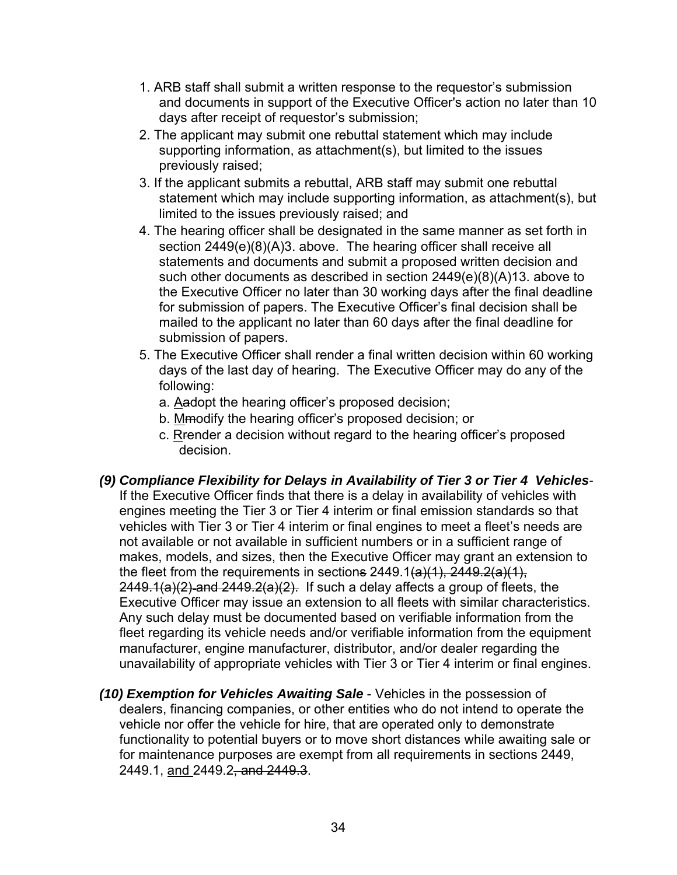- 1. ARB staff shall submit a written response to the requestor's submission and documents in support of the Executive Officer's action no later than 10 days after receipt of requestor's submission;
- 2. The applicant may submit one rebuttal statement which may include supporting information, as attachment(s), but limited to the issues previously raised;
- 3. If the applicant submits a rebuttal, ARB staff may submit one rebuttal statement which may include supporting information, as attachment(s), but limited to the issues previously raised; and
- 4. The hearing officer shall be designated in the same manner as set forth in section 2449(e)(8)(A)3. above. The hearing officer shall receive all statements and documents and submit a proposed written decision and such other documents as described in section 2449(e)(8)(A)13. above to the Executive Officer no later than 30 working days after the final deadline for submission of papers. The Executive Officer's final decision shall be mailed to the applicant no later than 60 days after the final deadline for submission of papers.
- 5. The Executive Officer shall render a final written decision within 60 working days of the last day of hearing. The Executive Officer may do any of the following:
	- a. Aadopt the hearing officer's proposed decision;
	- b. Mmodify the hearing officer's proposed decision; or
	- c. Rrender a decision without regard to the hearing officer's proposed decision.
- *(9) Compliance Flexibility for Delays in Availability of Tier 3 or Tier 4 Vehicles-*If the Executive Officer finds that there is a delay in availability of vehicles with engines meeting the Tier 3 or Tier 4 interim or final emission standards so that vehicles with Tier 3 or Tier 4 interim or final engines to meet a fleet's needs are not available or not available in sufficient numbers or in a sufficient range of makes, models, and sizes, then the Executive Officer may grant an extension to the fleet from the requirements in sections  $2449.1(a)(1)$ ,  $2449.2(a)(1)$ ,  $2449.1(a)(2)$  and  $2449.2(a)(2)$ . If such a delay affects a group of fleets, the Executive Officer may issue an extension to all fleets with similar characteristics. Any such delay must be documented based on verifiable information from the fleet regarding its vehicle needs and/or verifiable information from the equipment manufacturer, engine manufacturer, distributor, and/or dealer regarding the unavailability of appropriate vehicles with Tier 3 or Tier 4 interim or final engines.
- *(10) Exemption for Vehicles Awaiting Sale* Vehicles in the possession of dealers, financing companies, or other entities who do not intend to operate the vehicle nor offer the vehicle for hire, that are operated only to demonstrate functionality to potential buyers or to move short distances while awaiting sale or for maintenance purposes are exempt from all requirements in sections 2449, 2449.1, and 2449.2, and 2449.3.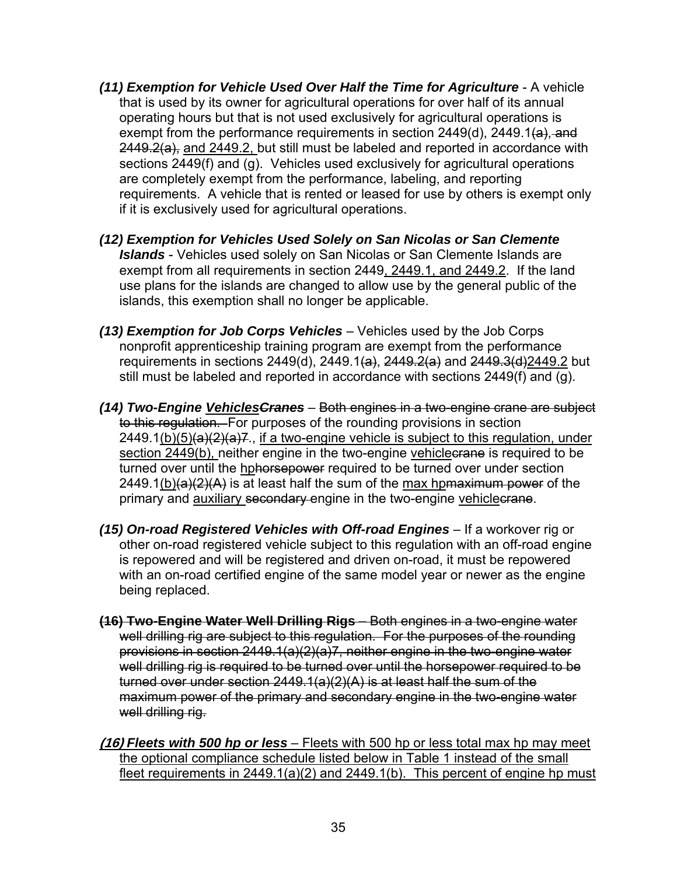- *(11) Exemption for Vehicle Used Over Half the Time for Agriculture* A vehicle that is used by its owner for agricultural operations for over half of its annual operating hours but that is not used exclusively for agricultural operations is exempt from the performance requirements in section  $2449(d)$ ,  $2449.1(a)$ , and  $2449.2(a)$ , and  $2449.2$ , but still must be labeled and reported in accordance with sections 2449(f) and (g). Vehicles used exclusively for agricultural operations are completely exempt from the performance, labeling, and reporting requirements. A vehicle that is rented or leased for use by others is exempt only if it is exclusively used for agricultural operations.
- *(12) Exemption for Vehicles Used Solely on San Nicolas or San Clemente Islands* - Vehicles used solely on San Nicolas or San Clemente Islands are exempt from all requirements in section 2449, 2449.1, and 2449.2. If the land use plans for the islands are changed to allow use by the general public of the islands, this exemption shall no longer be applicable.
- *(13) Exemption for Job Corps Vehicles*  Vehicles used by the Job Corps nonprofit apprenticeship training program are exempt from the performance requirements in sections 2449(d), 2449.1(a), 2449.2(a) and 2449.3(d)2449.2 but still must be labeled and reported in accordance with sections 2449(f) and (g).
- *(14) Two-Engine VehiclesCranes*  Both engines in a two-engine crane are subject to this regulation. For purposes of the rounding provisions in section  $2449.1(b)(5)(a)(2)(a)7$ , if a two-engine vehicle is subject to this regulation, under section 2449(b), neither engine in the two-engine vehicles are is required to be turned over until the hphorsepower required to be turned over under section  $2449.1(b)(a)(2)(A)$  is at least half the sum of the max hpmaximum power of the primary and auxiliary secondary engine in the two-engine vehiclecrane.
- *(15) On-road Registered Vehicles with Off-road Engines* If a workover rig or other on-road registered vehicle subject to this regulation with an off-road engine is repowered and will be registered and driven on-road, it must be repowered with an on-road certified engine of the same model year or newer as the engine being replaced.
- **(16) Two-Engine Water Well Drilling Rigs**  Both engines in a two-engine water well drilling rig are subject to this regulation. For the purposes of the rounding provisions in section 2449.1(a)(2)(a)7, neither engine in the two-engine water well drilling rig is required to be turned over until the horsepower required to be turned over under section 2449.1(a)(2)(A) is at least half the sum of the maximum power of the primary and secondary engine in the two-engine water well drilling rig.
- **(16)** *Fleets with 500 hp or less* Fleets with 500 hp or less total max hp may meet the optional compliance schedule listed below in Table 1 instead of the small fleet requirements in 2449.1(a)(2) and 2449.1(b). This percent of engine hp must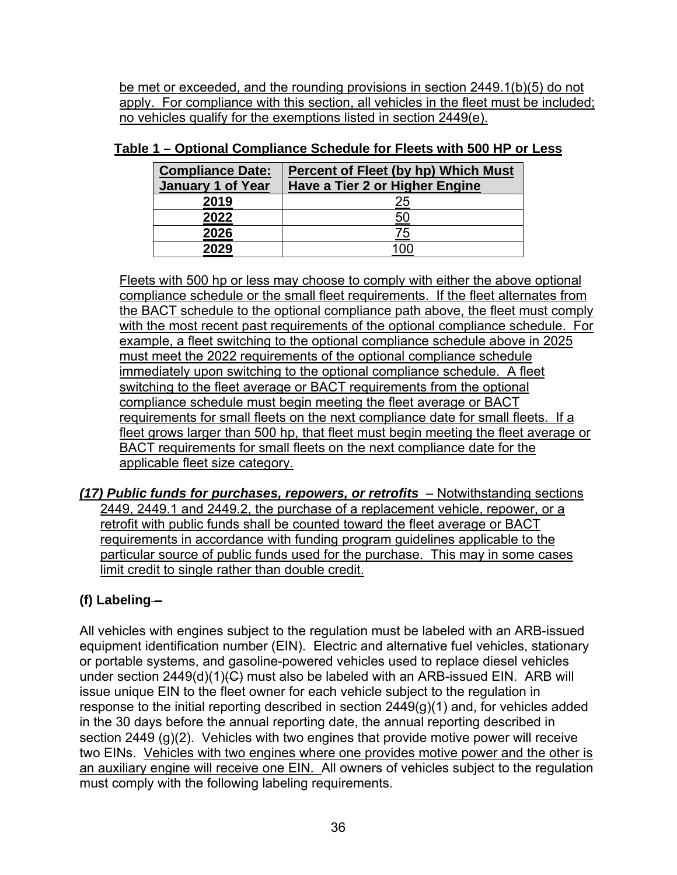be met or exceeded, and the rounding provisions in section 2449.1(b)(5) do not apply. For compliance with this section, all vehicles in the fleet must be included; no vehicles qualify for the exemptions listed in section 2449(e).

| <b>Compliance Date:</b><br><b>January 1 of Year</b> | <b>Percent of Fleet (by hp) Which Must</b><br>Have a Tier 2 or Higher Engine |
|-----------------------------------------------------|------------------------------------------------------------------------------|
| 2019                                                | <u> 25</u>                                                                   |
| 2022                                                | <u>50</u>                                                                    |
| 2026                                                | 75                                                                           |
| 2029                                                |                                                                              |

## **Table 1 – Optional Compliance Schedule for Fleets with 500 HP or Less**

Fleets with 500 hp or less may choose to comply with either the above optional compliance schedule or the small fleet requirements. If the fleet alternates from the BACT schedule to the optional compliance path above, the fleet must comply with the most recent past requirements of the optional compliance schedule. For example, a fleet switching to the optional compliance schedule above in 2025 must meet the 2022 requirements of the optional compliance schedule immediately upon switching to the optional compliance schedule. A fleet switching to the fleet average or BACT requirements from the optional compliance schedule must begin meeting the fleet average or BACT requirements for small fleets on the next compliance date for small fleets. If a fleet grows larger than 500 hp, that fleet must begin meeting the fleet average or BACT requirements for small fleets on the next compliance date for the applicable fleet size category.

*(17) Public funds for purchases, repowers, or retrofits*– Notwithstanding sections 2449, 2449.1 and 2449.2, the purchase of a replacement vehicle, repower, or a retrofit with public funds shall be counted toward the fleet average or BACT requirements in accordance with funding program guidelines applicable to the particular source of public funds used for the purchase. This may in some cases limit credit to single rather than double credit.

# **(f)** Labeling-

All vehicles with engines subject to the regulation must be labeled with an ARB-issued equipment identification number (EIN). Electric and alternative fuel vehicles, stationary or portable systems, and gasoline-powered vehicles used to replace diesel vehicles under section  $2449(d)(1)(G)$  must also be labeled with an ARB-issued EIN. ARB will issue unique EIN to the fleet owner for each vehicle subject to the regulation in response to the initial reporting described in section 2449(g)(1) and, for vehicles added in the 30 days before the annual reporting date, the annual reporting described in section 2449 (g)(2). Vehicles with two engines that provide motive power will receive two EINs. Vehicles with two engines where one provides motive power and the other is an auxiliary engine will receive one EIN. All owners of vehicles subject to the regulation must comply with the following labeling requirements.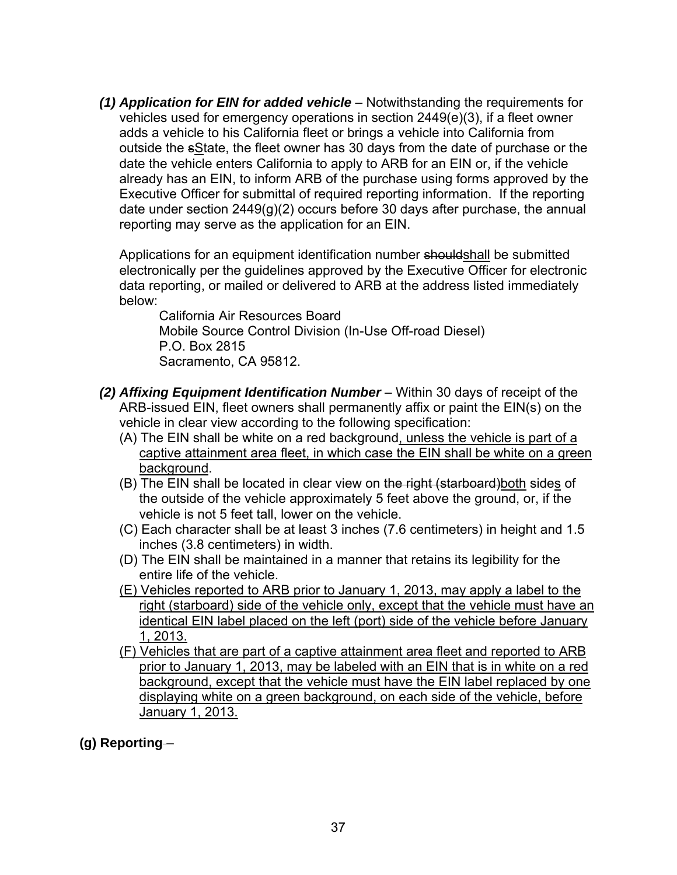*(1) Application for EIN for added vehicle* – Notwithstanding the requirements for vehicles used for emergency operations in section 2449(e)(3), if a fleet owner adds a vehicle to his California fleet or brings a vehicle into California from outside the sState, the fleet owner has 30 days from the date of purchase or the date the vehicle enters California to apply to ARB for an EIN or, if the vehicle already has an EIN, to inform ARB of the purchase using forms approved by the Executive Officer for submittal of required reporting information. If the reporting date under section 2449(g)(2) occurs before 30 days after purchase, the annual reporting may serve as the application for an EIN.

Applications for an equipment identification number shouldshall be submitted electronically per the guidelines approved by the Executive Officer for electronic data reporting, or mailed or delivered to ARB at the address listed immediately below:

California Air Resources Board Mobile Source Control Division (In-Use Off-road Diesel) P.O. Box 2815 Sacramento, CA 95812.

- *(2) Affixing Equipment Identification Number* Within 30 days of receipt of the ARB-issued EIN, fleet owners shall permanently affix or paint the EIN(s) on the vehicle in clear view according to the following specification:
	- (A) The EIN shall be white on a red background, unless the vehicle is part of a captive attainment area fleet, in which case the EIN shall be white on a green background.
	- (B) The EIN shall be located in clear view on the right (starboard) both sides of the outside of the vehicle approximately 5 feet above the ground, or, if the vehicle is not 5 feet tall, lower on the vehicle.
	- (C) Each character shall be at least 3 inches (7.6 centimeters) in height and 1.5 inches (3.8 centimeters) in width.
	- (D) The EIN shall be maintained in a manner that retains its legibility for the entire life of the vehicle.
	- (E) Vehicles reported to ARB prior to January 1, 2013, may apply a label to the right (starboard) side of the vehicle only, except that the vehicle must have an identical EIN label placed on the left (port) side of the vehicle before January 1, 2013.
	- (F) Vehicles that are part of a captive attainment area fleet and reported to ARB prior to January 1, 2013, may be labeled with an EIN that is in white on a red background, except that the vehicle must have the EIN label replaced by one displaying white on a green background, on each side of the vehicle, before January 1, 2013.

**(g) Reporting** –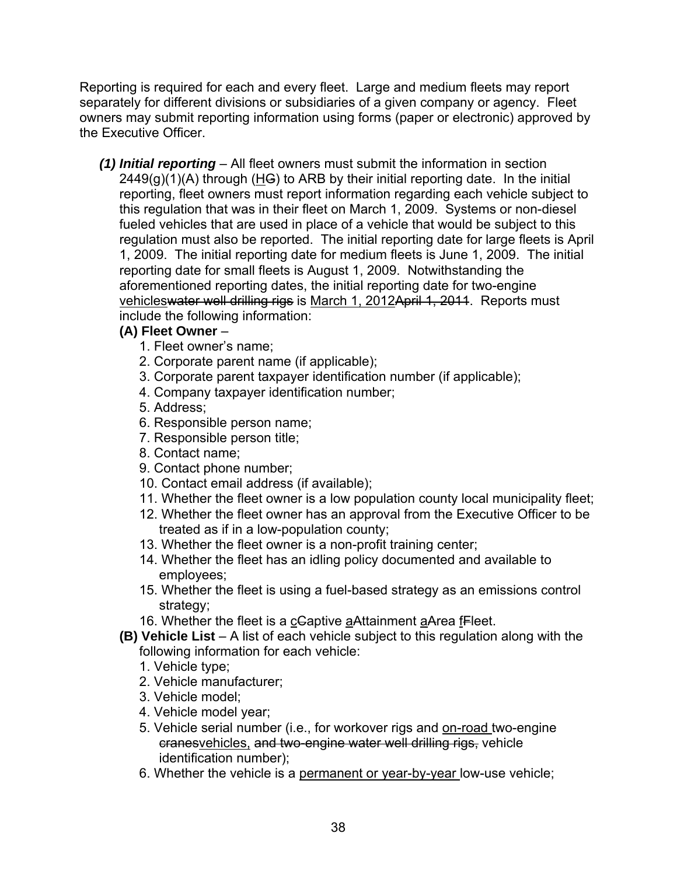Reporting is required for each and every fleet. Large and medium fleets may report separately for different divisions or subsidiaries of a given company or agency. Fleet owners may submit reporting information using forms (paper or electronic) approved by the Executive Officer.

*(1) Initial reporting* – All fleet owners must submit the information in section  $2449(g)(1)(A)$  through (HG) to ARB by their initial reporting date. In the initial reporting, fleet owners must report information regarding each vehicle subject to this regulation that was in their fleet on March 1, 2009. Systems or non-diesel fueled vehicles that are used in place of a vehicle that would be subject to this regulation must also be reported. The initial reporting date for large fleets is April 1, 2009. The initial reporting date for medium fleets is June 1, 2009. The initial reporting date for small fleets is August 1, 2009. Notwithstanding the aforementioned reporting dates, the initial reporting date for two-engine vehicleswater well drilling rigs is March 1, 2012April 1, 2011. Reports must include the following information:

### **(A) Fleet Owner** –

- 1. Fleet owner's name;
- 2. Corporate parent name (if applicable);
- 3. Corporate parent taxpayer identification number (if applicable);
- 4. Company taxpayer identification number;
- 5. Address;
- 6. Responsible person name;
- 7. Responsible person title;
- 8. Contact name;
- 9. Contact phone number;
- 10. Contact email address (if available);
- 11. Whether the fleet owner is a low population county local municipality fleet;
- 12. Whether the fleet owner has an approval from the Executive Officer to be treated as if in a low-population county;
- 13. Whether the fleet owner is a non-profit training center;
- 14. Whether the fleet has an idling policy documented and available to employees;
- 15. Whether the fleet is using a fuel-based strategy as an emissions control strategy;
- 16. Whether the fleet is a cCaptive aAttainment aArea fFleet.
- **(B) Vehicle List** A list of each vehicle subject to this regulation along with the following information for each vehicle:
	- 1. Vehicle type;
	- 2. Vehicle manufacturer;
	- 3. Vehicle model;
	- 4. Vehicle model year;
	- 5. Vehicle serial number (i.e., for workover rigs and on-road two-engine cranesvehicles, and two-engine water well drilling rigs, vehicle identification number);
	- 6. Whether the vehicle is a permanent or year-by-year low-use vehicle;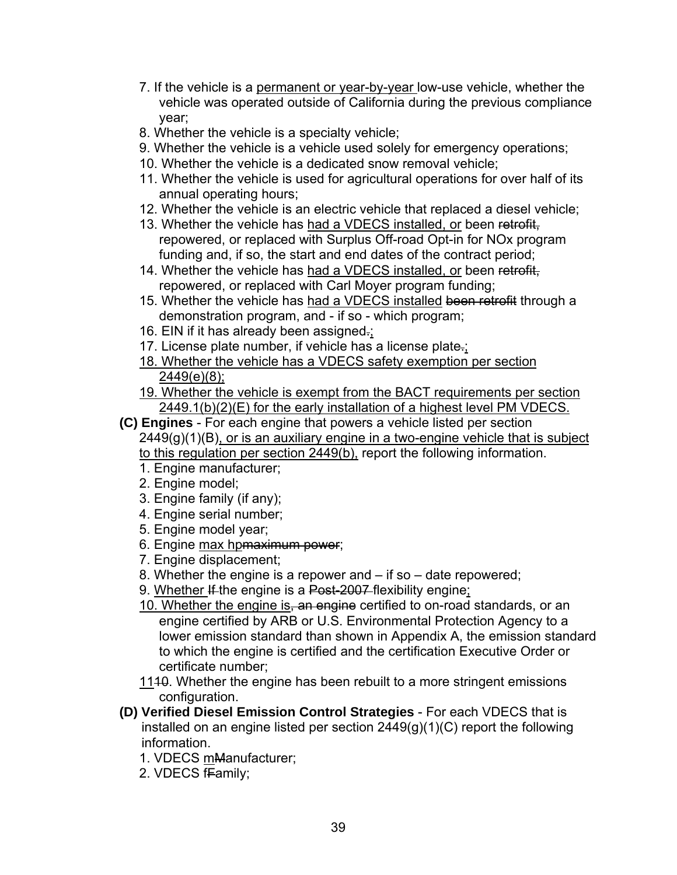- 7. If the vehicle is a permanent or year-by-year low-use vehicle, whether the vehicle was operated outside of California during the previous compliance year;
- 8. Whether the vehicle is a specialty vehicle;
- 9. Whether the vehicle is a vehicle used solely for emergency operations;
- 10. Whether the vehicle is a dedicated snow removal vehicle;
- 11. Whether the vehicle is used for agricultural operations for over half of its annual operating hours;
- 12. Whether the vehicle is an electric vehicle that replaced a diesel vehicle;
- 13. Whether the vehicle has had a VDECS installed, or been retrofit, repowered, or replaced with Surplus Off-road Opt-in for NOx program funding and, if so, the start and end dates of the contract period;
- 14. Whether the vehicle has had a VDECS installed, or been retrofit, repowered, or replaced with Carl Moyer program funding;
- 15. Whether the vehicle has had a VDECS installed been retrofit through a demonstration program, and - if so - which program;
- 16. EIN if it has already been assigned.;
- 17. License plate number, if vehicle has a license plate.;
- 18. Whether the vehicle has a VDECS safety exemption per section 2449(e)(8);
- 19. Whether the vehicle is exempt from the BACT requirements per section 2449.1(b)(2)(E) for the early installation of a highest level PM VDECS.
- **(C) Engines** For each engine that powers a vehicle listed per section  $2449(q)(1)(B)$ , or is an auxiliary engine in a two-engine vehicle that is subject to this regulation per section 2449(b), report the following information.
	- 1. Engine manufacturer;
	- 2. Engine model;
	- 3. Engine family (if any);
	- 4. Engine serial number;
	- 5. Engine model year;
	- 6. Engine max hpmaximum power;
	- 7. Engine displacement;
	- 8. Whether the engine is a repower and if so date repowered;
	- 9. Whether If the engine is a Post-2007 flexibility engine;
	- 10. Whether the engine is, an engine certified to on-road standards, or an engine certified by ARB or U.S. Environmental Protection Agency to a lower emission standard than shown in Appendix A, the emission standard to which the engine is certified and the certification Executive Order or certificate number;
	- 1140. Whether the engine has been rebuilt to a more stringent emissions configuration.
- **(D) Verified Diesel Emission Control Strategies** For each VDECS that is installed on an engine listed per section 2449(g)(1)(C) report the following information.
	- 1. VDECS mManufacturer;
	- 2. VDECS fFamily;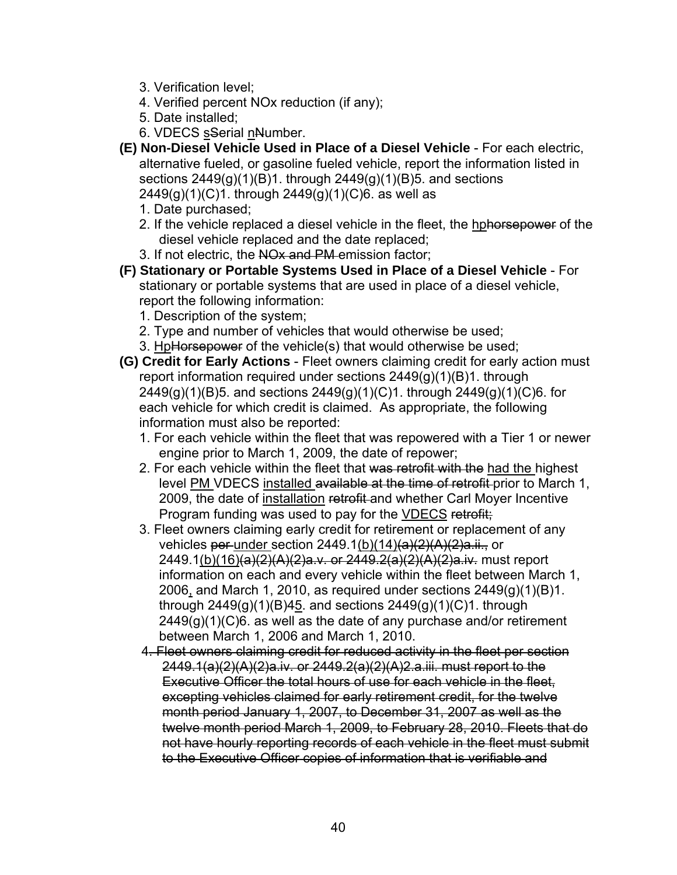- 3. Verification level;
- 4. Verified percent NOx reduction (if any);
- 5. Date installed;
- 6. VDECS sSerial nNumber.
- **(E) Non-Diesel Vehicle Used in Place of a Diesel Vehicle**  For each electric, alternative fueled, or gasoline fueled vehicle, report the information listed in sections  $2449(q)(1)(B)1$ . through  $2449(q)(1)(B)5$ . and sections 2449(g)(1)(C)1. through 2449(g)(1)(C)6. as well as
	- 1. Date purchased;
	- 2. If the vehicle replaced a diesel vehicle in the fleet, the hphorsepower of the diesel vehicle replaced and the date replaced;
	- 3. If not electric, the NO<sub>x</sub> and PM-emission factor;
- **(F) Stationary or Portable Systems Used in Place of a Diesel Vehicle**  For stationary or portable systems that are used in place of a diesel vehicle, report the following information:
	- 1. Description of the system;
	- 2. Type and number of vehicles that would otherwise be used;
	- 3. HpHorsepower of the vehicle(s) that would otherwise be used;
- **(G) Credit for Early Actions** Fleet owners claiming credit for early action must report information required under sections  $2449(g)(1)(B)1$ . through 2449(g)(1)(B)5. and sections 2449(g)(1)(C)1. through 2449(g)(1)(C)6. for each vehicle for which credit is claimed. As appropriate, the following information must also be reported:
	- 1. For each vehicle within the fleet that was repowered with a Tier 1 or newer engine prior to March 1, 2009, the date of repower;
	- 2. For each vehicle within the fleet that was retrofit with the had the highest level PM VDECS installed available at the time of retrofit prior to March 1, 2009, the date of installation retrofit and whether Carl Moyer Incentive Program funding was used to pay for the VDECS retrofit;
	- 3. Fleet owners claiming early credit for retirement or replacement of any vehicles per under section  $2449.1(b)(14) \frac{a}{2}(A)(2)$ a.ii., or 2449.1(b)(16)(a)(2)(A)(2)a.v. or 2449.2(a)(2)(A)(2)a.iv. must report information on each and every vehicle within the fleet between March 1, 2006, and March 1, 2010, as required under sections  $2449(q)(1)(B)1$ . through  $2449(g)(1)(B)45$ . and sections  $2449(g)(1)(C)1$ . through  $2449(g)(1)(C)6$ . as well as the date of any purchase and/or retirement between March 1, 2006 and March 1, 2010.
	- 4. Fleet owners claiming credit for reduced activity in the fleet per section 2449.1(a)(2)(A)(2)a.iv. or 2449.2(a)(2)(A)2.a.iii. must report to the Executive Officer the total hours of use for each vehicle in the fleet, excepting vehicles claimed for early retirement credit, for the twelve month period January 1, 2007, to December 31, 2007 as well as the twelve month period March 1, 2009, to February 28, 2010. Fleets that do not have hourly reporting records of each vehicle in the fleet must submit to the Executive Officer copies of information that is verifiable and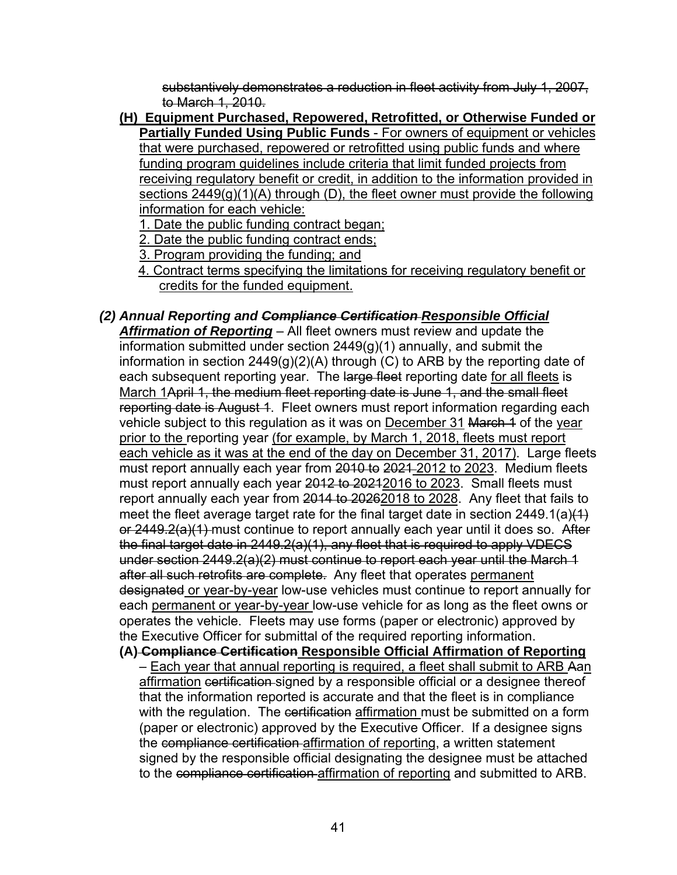substantively demonstrates a reduction in fleet activity from July 1, 2007, to March 1, 2010.

- **(H) Equipment Purchased, Repowered, Retrofitted, or Otherwise Funded or Partially Funded Using Public Funds** - For owners of equipment or vehicles that were purchased, repowered or retrofitted using public funds and where funding program guidelines include criteria that limit funded projects from receiving regulatory benefit or credit, in addition to the information provided in sections 2449(g)(1)(A) through (D), the fleet owner must provide the following information for each vehicle:
	- 1. Date the public funding contract began;
	- 2. Date the public funding contract ends;
	- 3. Program providing the funding; and
	- 4. Contract terms specifying the limitations for receiving regulatory benefit or credits for the funded equipment.
- *(2) Annual Reporting and Compliance Certification Responsible Official Affirmation of Reporting* – All fleet owners must review and update the information submitted under section 2449(g)(1) annually, and submit the information in section  $2449(g)(2)(A)$  through (C) to ARB by the reporting date of each subsequent reporting year. The large fleet reporting date for all fleets is March 1April 1, the medium fleet reporting date is June 1, and the small fleet reporting date is August 4. Fleet owners must report information regarding each vehicle subject to this regulation as it was on December 31 March 4 of the year prior to the reporting year (for example, by March 1, 2018, fleets must report each vehicle as it was at the end of the day on December 31, 2017). Large fleets must report annually each year from 2010 to 2021-2012 to 2023. Medium fleets must report annually each year 2012 to 20212016 to 2023. Small fleets must report annually each year from 2014 to 20262018 to 2028. Any fleet that fails to meet the fleet average target rate for the final target date in section  $2449.1(a)(1)$ or 2449.2(a)(1) must continue to report annually each year until it does so. After the final target date in 2449.2(a)(1), any fleet that is required to apply VDECS under section 2449.2(a)(2) must continue to report each year until the March 1 after all such retrofits are complete. Any fleet that operates permanent designated or year-by-year low-use vehicles must continue to report annually for each permanent or year-by-year low-use vehicle for as long as the fleet owns or operates the vehicle. Fleets may use forms (paper or electronic) approved by the Executive Officer for submittal of the required reporting information.
	- **(A) Compliance Certification Responsible Official Affirmation of Reporting** – Each year that annual reporting is required, a fleet shall submit to ARB Aan affirmation certification signed by a responsible official or a designee thereof that the information reported is accurate and that the fleet is in compliance with the regulation. The certification affirmation must be submitted on a form (paper or electronic) approved by the Executive Officer. If a designee signs the compliance certification affirmation of reporting, a written statement signed by the responsible official designating the designee must be attached to the compliance certification affirmation of reporting and submitted to ARB.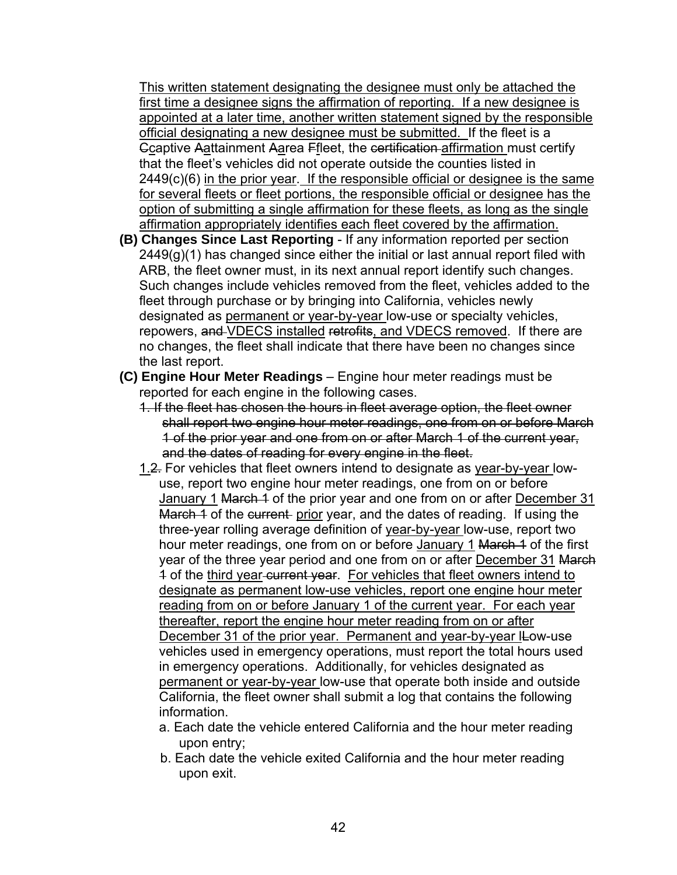This written statement designating the designee must only be attached the first time a designee signs the affirmation of reporting. If a new designee is appointed at a later time, another written statement signed by the responsible official designating a new designee must be submitted. If the fleet is a Ccaptive Aattainment Aarea Ffleet, the certification affirmation must certify that the fleet's vehicles did not operate outside the counties listed in 2449(c)(6) in the prior year. If the responsible official or designee is the same for several fleets or fleet portions, the responsible official or designee has the option of submitting a single affirmation for these fleets, as long as the single affirmation appropriately identifies each fleet covered by the affirmation.

- **(B) Changes Since Last Reporting** If any information reported per section 2449(g)(1) has changed since either the initial or last annual report filed with ARB, the fleet owner must, in its next annual report identify such changes. Such changes include vehicles removed from the fleet, vehicles added to the fleet through purchase or by bringing into California, vehicles newly designated as permanent or year-by-year low-use or specialty vehicles, repowers, and VDECS installed retrofits, and VDECS removed. If there are no changes, the fleet shall indicate that there have been no changes since the last report.
- **(C) Engine Hour Meter Readings** Engine hour meter readings must be reported for each engine in the following cases.
	- 1. If the fleet has chosen the hours in fleet average option, the fleet owner shall report two engine hour meter readings, one from on or before March 1 of the prior year and one from on or after March 1 of the current year, and the dates of reading for every engine in the fleet.
	- 1.2. For vehicles that fleet owners intend to designate as year-by-year lowuse, report two engine hour meter readings, one from on or before January 1 March 4 of the prior year and one from on or after December 31 March 1 of the current- prior year, and the dates of reading. If using the three-year rolling average definition of year-by-year low-use, report two hour meter readings, one from on or before January 1 March 1 of the first year of the three year period and one from on or after December 31 March 4 of the third year-current year. For vehicles that fleet owners intend to designate as permanent low-use vehicles, report one engine hour meter reading from on or before January 1 of the current year. For each year thereafter, report the engine hour meter reading from on or after December 31 of the prior year. Permanent and year-by-year ILow-use vehicles used in emergency operations, must report the total hours used in emergency operations. Additionally, for vehicles designated as permanent or year-by-year low-use that operate both inside and outside California, the fleet owner shall submit a log that contains the following information.
		- a. Each date the vehicle entered California and the hour meter reading upon entry;
		- b. Each date the vehicle exited California and the hour meter reading upon exit.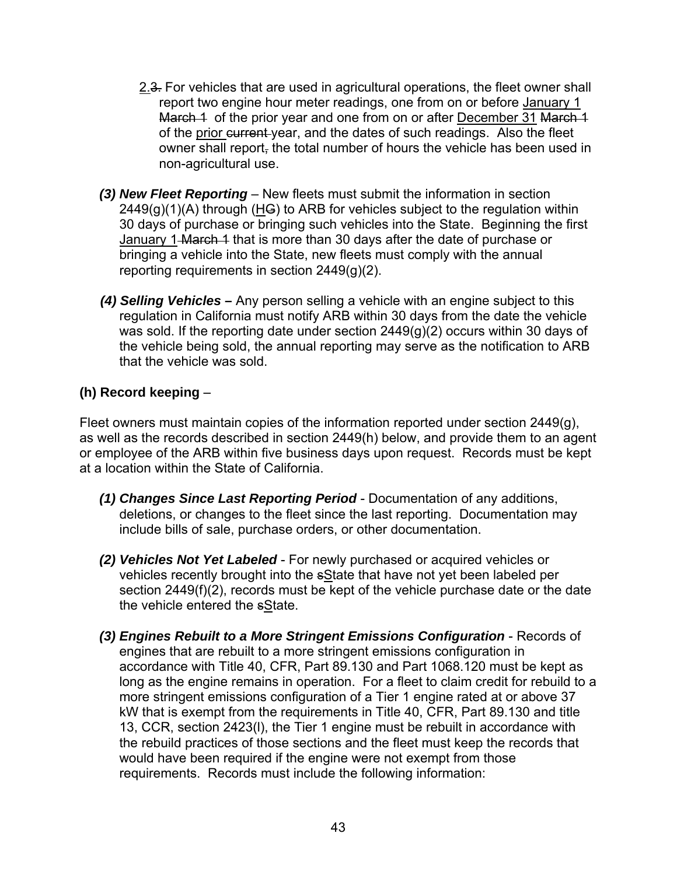- 2.3. For vehicles that are used in agricultural operations, the fleet owner shall report two engine hour meter readings, one from on or before January 1 March 1 of the prior year and one from on or after December 31 March 1 of the prior current year, and the dates of such readings. Also the fleet owner shall report, the total number of hours the vehicle has been used in non-agricultural use.
- *(3) New Fleet Reporting* New fleets must submit the information in section  $2449(q)(1)(A)$  through (HG) to ARB for vehicles subject to the regulation within 30 days of purchase or bringing such vehicles into the State. Beginning the first January 1-March 4 that is more than 30 days after the date of purchase or bringing a vehicle into the State, new fleets must comply with the annual reporting requirements in section 2449(g)(2).
- *(4) Selling Vehicles*Any person selling a vehicle with an engine subject to this regulation in California must notify ARB within 30 days from the date the vehicle was sold. If the reporting date under section 2449(g)(2) occurs within 30 days of the vehicle being sold, the annual reporting may serve as the notification to ARB that the vehicle was sold.

### **(h) Record keeping** –

Fleet owners must maintain copies of the information reported under section 2449(g), as well as the records described in section 2449(h) below, and provide them to an agent or employee of the ARB within five business days upon request. Records must be kept at a location within the State of California.

- *(1) Changes Since Last Reporting Period* Documentation of any additions, deletions, or changes to the fleet since the last reporting. Documentation may include bills of sale, purchase orders, or other documentation.
- *(2) Vehicles Not Yet Labeled* For newly purchased or acquired vehicles or vehicles recently brought into the sState that have not yet been labeled per section 2449(f)(2), records must be kept of the vehicle purchase date or the date the vehicle entered the sState.
- *(3) Engines Rebuilt to a More Stringent Emissions Configuration* Records of engines that are rebuilt to a more stringent emissions configuration in accordance with Title 40, CFR, Part 89.130 and Part 1068.120 must be kept as long as the engine remains in operation. For a fleet to claim credit for rebuild to a more stringent emissions configuration of a Tier 1 engine rated at or above 37 kW that is exempt from the requirements in Title 40, CFR, Part 89.130 and title 13, CCR, section 2423(l), the Tier 1 engine must be rebuilt in accordance with the rebuild practices of those sections and the fleet must keep the records that would have been required if the engine were not exempt from those requirements. Records must include the following information: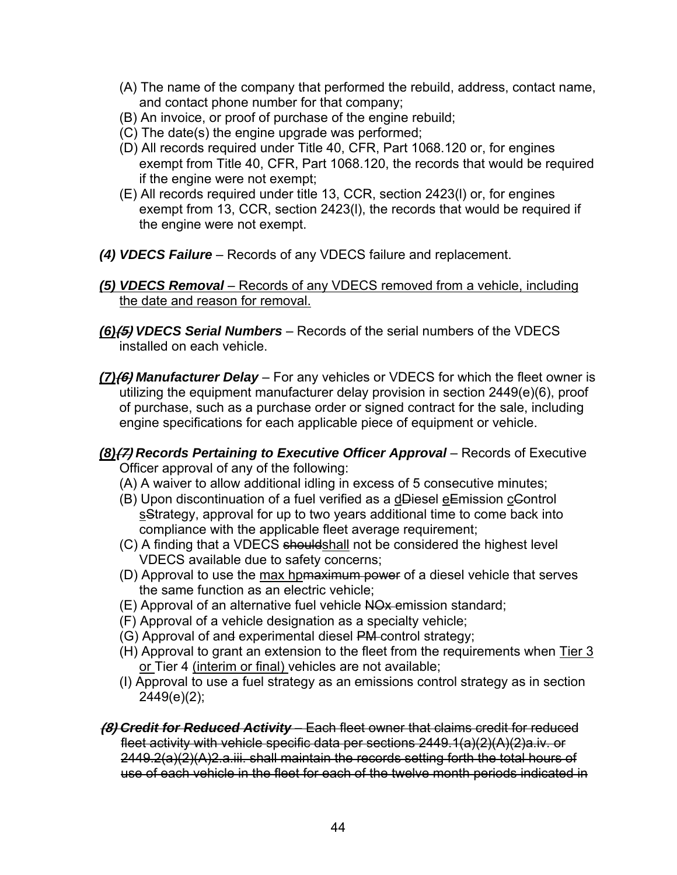- (A) The name of the company that performed the rebuild, address, contact name, and contact phone number for that company;
- (B) An invoice, or proof of purchase of the engine rebuild;
- (C) The date(s) the engine upgrade was performed;
- (D) All records required under Title 40, CFR, Part 1068.120 or, for engines exempt from Title 40, CFR, Part 1068.120, the records that would be required if the engine were not exempt;
- (E) All records required under title 13, CCR, section 2423(l) or, for engines exempt from 13, CCR, section 2423(l), the records that would be required if the engine were not exempt.
- *(4) VDECS Failure* Records of any VDECS failure and replacement.

#### *(5) VDECS Removal* – Records of any VDECS removed from a vehicle, including the date and reason for removal.

- *(6)***(5)** *VDECS Serial Numbers* Records of the serial numbers of the VDECS installed on each vehicle.
- *(7)***(6)** *Manufacturer Delay* For any vehicles or VDECS for which the fleet owner is utilizing the equipment manufacturer delay provision in section 2449(e)(6), proof of purchase, such as a purchase order or signed contract for the sale, including engine specifications for each applicable piece of equipment or vehicle.
- *(8)***(7)** *Records Pertaining to Executive Officer Approval* Records of Executive Officer approval of any of the following:
	- (A) A waiver to allow additional idling in excess of 5 consecutive minutes;
	- (B) Upon discontinuation of a fuel verified as a dDiesel eEmission cControl sStrategy, approval for up to two years additional time to come back into compliance with the applicable fleet average requirement;
	- (C) A finding that a VDECS shouldshall not be considered the highest level VDECS available due to safety concerns;
	- (D) Approval to use the max hpmaximum power of a diesel vehicle that serves the same function as an electric vehicle;
	- (E) Approval of an alternative fuel vehicle NOx emission standard;
	- (F) Approval of a vehicle designation as a specialty vehicle;
	- (G) Approval of and experimental diesel PM control strategy;
	- (H) Approval to grant an extension to the fleet from the requirements when Tier 3 or Tier 4 (interim or final) vehicles are not available;
	- (I) Approval to use a fuel strategy as an emissions control strategy as in section 2449(e)(2);
- **(8)** *Credit for Reduced Activity*  Each fleet owner that claims credit for reduced fleet activity with vehicle specific data per sections 2449.1(a)(2)(A)(2)a.iv. or 2449.2(a)(2)(A)2.a.iii. shall maintain the records setting forth the total hours of use of each vehicle in the fleet for each of the twelve month periods indicated in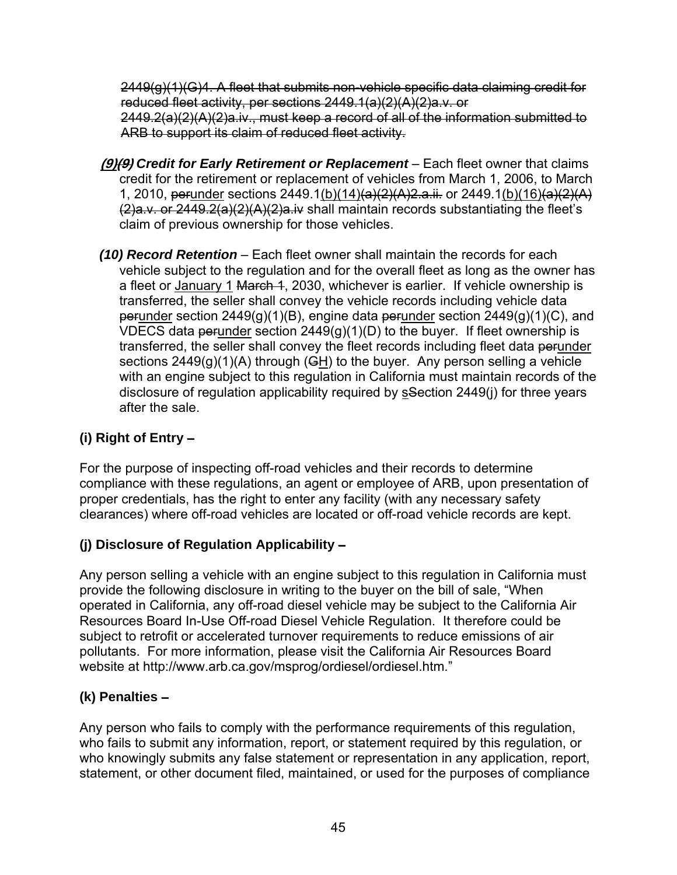$2449(q)(1)(G)4$ . A fleet that submits non-vehicle specific data claiming credit for reduced fleet activity, per sections 2449.1(a)(2)(A)(2)a.v. or 2449.2(a)(2)(A)(2)a.iv., must keep a record of all of the information submitted to ARB to support its claim of reduced fleet activity.

- **(9)(9)** *Credit for Early Retirement or Replacement*  Each fleet owner that claims credit for the retirement or replacement of vehicles from March 1, 2006, to March 1, 2010, perunder sections 2449.1(b)(14)(a)(2)(A)2.a.ii. or 2449.1(b)(16)(a)(2)(A) (2)a.v. or 2449.2(a)(2)(A)(2)a.iv shall maintain records substantiating the fleet's claim of previous ownership for those vehicles.
- *(10) Record Retention* Each fleet owner shall maintain the records for each vehicle subject to the regulation and for the overall fleet as long as the owner has a fleet or January 1 March 4, 2030, whichever is earlier. If vehicle ownership is transferred, the seller shall convey the vehicle records including vehicle data perunder section  $2449(q)(1)(B)$ , engine data perunder section  $2449(q)(1)(C)$ , and VDECS data perunder section  $2449(q)(1)(D)$  to the buyer. If fleet ownership is transferred, the seller shall convey the fleet records including fleet data perunder sections  $2449(q)(1)(A)$  through (GH) to the buyer. Any person selling a vehicle with an engine subject to this regulation in California must maintain records of the disclosure of regulation applicability required by sSection 2449(i) for three years after the sale.

# **(i) Right of Entry** –

For the purpose of inspecting off-road vehicles and their records to determine compliance with these regulations, an agent or employee of ARB, upon presentation of proper credentials, has the right to enter any facility (with any necessary safety clearances) where off-road vehicles are located or off-road vehicle records are kept.

# **(j) Disclosure of Regulation Applicability** –

Any person selling a vehicle with an engine subject to this regulation in California must provide the following disclosure in writing to the buyer on the bill of sale, "When operated in California, any off-road diesel vehicle may be subject to the California Air Resources Board In-Use Off-road Diesel Vehicle Regulation. It therefore could be subject to retrofit or accelerated turnover requirements to reduce emissions of air pollutants. For more information, please visit the California Air Resources Board website at http://www.arb.ca.gov/msprog/ordiesel/ordiesel.htm."

# **(k) Penalties** –

Any person who fails to comply with the performance requirements of this regulation, who fails to submit any information, report, or statement required by this regulation, or who knowingly submits any false statement or representation in any application, report, statement, or other document filed, maintained, or used for the purposes of compliance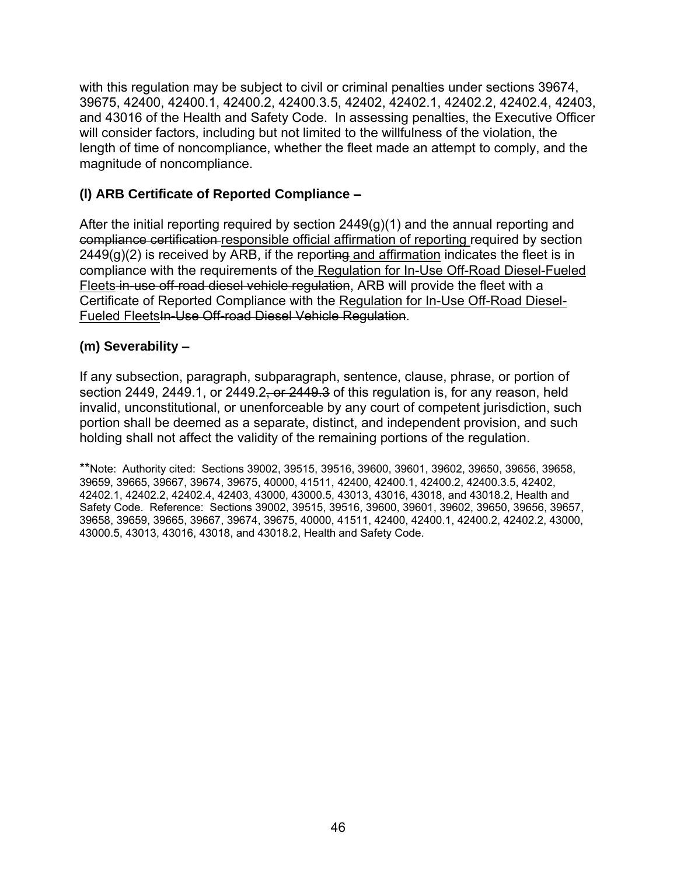with this regulation may be subject to civil or criminal penalties under sections 39674, 39675, 42400, 42400.1, 42400.2, 42400.3.5, 42402, 42402.1, 42402.2, 42402.4, 42403, and 43016 of the Health and Safety Code. In assessing penalties, the Executive Officer will consider factors, including but not limited to the willfulness of the violation, the length of time of noncompliance, whether the fleet made an attempt to comply, and the magnitude of noncompliance.

### **(l) ARB Certificate of Reported Compliance** –

After the initial reporting required by section  $2449(q)(1)$  and the annual reporting and compliance certification responsible official affirmation of reporting required by section  $2449(g)(2)$  is received by ARB, if the reporting and affirmation indicates the fleet is in compliance with the requirements of the Regulation for In-Use Off-Road Diesel-Fueled Fleets in use off-road diesel vehicle regulation, ARB will provide the fleet with a Certificate of Reported Compliance with the Regulation for In-Use Off-Road Diesel-Fueled FleetsIn-Use Off-road Diesel Vehicle Regulation.

### **(m) Severability** –

If any subsection, paragraph, subparagraph, sentence, clause, phrase, or portion of section 2449, 2449.1, or 2449.2, or  $2449.3$  of this regulation is, for any reason, held invalid, unconstitutional, or unenforceable by any court of competent jurisdiction, such portion shall be deemed as a separate, distinct, and independent provision, and such holding shall not affect the validity of the remaining portions of the regulation.

\*\*Note: Authority cited: Sections 39002, 39515, 39516, 39600, 39601, 39602, 39650, 39656, 39658, 39659, 39665, 39667, 39674, 39675, 40000, 41511, 42400, 42400.1, 42400.2, 42400.3.5, 42402, 42402.1, 42402.2, 42402.4, 42403, 43000, 43000.5, 43013, 43016, 43018, and 43018.2, Health and Safety Code. Reference: Sections 39002, 39515, 39516, 39600, 39601, 39602, 39650, 39656, 39657, 39658, 39659, 39665, 39667, 39674, 39675, 40000, 41511, 42400, 42400.1, 42400.2, 42402.2, 43000, 43000.5, 43013, 43016, 43018, and 43018.2, Health and Safety Code.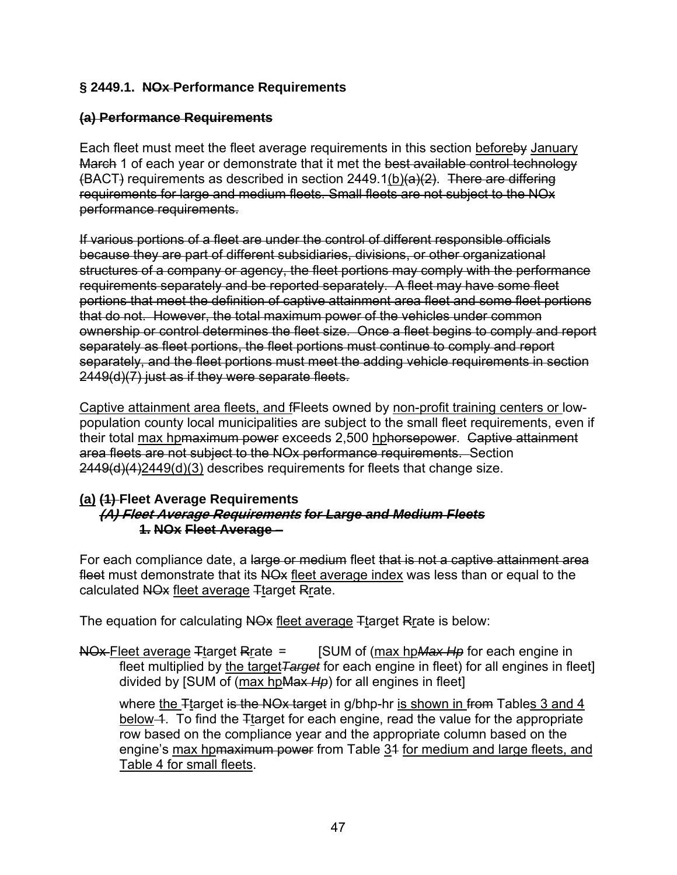### **§ 2449.1. NOx Performance Requirements**

### **(a) Performance Requirements**

Each fleet must meet the fleet average requirements in this section beforeby January March 1 of each year or demonstrate that it met the best available control technology  $(BACT)$  requirements as described in section 2449.1(b)(a)(2). There are differing requirements for large and medium fleets. Small fleets are not subject to the NOx performance requirements.

If various portions of a fleet are under the control of different responsible officials because they are part of different subsidiaries, divisions, or other organizational structures of a company or agency, the fleet portions may comply with the performance requirements separately and be reported separately. A fleet may have some fleet portions that meet the definition of captive attainment area fleet and some fleet portions that do not. However, the total maximum power of the vehicles under common ownership or control determines the fleet size. Once a fleet begins to comply and report separately as fleet portions, the fleet portions must continue to comply and report separately, and the fleet portions must meet the adding vehicle requirements in section 2449(d)(7) just as if they were separate fleets.

Captive attainment area fleets, and fFleets owned by non-profit training centers or lowpopulation county local municipalities are subject to the small fleet requirements, even if their total max hpmaximum power exceeds 2,500 hphorsepower. Captive attainment area fleets are not subject to the NOx performance requirements. Section 2449(d)(4)2449(d)(3) describes requirements for fleets that change size.

#### **(a) (1) Fleet Average Requirements (A) Fleet Average Requirements** *for Large and Medium Fleets*  **1. NOx Fleet Average** –

For each compliance date, a large or medium fleet that is not a captive attainment area fleet must demonstrate that its NO<sub>x</sub> fleet average index was less than or equal to the calculated NO<sub>x</sub> fleet average Ttarget Rrate.

The equation for calculating NO<sub>x</sub> fleet average <sub>T</sub>target Rrate is below:

NOx Fleet average Ttarget Rrate = [SUM of (max hp*Max Hp* for each engine in fleet multiplied by the target*Target* for each engine in fleet) for all engines in fleet] divided by [SUM of (max hpMax *Hp*) for all engines in fleet]

where the Ttarget is the NOx target in g/bhp-hr is shown in from Tables 3 and 4 below 4. To find the Ttarget for each engine, read the value for the appropriate row based on the compliance year and the appropriate column based on the engine's max hpmaximum power from Table 34 for medium and large fleets, and Table 4 for small fleets.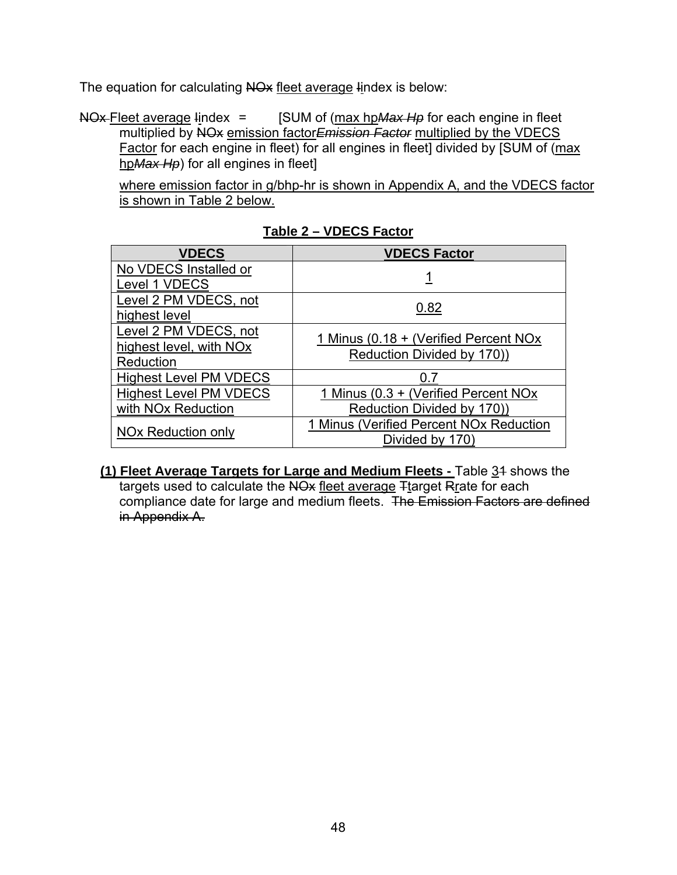The equation for calculating NO<sub>x</sub> fleet average lindex is below:

NOx Fleet average lindex = [SUM of (max hp Max Hp for each engine in fleet multiplied by NOx emission factor*Emission Factor* multiplied by the VDECS Factor for each engine in fleet) for all engines in fleet] divided by [SUM of (max hp*Max Hp*) for all engines in fleet]

 where emission factor in g/bhp-hr is shown in Appendix A, and the VDECS factor is shown in Table 2 below.

| <b>VDECS</b>                        | <b>VDECS Factor</b>                                 |  |  |  |  |
|-------------------------------------|-----------------------------------------------------|--|--|--|--|
| No VDECS Installed or               |                                                     |  |  |  |  |
| Level 1 VDECS                       |                                                     |  |  |  |  |
| Level 2 PM VDECS, not               | 0.82                                                |  |  |  |  |
| highest level                       |                                                     |  |  |  |  |
| Level 2 PM VDECS, not               | 1 Minus (0.18 + (Verified Percent NOx               |  |  |  |  |
| highest level, with NO <sub>x</sub> | Reduction Divided by 170))                          |  |  |  |  |
| Reduction                           |                                                     |  |  |  |  |
| <b>Highest Level PM VDECS</b>       | 0.7                                                 |  |  |  |  |
| <b>Highest Level PM VDECS</b>       | 1 Minus (0.3 + (Verified Percent NOx)               |  |  |  |  |
| with NO <sub>x</sub> Reduction      | Reduction Divided by 170))                          |  |  |  |  |
| NO <sub>x</sub> Reduction only      | 1 Minus (Verified Percent NO <sub>x</sub> Reduction |  |  |  |  |
|                                     | Divided by 170)                                     |  |  |  |  |

**Table 2 – VDECS Factor** 

**(1) Fleet Average Targets for Large and Medium Fleets - Table 34 shows the** targets used to calculate the NO<sub>x</sub> fleet average Ttarget Rrate for each compliance date for large and medium fleets. The Emission Factors are defined in Appendix A.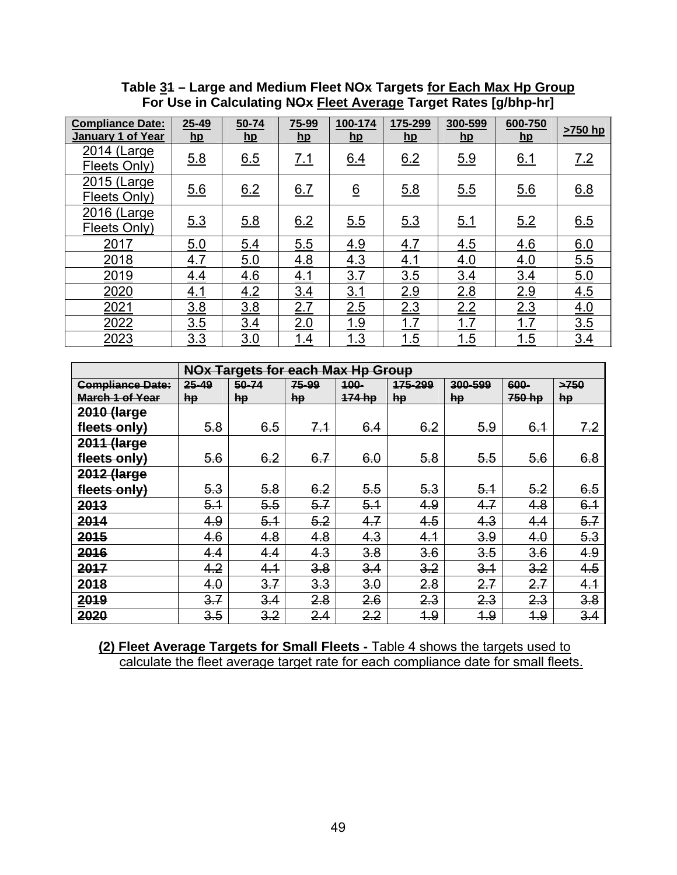**Table 31 – Large and Medium Fleet NOx Targets for Each Max Hp Group For Use in Calculating NOx Fleet Average Target Rates [g/bhp-hr]** 

| <b>Compliance Date:</b><br><b>January 1 of Year</b> | $25 - 49$<br>hp | $50 - 74$<br>$h$ <sub>p</sub> | 75-99<br>$hp$ | 100-174<br>$h$ p | 175-299<br>$hp$ | 300-599<br>$hp$ | 600-750<br>$\mathbf{h}$ | >750 hp |
|-----------------------------------------------------|-----------------|-------------------------------|---------------|------------------|-----------------|-----------------|-------------------------|---------|
| 2014 (Large<br>Fleets Only)                         | 5.8             | 6.5                           | 7.1           | 6.4              | 6.2             | 5.9             | 6.1                     | 7.2     |
| 2015 (Large<br>Fleets Only)                         | 5.6             | 6.2                           | 6.7           | $\underline{6}$  | 5.8             | 5.5             | 5.6                     | 6.8     |
| 2016 (Large<br>Fleets Only)                         | 5.3             | 5.8                           | 6.2           | 5.5              | 5.3             | 5.1             | 5.2                     | 6.5     |
| 2017                                                | 5.0             | 5.4                           | 5.5           | 4.9              | 4.7             | 4.5             | 4.6                     | 6.0     |
| 2018                                                | 4.7             | 5.0                           | 4.8           | 4.3              | 4.1             | 4.0             | 4.0                     | 5.5     |
| 2019                                                | 4.4             | 4.6                           | 4.1           | 3.7              | 3.5             | 3.4             | 3.4                     | 5.0     |
| 2020                                                | <u>4.1</u>      | 4.2                           | 3.4           | 3.1              | 2.9             | 2.8             | 2.9                     | 4.5     |
| 2021                                                | 3.8             | 3.8                           | 2.7           | 2.5              | 2.3             | 2.2             | 2.3                     | 4.0     |
| 2022                                                | 3.5             | 3.4                           | 2.0           | 1.9              | 1.7             | 1.7             | 1.7                     | 3.5     |
| 2023                                                | 3.3             | 3.0                           | 1.4           | 1.3              | 1.5             | 1.5             | 1.5                     | 3.4     |

|                         |       | <b>NOx Targets for each Max Hp Group</b> |       |        |         |         |        |      |  |  |
|-------------------------|-------|------------------------------------------|-------|--------|---------|---------|--------|------|--|--|
| <b>Compliance Date:</b> | 25-49 | 50-74                                    | 75-99 | 100-   | 175-299 | 300-599 | 600-   | >750 |  |  |
| <b>March 1 of Year</b>  | hp    | hp                                       | hp    | 174 hp | hp      | hp      | 750 hp | hp   |  |  |
| 2010 (large             |       |                                          |       |        |         |         |        |      |  |  |
| fleets only)            | 5.8   | 6.5                                      | 7.1   | 6.4    | 6.2     | 5.9     | 6.1    | 7.2  |  |  |
| 2011 (large             |       |                                          |       |        |         |         |        |      |  |  |
| fleets only)            | 5.6   | 6.2                                      | 6.7   | 6.0    | 5.8     | 5.5     | 5.6    | 6.8  |  |  |
| 2012 (large             |       |                                          |       |        |         |         |        |      |  |  |
| fleets only)            | 5.3   | 5.8                                      | 6.2   | 5.5    | 5.3     | 5.1     | 5.2    | 6.5  |  |  |
| 2013                    | 5.1   | 5.5                                      | 5.7   | 5.1    | 4.9     | 4.7     | 4.8    | 6.1  |  |  |
| 2014                    | 4.9   | 5.1                                      | 5.2   | 4.7    | 4.5     | 4.3     | 4.4    | 5.7  |  |  |
| 2015                    | 4.6   | 4.8                                      | 4.8   | 4.3    | 4.1     | 3.9     | 4.0    | 5.3  |  |  |
| 2016                    | 4.4   | 4.4                                      | 4.3   | 3.8    | 3.6     | 3.5     | 3.6    | 4.9  |  |  |
| 2017                    | 4.2   | 4.1                                      | 3.8   | 3.4    | 3.2     | 3.1     | 3.2    | 4.5  |  |  |
| 2018                    | 4.0   | 3.7                                      | 3.3   | 3.0    | 2.8     | 2.7     | 2.7    | 4.1  |  |  |
| 2019                    | 3.7   | 3.4                                      | 2.8   | 2.6    | 2.3     | 2.3     | 2.3    | 3.8  |  |  |
| 2020                    | 3.5   | 3.2                                      | 2.4   | 2.2    | 4.9     | 4.9     | 4.9    | 3.4  |  |  |

**(2) Fleet Average Targets for Small Fleets -** Table 4 shows the targets used to calculate the fleet average target rate for each compliance date for small fleets.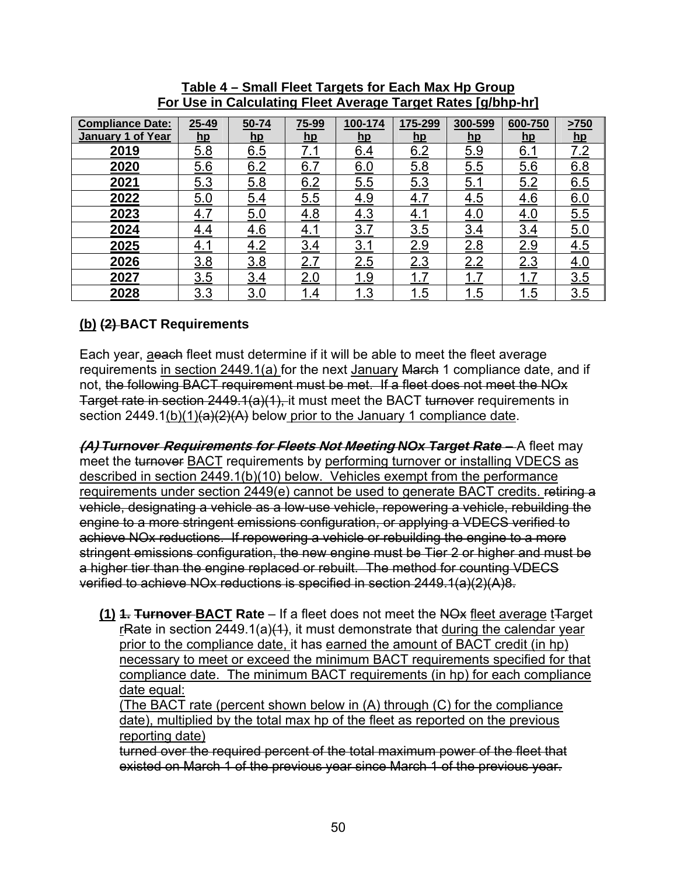| <b>Compliance Date:</b><br>January 1 of Year | $25 - 49$<br>$\mathbf{h}$ | 50-74<br>$hp$ | 75-99<br>$\mathbf{hp}$ | 100-174<br>hp | 175-299<br>$\mathbf{hp}$ | 300-599<br>$\mathbf{hp}$ | 600-750<br>hp | >750<br><u>hp</u> |
|----------------------------------------------|---------------------------|---------------|------------------------|---------------|--------------------------|--------------------------|---------------|-------------------|
| 2019                                         | 5.8                       | 6.5           | 7.1                    | 6.4           | 6.2                      | 5.9                      | <u>6.1</u>    | 7.2               |
| 2020                                         | 5.6                       | 6.2           | 6.7                    | 6.0           | 5.8                      | 5.5                      | 6.6           | 6.8               |
| 2021                                         | 5.3                       | 5.8           | 6.2                    | 5.5           | 5.3                      | 5.1                      | 5.2           | 6.5               |
| 2022                                         | 5.0                       | 5.4           | 5.5                    | 4.9           | 4.7                      | 4.5                      | 4.6           | 6.0               |
| 2023                                         | 4.7                       | 5.0           | 4.8                    | 4.3           | 4.1                      | 4.0                      | <u>4.0</u>    | 5.5               |
| 2024                                         | 4.4                       | 4.6           | 4.1                    | 3.7           | 3.5                      | 3.4                      | 3.4           | 5.0               |
| 2025                                         | <u>4.1</u>                | 4.2           | 3.4                    | 3.1           | 2.9                      | 2.8                      | 2.9           | 4.5               |
| 2026                                         | 3.8                       | 3.8           | 2.7                    | 2.5           | 2.3                      | 2.2                      | 2.3           | 4.0               |
| 2027                                         | 3.5                       | 3.4           | 2.0                    | <u> 1.9</u>   | <u>1.7</u>               | <u>1.7</u>               | <u> 1.7</u>   | 3.5               |
| 2028                                         | 3.3                       | 3.0           | 1.4                    | <u> 1.3</u>   | <u>1.5</u>               | 1.5<br>1                 | 1.5           | 3.5               |

**Table 4 – Small Fleet Targets for Each Max Hp Group For Use in Calculating Fleet Average Target Rates [g/bhp-hr]** 

### **(b) (2) BACT Requirements**

Each year, aeach fleet must determine if it will be able to meet the fleet average requirements in section 2449.1(a) for the next January March 1 compliance date, and if not, the following BACT requirement must be met. If a fleet does not meet the NOx Target rate in section 2449.1(a)(1), it must meet the BACT turnover requirements in section 2449.1(b)(1) $(a)(2)(A)$  below prior to the January 1 compliance date.

**(A)** *Turnover* **Requirements for Fleets Not Meeting** *NOx Target Rate* – A fleet may meet the turnover BACT requirements by performing turnover or installing VDECS as described in section 2449.1(b)(10) below. Vehicles exempt from the performance requirements under section 2449(e) cannot be used to generate BACT credits. retiring a vehicle, designating a vehicle as a low-use vehicle, repowering a vehicle, rebuilding the engine to a more stringent emissions configuration, or applying a VDECS verified to achieve NOx reductions. If repowering a vehicle or rebuilding the engine to a more stringent emissions configuration, the new engine must be Tier 2 or higher and must be a higher tier than the engine replaced or rebuilt. The method for counting VDECS verified to achieve NOx reductions is specified in section 2449.1(a)(2)(A)8.

**(1) 4. Turnover-BACT Rate** – If a fleet does not meet the NO<sub>x</sub> fleet average t<sub>rarget</sub> rRate in section 2449.1(a) $(1)$ , it must demonstrate that during the calendar year prior to the compliance date, it has earned the amount of BACT credit (in hp) necessary to meet or exceed the minimum BACT requirements specified for that compliance date. The minimum BACT requirements (in hp) for each compliance date equal:

(The BACT rate (percent shown below in (A) through (C) for the compliance date), multiplied by the total max hp of the fleet as reported on the previous reporting date)

turned over the required percent of the total maximum power of the fleet that existed on March 1 of the previous year since March 1 of the previous year.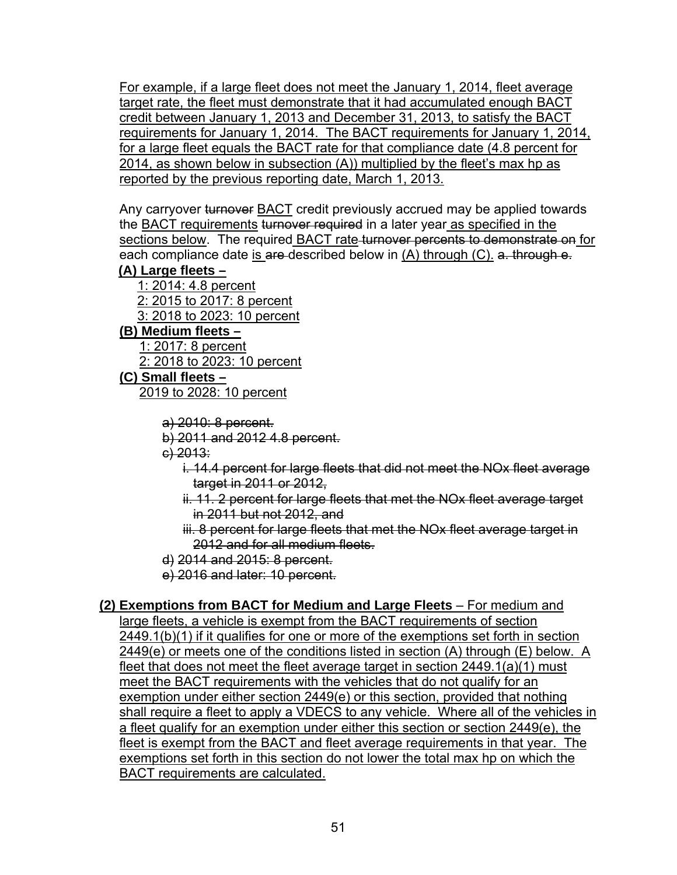For example, if a large fleet does not meet the January 1, 2014, fleet average target rate, the fleet must demonstrate that it had accumulated enough BACT credit between January 1, 2013 and December 31, 2013, to satisfy the BACT requirements for January 1, 2014. The BACT requirements for January 1, 2014, for a large fleet equals the BACT rate for that compliance date (4.8 percent for 2014, as shown below in subsection (A)) multiplied by the fleet's max hp as reported by the previous reporting date, March 1, 2013.

Any carryover turnover BACT credit previously accrued may be applied towards the BACT requirements turnover required in a later year as specified in the sections below. The required BACT rate turnover percents to demonstrate on for each compliance date is are described below in  $(A)$  through  $(C)$ . a. through  $e$ .

### **(A) Large fleets –**

1: 2014: 4.8 percent 2: 2015 to 2017: 8 percent 3: 2018 to 2023: 10 percent

- **(B) Medium fleets** 
	- 1: 2017: 8 percent

2: 2018 to 2023: 10 percent

- **(C) Small fleets**  2019 to 2028: 10 percent
	- a) 2010: 8 percent.
	- b) 2011 and 2012 4.8 percent.
	- c) 2013:
		- i. 14.4 percent for large fleets that did not meet the NOx fleet average target in 2011 or 2012,
		- ii. 11. 2 percent for large fleets that met the NOx fleet average target in 2011 but not 2012, and
		- iii. 8 percent for large fleets that met the NO<sub>x</sub> fleet average target in 2012 and for all medium fleets.
	- d) 2014 and 2015: 8 percent.
	- e) 2016 and later: 10 percent.

# **(2) Exemptions from BACT for Medium and Large Fleets** – For medium and

large fleets, a vehicle is exempt from the BACT requirements of section 2449.1(b)(1) if it qualifies for one or more of the exemptions set forth in section 2449(e) or meets one of the conditions listed in section (A) through (E) below. A fleet that does not meet the fleet average target in section 2449.1(a)(1) must meet the BACT requirements with the vehicles that do not qualify for an exemption under either section 2449(e) or this section, provided that nothing shall require a fleet to apply a VDECS to any vehicle. Where all of the vehicles in a fleet qualify for an exemption under either this section or section 2449(e), the fleet is exempt from the BACT and fleet average requirements in that year. The exemptions set forth in this section do not lower the total max hp on which the BACT requirements are calculated.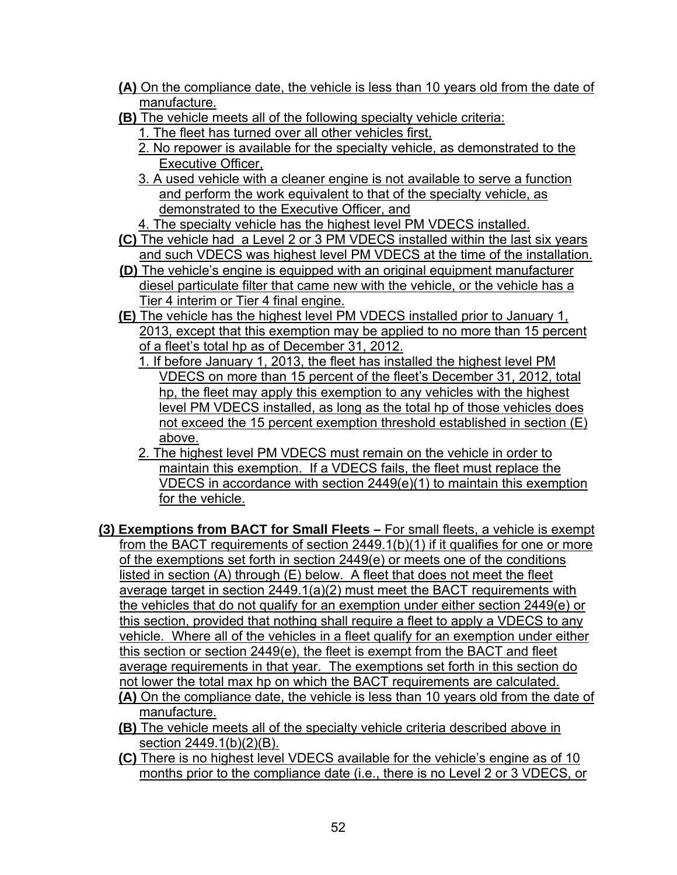- **(A)** On the compliance date, the vehicle is less than 10 years old from the date of manufacture.
- **(B)** The vehicle meets all of the following specialty vehicle criteria:
	- 1. The fleet has turned over all other vehicles first,
	- 2. No repower is available for the specialty vehicle, as demonstrated to the Executive Officer,
	- 3. A used vehicle with a cleaner engine is not available to serve a function and perform the work equivalent to that of the specialty vehicle, as demonstrated to the Executive Officer, and
	- 4. The specialty vehicle has the highest level PM VDECS installed.
- **(C)** The vehicle had a Level 2 or 3 PM VDECS installed within the last six years and such VDECS was highest level PM VDECS at the time of the installation.
- **(D)** The vehicle's engine is equipped with an original equipment manufacturer diesel particulate filter that came new with the vehicle, or the vehicle has a Tier 4 interim or Tier 4 final engine.
- **(E)** The vehicle has the highest level PM VDECS installed prior to January 1, 2013, except that this exemption may be applied to no more than 15 percent of a fleet's total hp as of December 31, 2012.
	- 1. If before January 1, 2013, the fleet has installed the highest level PM VDECS on more than 15 percent of the fleet's December 31, 2012, total hp, the fleet may apply this exemption to any vehicles with the highest level PM VDECS installed, as long as the total hp of those vehicles does not exceed the 15 percent exemption threshold established in section (E) above.
	- 2. The highest level PM VDECS must remain on the vehicle in order to maintain this exemption. If a VDECS fails, the fleet must replace the VDECS in accordance with section 2449(e)(1) to maintain this exemption for the vehicle.
- **(3) Exemptions from BACT for Small Fleets** For small fleets, a vehicle is exempt from the BACT requirements of section 2449.1(b)(1) if it qualifies for one or more of the exemptions set forth in section 2449(e) or meets one of the conditions listed in section (A) through (E) below. A fleet that does not meet the fleet average target in section 2449.1(a)(2) must meet the BACT requirements with the vehicles that do not qualify for an exemption under either section 2449(e) or this section, provided that nothing shall require a fleet to apply a VDECS to any vehicle. Where all of the vehicles in a fleet qualify for an exemption under either this section or section 2449(e), the fleet is exempt from the BACT and fleet average requirements in that year. The exemptions set forth in this section do not lower the total max hp on which the BACT requirements are calculated.
	- **(A)** On the compliance date, the vehicle is less than 10 years old from the date of manufacture.
	- **(B)** The vehicle meets all of the specialty vehicle criteria described above in section 2449.1(b)(2)(B).
	- **(C)** There is no highest level VDECS available for the vehicle's engine as of 10 months prior to the compliance date (i.e., there is no Level 2 or 3 VDECS, or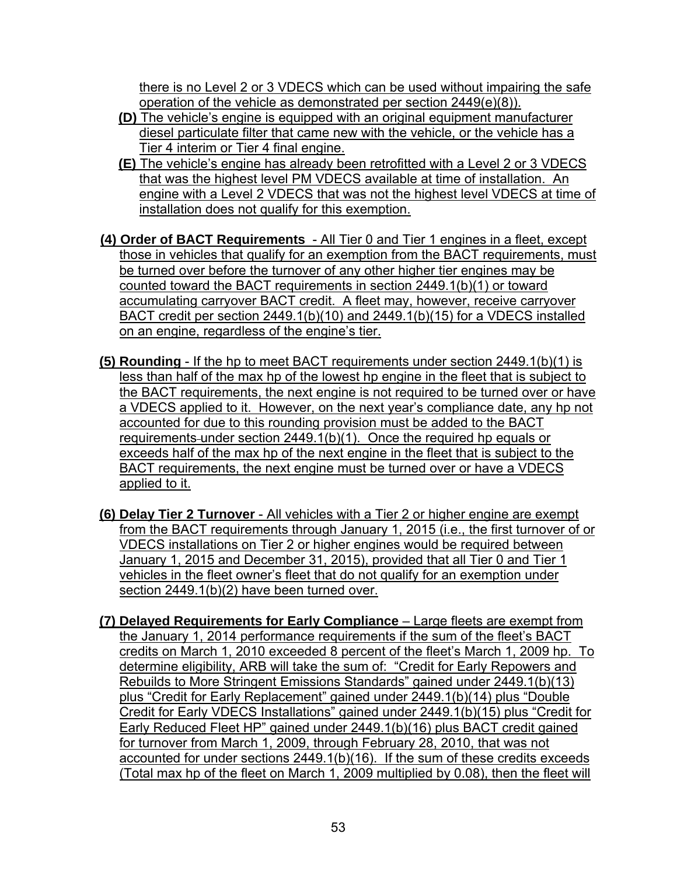there is no Level 2 or 3 VDECS which can be used without impairing the safe operation of the vehicle as demonstrated per section 2449(e)(8)).

- **(D)** The vehicle's engine is equipped with an original equipment manufacturer diesel particulate filter that came new with the vehicle, or the vehicle has a Tier 4 interim or Tier 4 final engine.
- **(E)** The vehicle's engine has already been retrofitted with a Level 2 or 3 VDECS that was the highest level PM VDECS available at time of installation. An engine with a Level 2 VDECS that was not the highest level VDECS at time of installation does not qualify for this exemption.
- **(4) Order of BACT Requirements** All Tier 0 and Tier 1 engines in a fleet, except those in vehicles that qualify for an exemption from the BACT requirements, must be turned over before the turnover of any other higher tier engines may be counted toward the BACT requirements in section 2449.1(b)(1) or toward accumulating carryover BACT credit. A fleet may, however, receive carryover BACT credit per section 2449.1(b)(10) and 2449.1(b)(15) for a VDECS installed on an engine, regardless of the engine's tier.
- **(5) Rounding** If the hp to meet BACT requirements under section 2449.1(b)(1) is less than half of the max hp of the lowest hp engine in the fleet that is subject to the BACT requirements, the next engine is not required to be turned over or have a VDECS applied to it. However, on the next year's compliance date, any hp not accounted for due to this rounding provision must be added to the BACT requirements-under section 2449.1(b)(1). Once the required hp equals or exceeds half of the max hp of the next engine in the fleet that is subject to the BACT requirements, the next engine must be turned over or have a VDECS applied to it.
- **(6) Delay Tier 2 Turnover**  All vehicles with a Tier 2 or higher engine are exempt from the BACT requirements through January 1, 2015 (i.e., the first turnover of or VDECS installations on Tier 2 or higher engines would be required between January 1, 2015 and December 31, 2015), provided that all Tier 0 and Tier 1 vehicles in the fleet owner's fleet that do not qualify for an exemption under section 2449.1(b)(2) have been turned over.
- **(7) Delayed Requirements for Early Compliance** *–* Large fleets are exempt from the January 1, 2014 performance requirements if the sum of the fleet's BACT credits on March 1, 2010 exceeded 8 percent of the fleet's March 1, 2009 hp. To determine eligibility, ARB will take the sum of: "Credit for Early Repowers and Rebuilds to More Stringent Emissions Standards" gained under 2449.1(b)(13) plus "Credit for Early Replacement" gained under 2449.1(b)(14) plus "Double Credit for Early VDECS Installations" gained under 2449.1(b)(15) plus "Credit for Early Reduced Fleet HP" gained under 2449.1(b)(16) plus BACT credit gained for turnover from March 1, 2009, through February 28, 2010, that was not accounted for under sections 2449.1(b)(16). If the sum of these credits exceeds (Total max hp of the fleet on March 1, 2009 multiplied by 0.08), then the fleet will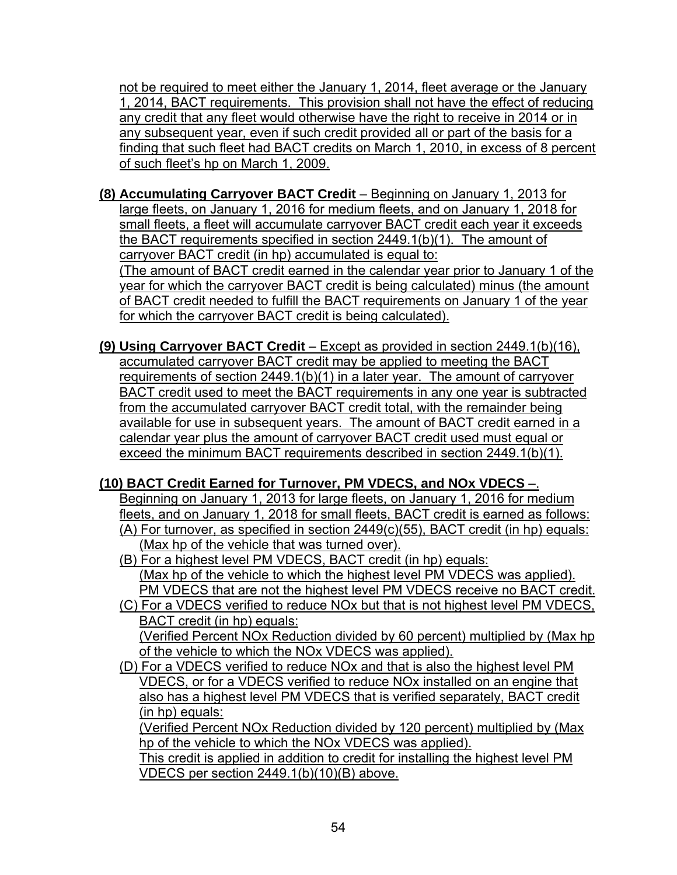not be required to meet either the January 1, 2014, fleet average or the January 1, 2014, BACT requirements. This provision shall not have the effect of reducing any credit that any fleet would otherwise have the right to receive in 2014 or in any subsequent year, even if such credit provided all or part of the basis for a finding that such fleet had BACT credits on March 1, 2010, in excess of 8 percent of such fleet's hp on March 1, 2009.

- **(8) Accumulating Carryover BACT Credit** Beginning on January 1, 2013 for large fleets, on January 1, 2016 for medium fleets, and on January 1, 2018 for small fleets, a fleet will accumulate carryover BACT credit each year it exceeds the BACT requirements specified in section 2449.1(b)(1). The amount of carryover BACT credit (in hp) accumulated is equal to: (The amount of BACT credit earned in the calendar year prior to January 1 of the year for which the carryover BACT credit is being calculated) minus (the amount of BACT credit needed to fulfill the BACT requirements on January 1 of the year for which the carryover BACT credit is being calculated).
- **(9) Using Carryover BACT Credit** Except as provided in section 2449.1(b)(16), accumulated carryover BACT credit may be applied to meeting the BACT requirements of section 2449.1(b)(1) in a later year. The amount of carryover BACT credit used to meet the BACT requirements in any one year is subtracted from the accumulated carryover BACT credit total, with the remainder being available for use in subsequent years. The amount of BACT credit earned in a calendar year plus the amount of carryover BACT credit used must equal or exceed the minimum BACT requirements described in section 2449.1(b)(1).

# **(10) BACT Credit Earned for Turnover, PM VDECS, and NOx VDECS** –.

Beginning on January 1, 2013 for large fleets, on January 1, 2016 for medium fleets, and on January 1, 2018 for small fleets, BACT credit is earned as follows: (A) For turnover, as specified in section 2449(c)(55), BACT credit (in hp) equals: (Max hp of the vehicle that was turned over).

- (B) For a highest level PM VDECS, BACT credit (in hp) equals: (Max hp of the vehicle to which the highest level PM VDECS was applied). PM VDECS that are not the highest level PM VDECS receive no BACT credit.
- (C) For a VDECS verified to reduce NOx but that is not highest level PM VDECS, BACT credit (in hp) equals: (Verified Percent NOx Reduction divided by 60 percent) multiplied by (Max hp of the vehicle to which the NOx VDECS was applied).
- (D) For a VDECS verified to reduce NOx and that is also the highest level PM VDECS, or for a VDECS verified to reduce NOx installed on an engine that also has a highest level PM VDECS that is verified separately, BACT credit (in hp) equals:

(Verified Percent NOx Reduction divided by 120 percent) multiplied by (Max hp of the vehicle to which the NOx VDECS was applied).

This credit is applied in addition to credit for installing the highest level PM VDECS per section 2449.1(b)(10)(B) above.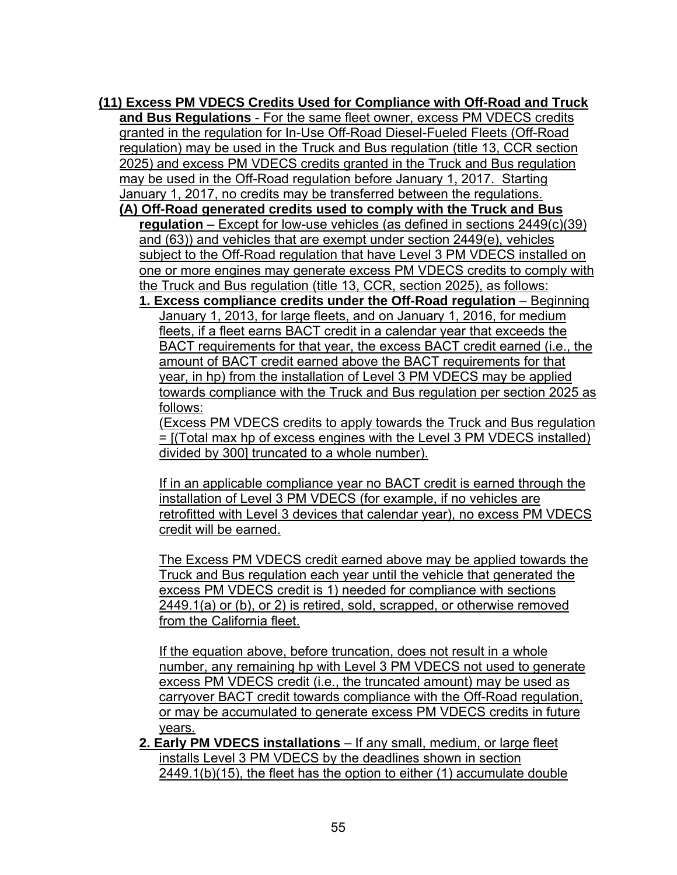**(11) Excess PM VDECS Credits Used for Compliance with Off-Road and Truck and Bus Regulations** - For the same fleet owner, excess PM VDECS credits granted in the regulation for In-Use Off-Road Diesel-Fueled Fleets (Off-Road regulation) may be used in the Truck and Bus regulation (title 13, CCR section 2025) and excess PM VDECS credits granted in the Truck and Bus regulation may be used in the Off-Road regulation before January 1, 2017. Starting January 1, 2017, no credits may be transferred between the regulations.

**(A) Off-Road generated credits used to comply with the Truck and Bus regulation** – Except for low-use vehicles (as defined in sections 2449(c)(39) and (63)) and vehicles that are exempt under section 2449(e), vehicles subject to the Off-Road regulation that have Level 3 PM VDECS installed on one or more engines may generate excess PM VDECS credits to comply with the Truck and Bus regulation (title 13, CCR, section 2025), as follows:

**1. Excess compliance credits under the Off-Road regulation** – Beginning January 1, 2013, for large fleets, and on January 1, 2016, for medium fleets, if a fleet earns BACT credit in a calendar year that exceeds the BACT requirements for that year, the excess BACT credit earned (i.e., the amount of BACT credit earned above the BACT requirements for that year, in hp) from the installation of Level 3 PM VDECS may be applied towards compliance with the Truck and Bus regulation per section 2025 as follows:

(Excess PM VDECS credits to apply towards the Truck and Bus regulation = [(Total max hp of excess engines with the Level 3 PM VDECS installed) divided by 300] truncated to a whole number).

If in an applicable compliance year no BACT credit is earned through the installation of Level 3 PM VDECS (for example, if no vehicles are retrofitted with Level 3 devices that calendar year), no excess PM VDECS credit will be earned.

The Excess PM VDECS credit earned above may be applied towards the Truck and Bus regulation each year until the vehicle that generated the excess PM VDECS credit is 1) needed for compliance with sections 2449.1(a) or (b), or 2) is retired, sold, scrapped, or otherwise removed from the California fleet.

If the equation above, before truncation, does not result in a whole number, any remaining hp with Level 3 PM VDECS not used to generate excess PM VDECS credit (i.e., the truncated amount) may be used as carryover BACT credit towards compliance with the Off-Road regulation, or may be accumulated to generate excess PM VDECS credits in future years.

**2. Early PM VDECS installations** – If any small, medium, or large fleet installs Level 3 PM VDECS by the deadlines shown in section 2449.1(b)(15), the fleet has the option to either (1) accumulate double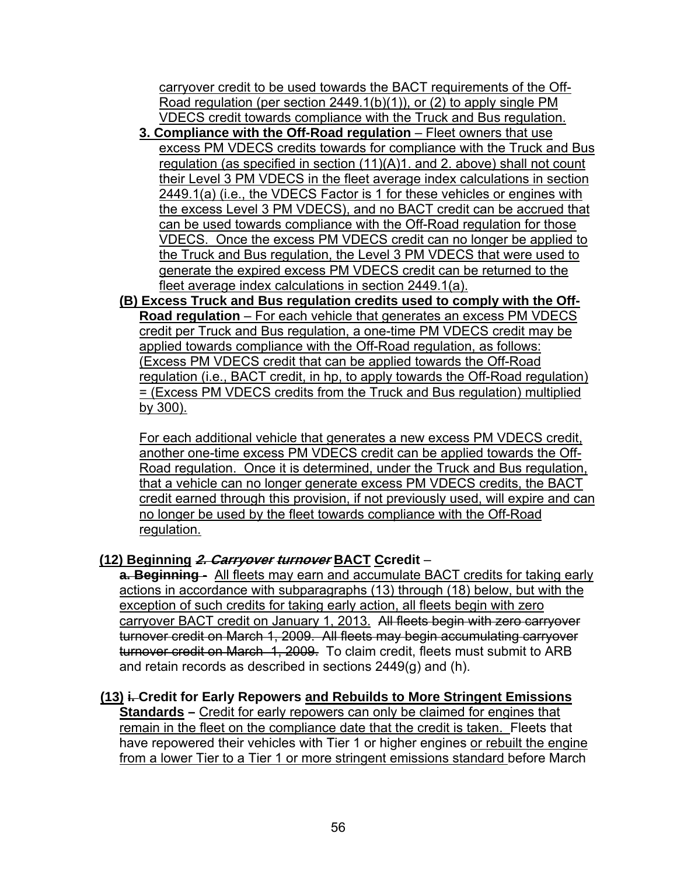carryover credit to be used towards the BACT requirements of the Off-Road regulation (per section 2449.1(b)(1)), or (2) to apply single PM VDECS credit towards compliance with the Truck and Bus regulation.

- **3. Compliance with the Off-Road regulation** Fleet owners that use excess PM VDECS credits towards for compliance with the Truck and Bus regulation (as specified in section (11)(A)1. and 2. above) shall not count their Level 3 PM VDECS in the fleet average index calculations in section 2449.1(a) (i.e., the VDECS Factor is 1 for these vehicles or engines with the excess Level 3 PM VDECS), and no BACT credit can be accrued that can be used towards compliance with the Off-Road regulation for those VDECS. Once the excess PM VDECS credit can no longer be applied to the Truck and Bus regulation, the Level 3 PM VDECS that were used to generate the expired excess PM VDECS credit can be returned to the fleet average index calculations in section 2449.1(a).
- **(B) Excess Truck and Bus regulation credits used to comply with the Off-Road regulation** – For each vehicle that generates an excess PM VDECS credit per Truck and Bus regulation, a one-time PM VDECS credit may be applied towards compliance with the Off-Road regulation, as follows: (Excess PM VDECS credit that can be applied towards the Off-Road regulation (i.e., BACT credit, in hp, to apply towards the Off-Road regulation) = (Excess PM VDECS credits from the Truck and Bus regulation) multiplied by 300).

For each additional vehicle that generates a new excess PM VDECS credit, another one-time excess PM VDECS credit can be applied towards the Off-Road regulation. Once it is determined, under the Truck and Bus regulation, that a vehicle can no longer generate excess PM VDECS credits, the BACT credit earned through this provision, if not previously used, will expire and can no longer be used by the fleet towards compliance with the Off-Road regulation.

### **(12) Beginning 2. Carryover turnover BACT Ccredit** –

**a. Beginning** - All fleets may earn and accumulate BACT credits for taking early actions in accordance with subparagraphs (13) through (18) below, but with the exception of such credits for taking early action, all fleets begin with zero carryover BACT credit on January 1, 2013. All fleets begin with zero carryover turnover credit on March 1, 2009. All fleets may begin accumulating carryover turnover credit on March 1, 2009. To claim credit, fleets must submit to ARB and retain records as described in sections 2449(g) and (h).

#### **(13) i. Credit for Early Repowers and Rebuilds to More Stringent Emissions**

**Standards – Credit for early repowers can only be claimed for engines that** remain in the fleet on the compliance date that the credit is taken. Fleets that have repowered their vehicles with Tier 1 or higher engines or rebuilt the engine from a lower Tier to a Tier 1 or more stringent emissions standard before March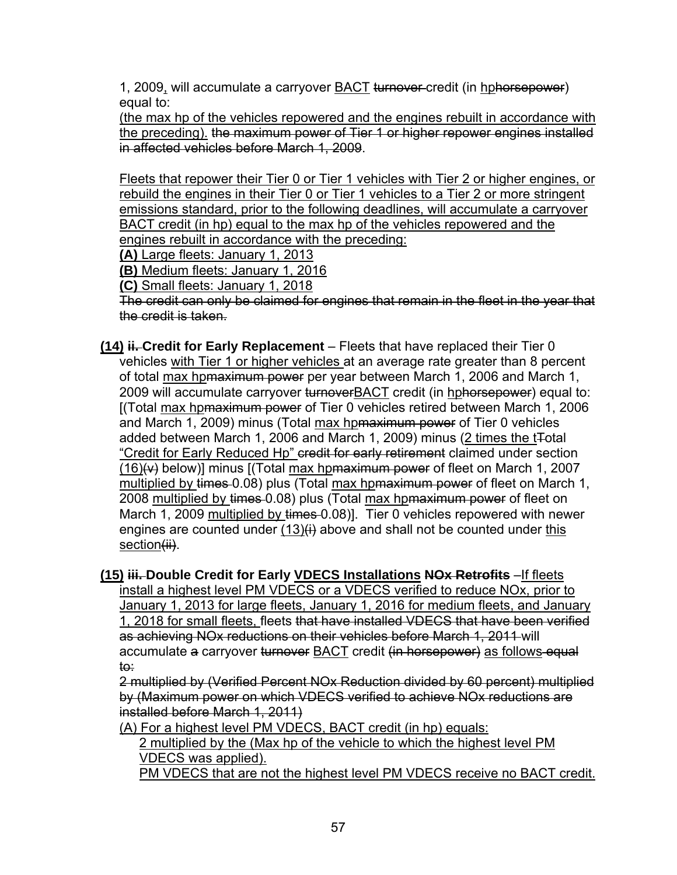1, 2009, will accumulate a carryover BACT turnover credit (in hphorsepower) equal to:

(the max hp of the vehicles repowered and the engines rebuilt in accordance with the preceding). the maximum power of Tier 1 or higher repower engines installed in affected vehicles before March 1, 2009.

Fleets that repower their Tier 0 or Tier 1 vehicles with Tier 2 or higher engines, or rebuild the engines in their Tier 0 or Tier 1 vehicles to a Tier 2 or more stringent emissions standard, prior to the following deadlines, will accumulate a carryover BACT credit (in hp) equal to the max hp of the vehicles repowered and the engines rebuilt in accordance with the preceding:

**(A)** Large fleets: January 1, 2013

**(B)** Medium fleets: January 1, 2016

**(C)** Small fleets: January 1, 2018

The credit can only be claimed for engines that remain in the fleet in the year that the credit is taken.

**(14) ii. Credit for Early Replacement** – Fleets that have replaced their Tier 0 vehicles with Tier 1 or higher vehicles at an average rate greater than 8 percent of total max hpmaximum power per year between March 1, 2006 and March 1, 2009 will accumulate carryover turnoverBACT credit (in hphorsepower) equal to: [(Total max hpmaximum power of Tier 0 vehicles retired between March 1, 2006 and March 1, 2009) minus (Total max hpmaximum power of Tier 0 vehicles added between March 1, 2006 and March 1, 2009) minus (2 times the tTotal "Credit for Early Reduced Hp" eredit for early retirement claimed under section  $(16)$ ( $\leftrightarrow$  below)] minus [(Total max hp maximum power of fleet on March 1, 2007 multiplied by times 0.08) plus (Total max hpmaximum power of fleet on March 1, 2008 multiplied by times 0.08) plus (Total max hpmaximum power of fleet on March 1, 2009 multiplied by times 0.08)]. Tier 0 vehicles repowered with newer engines are counted under  $(13)$ (i) above and shall not be counted under this section(ii).

**(15) iii. Double Credit for Early VDECS Installations NOx Retrofits** –If fleets install a highest level PM VDECS or a VDECS verified to reduce NOx, prior to January 1, 2013 for large fleets, January 1, 2016 for medium fleets, and January 1, 2018 for small fleets, fleets that have installed VDECS that have been verified as achieving NOx reductions on their vehicles before March 1, 2011 will accumulate a carryover turnover **BACT** credit (in horsepower) as follows equal to:

2 multiplied by (Verified Percent NOx Reduction divided by 60 percent) multiplied by (Maximum power on which VDECS verified to achieve NOx reductions are installed before March 1, 2011)

(A) For a highest level PM VDECS, BACT credit (in hp) equals:

2 multiplied by the (Max hp of the vehicle to which the highest level PM VDECS was applied).

PM VDECS that are not the highest level PM VDECS receive no BACT credit.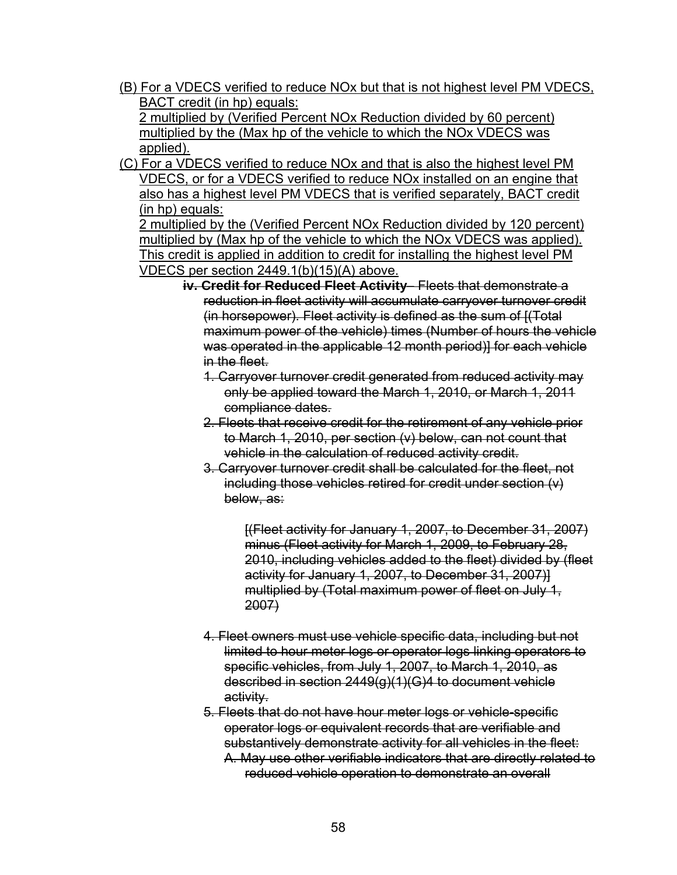(B) For a VDECS verified to reduce NOx but that is not highest level PM VDECS, BACT credit (in hp) equals:

2 multiplied by (Verified Percent NOx Reduction divided by 60 percent) multiplied by the (Max hp of the vehicle to which the NOx VDECS was applied).

(C) For a VDECS verified to reduce NOx and that is also the highest level PM VDECS, or for a VDECS verified to reduce NOx installed on an engine that also has a highest level PM VDECS that is verified separately, BACT credit (in hp) equals:

2 multiplied by the (Verified Percent NOx Reduction divided by 120 percent) multiplied by (Max hp of the vehicle to which the NOx VDECS was applied). This credit is applied in addition to credit for installing the highest level PM VDECS per section 2449.1(b)(15)(A) above.

- **iv. Credit for Reduced Fleet Activity** Fleets that demonstrate a reduction in fleet activity will accumulate carryover turnover credit (in horsepower). Fleet activity is defined as the sum of [(Total maximum power of the vehicle) times (Number of hours the vehicle was operated in the applicable 12 month period)] for each vehicle in the fleet.
	- 1. Carryover turnover credit generated from reduced activity may only be applied toward the March 1, 2010, or March 1, 2011 compliance dates.
	- 2. Fleets that receive credit for the retirement of any vehicle prior to March 1, 2010, per section (v) below, can not count that vehicle in the calculation of reduced activity credit.
	- 3. Carryover turnover credit shall be calculated for the fleet, not including those vehicles retired for credit under section (v) below, as:

[(Fleet activity for January 1, 2007, to December 31, 2007) minus (Fleet activity for March 1, 2009, to February 28, 2010, including vehicles added to the fleet) divided by (fleet activity for January 1, 2007, to December 31, 2007)] multiplied by (Total maximum power of fleet on July 1, 2007)

- 4. Fleet owners must use vehicle specific data, including but not limited to hour meter logs or operator logs linking operators to specific vehicles, from July 1, 2007, to March 1, 2010, as described in section 2449(g)(1)(G)4 to document vehicle activity.
- 5. Fleets that do not have hour meter logs or vehicle-specific operator logs or equivalent records that are verifiable and substantively demonstrate activity for all vehicles in the fleet: A. May use other verifiable indicators that are directly related to reduced vehicle operation to demonstrate an overall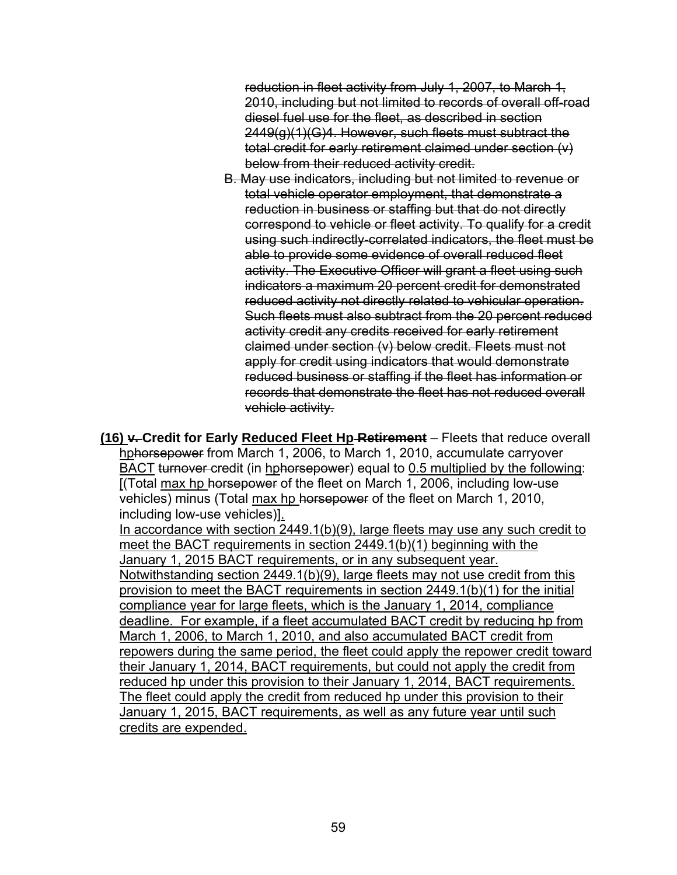reduction in fleet activity from July 1, 2007, to March 1, 2010, including but not limited to records of overall off-road diesel fuel use for the fleet, as described in section 2449(g)(1)(G)4. However, such fleets must subtract the total credit for early retirement claimed under section (v) below from their reduced activity credit.

B. May use indicators, including but not limited to revenue or total vehicle operator employment, that demonstrate a reduction in business or staffing but that do not directly correspond to vehicle or fleet activity. To qualify for a credit using such indirectly-correlated indicators, the fleet must be able to provide some evidence of overall reduced fleet activity. The Executive Officer will grant a fleet using such indicators a maximum 20 percent credit for demonstrated reduced activity not directly related to vehicular operation. Such fleets must also subtract from the 20 percent reduced activity credit any credits received for early retirement claimed under section (v) below credit. Fleets must not apply for credit using indicators that would demonstrate reduced business or staffing if the fleet has information or records that demonstrate the fleet has not reduced overall vehicle activity.

**(16) v. Credit for Early Reduced Fleet Hp Retirement** – Fleets that reduce overall hphorsepower from March 1, 2006, to March 1, 2010, accumulate carryover BACT turnover credit (in hphorsepower) equal to 0.5 multiplied by the following: [(Total max hp horsepower of the fleet on March 1, 2006, including low-use vehicles) minus (Total max hp horsepower of the fleet on March 1, 2010, including low-use vehicles)].

In accordance with section 2449.1(b)(9), large fleets may use any such credit to meet the BACT requirements in section 2449.1(b)(1) beginning with the January 1, 2015 BACT requirements, or in any subsequent year. Notwithstanding section 2449.1(b)(9), large fleets may not use credit from this provision to meet the BACT requirements in section 2449.1(b)(1) for the initial compliance year for large fleets, which is the January 1, 2014, compliance deadline. For example, if a fleet accumulated BACT credit by reducing hp from March 1, 2006, to March 1, 2010, and also accumulated BACT credit from repowers during the same period, the fleet could apply the repower credit toward their January 1, 2014, BACT requirements, but could not apply the credit from reduced hp under this provision to their January 1, 2014, BACT requirements. The fleet could apply the credit from reduced hp under this provision to their January 1, 2015, BACT requirements, as well as any future year until such credits are expended.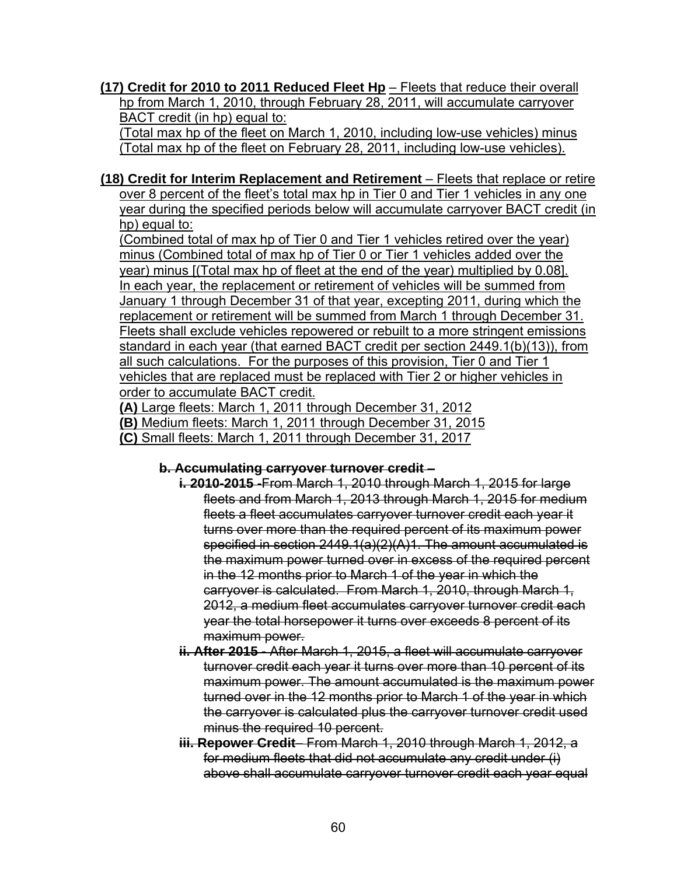**(17) Credit for 2010 to 2011 Reduced Fleet Hp** – Fleets that reduce their overall hp from March 1, 2010, through February 28, 2011, will accumulate carryover BACT credit (in hp) equal to:

(Total max hp of the fleet on March 1, 2010, including low-use vehicles) minus (Total max hp of the fleet on February 28, 2011, including low-use vehicles).

**(18) Credit for Interim Replacement and Retirement** – Fleets that replace or retire over 8 percent of the fleet's total max hp in Tier 0 and Tier 1 vehicles in any one year during the specified periods below will accumulate carryover BACT credit (in hp) equal to:

(Combined total of max hp of Tier 0 and Tier 1 vehicles retired over the year) minus (Combined total of max hp of Tier 0 or Tier 1 vehicles added over the year) minus [(Total max hp of fleet at the end of the year) multiplied by 0.08]. In each year, the replacement or retirement of vehicles will be summed from January 1 through December 31 of that year, excepting 2011, during which the replacement or retirement will be summed from March 1 through December 31. Fleets shall exclude vehicles repowered or rebuilt to a more stringent emissions standard in each year (that earned BACT credit per section 2449.1(b)(13)), from all such calculations. For the purposes of this provision, Tier 0 and Tier 1 vehicles that are replaced must be replaced with Tier 2 or higher vehicles in order to accumulate BACT credit.

**(A)** Large fleets: March 1, 2011 through December 31, 2012 **(B)** Medium fleets: March 1, 2011 through December 31, 2015 **(C)** Small fleets: March 1, 2011 through December 31, 2017

### **b. Accumulating carryover turnover credit** –

- **i. 2010-2015 -**From March 1, 2010 through March 1, 2015 for large fleets and from March 1, 2013 through March 1, 2015 for medium fleets a fleet accumulates carryover turnover credit each year it turns over more than the required percent of its maximum power specified in section 2449.1(a)(2)(A)1. The amount accumulated is the maximum power turned over in excess of the required percent in the 12 months prior to March 1 of the year in which the carryover is calculated. From March 1, 2010, through March 1, 2012, a medium fleet accumulates carryover turnover credit each year the total horsepower it turns over exceeds 8 percent of its maximum power.
- **ii. After 2015 -** After March 1, 2015, a fleet will accumulate carryover turnover credit each year it turns over more than 10 percent of its maximum power. The amount accumulated is the maximum power turned over in the 12 months prior to March 1 of the year in which the carryover is calculated plus the carryover turnover credit used minus the required 10 percent.
- **iii. Repower Credit** From March 1, 2010 through March 1, 2012, a for medium fleets that did not accumulate any credit under (i) above shall accumulate carryover turnover credit each year equal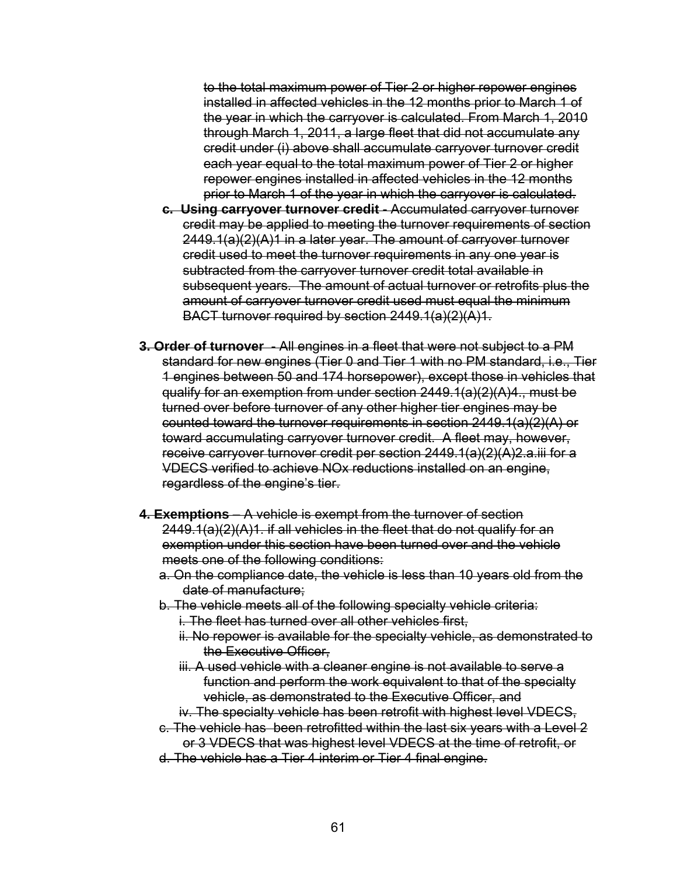to the total maximum power of Tier 2 or higher repower engines installed in affected vehicles in the 12 months prior to March 1 of the year in which the carryover is calculated. From March 1, 2010 through March 1, 2011, a large fleet that did not accumulate any credit under (i) above shall accumulate carryover turnover credit each year equal to the total maximum power of Tier 2 or higher repower engines installed in affected vehicles in the 12 months prior to March 1 of the year in which the carryover is calculated.

- **c. Using carryover turnover credit** Accumulated carryover turnover credit may be applied to meeting the turnover requirements of section 2449.1(a)(2)(A)1 in a later year. The amount of carryover turnover credit used to meet the turnover requirements in any one year is subtracted from the carryover turnover credit total available in subsequent years. The amount of actual turnover or retrofits plus the amount of carryover turnover credit used must equal the minimum BACT turnover required by section 2449.1(a)(2)(A)1.
- **3. Order of turnover** All engines in a fleet that were not subject to a PM standard for new engines (Tier 0 and Tier 1 with no PM standard, i.e., Tier 1 engines between 50 and 174 horsepower), except those in vehicles that qualify for an exemption from under section 2449.1(a)(2)(A)4., must be turned over before turnover of any other higher tier engines may be counted toward the turnover requirements in section 2449.1(a)(2)(A) or toward accumulating carryover turnover credit. A fleet may, however, receive carryover turnover credit per section 2449.1(a)(2)(A)2.a.iii for a VDECS verified to achieve NOx reductions installed on an engine, regardless of the engine's tier.
- **4. Exemptions** A vehicle is exempt from the turnover of section 2449.1(a)(2)(A)1. if all vehicles in the fleet that do not qualify for an exemption under this section have been turned over and the vehicle meets one of the following conditions:
	- a. On the compliance date, the vehicle is less than 10 years old from the date of manufacture;
	- b. The vehicle meets all of the following specialty vehicle criteria:
		- i. The fleet has turned over all other vehicles first,
		- ii. No repower is available for the specialty vehicle, as demonstrated to the Executive Officer,
		- iii. A used vehicle with a cleaner engine is not available to serve a function and perform the work equivalent to that of the specialty vehicle, as demonstrated to the Executive Officer, and
		- iv. The specialty vehicle has been retrofit with highest level VDECS,
	- c. The vehicle has been retrofitted within the last six years with a Level 2 or 3 VDECS that was highest level VDECS at the time of retrofit, or
	- d. The vehicle has a Tier 4 interim or Tier 4 final engine.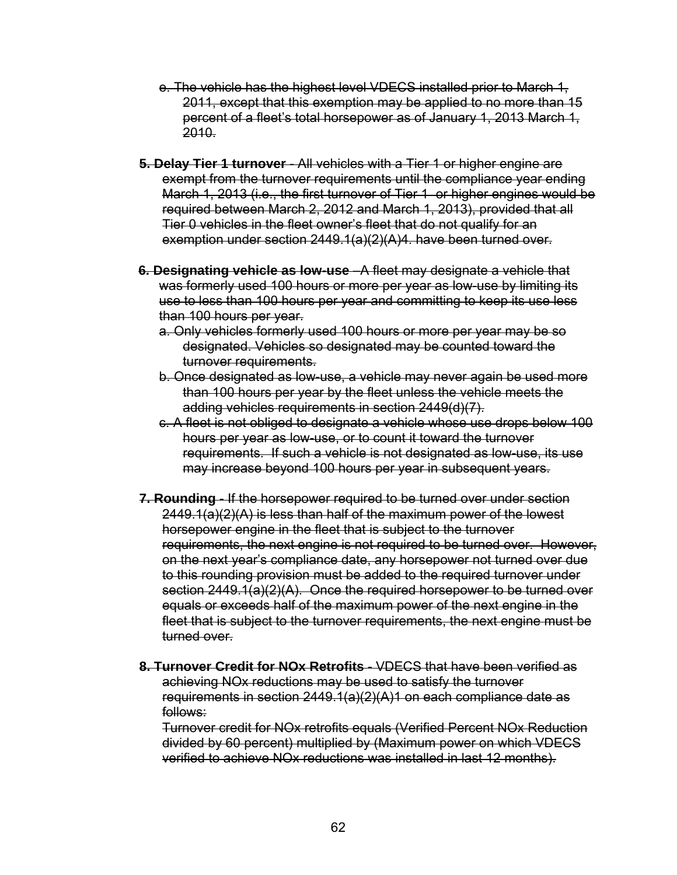- e. The vehicle has the highest level VDECS installed prior to March 1, 2011, except that this exemption may be applied to no more than 15 percent of a fleet's total horsepower as of January 1, 2013 March 1, 2010.
- **5. Delay Tier 1 turnover** All vehicles with a Tier 1 or higher engine are exempt from the turnover requirements until the compliance year ending March 1, 2013 (i.e., the first turnover of Tier 1 or higher engines would be required between March 2, 2012 and March 1, 2013), provided that all Tier 0 vehicles in the fleet owner's fleet that do not qualify for an exemption under section 2449.1(a)(2)(A)4. have been turned over.
- **6. Designating vehicle as low-use** –A fleet may designate a vehicle that was formerly used 100 hours or more per year as low-use by limiting its use to less than 100 hours per year and committing to keep its use less than 100 hours per year.
	- a. Only vehicles formerly used 100 hours or more per year may be so designated. Vehicles so designated may be counted toward the turnover requirements.
	- b. Once designated as low-use, a vehicle may never again be used more than 100 hours per year by the fleet unless the vehicle meets the adding vehicles requirements in section 2449(d)(7).
	- c. A fleet is not obliged to designate a vehicle whose use drops below 100 hours per year as low-use, or to count it toward the turnover requirements. If such a vehicle is not designated as low-use, its use may increase beyond 100 hours per year in subsequent years.
- **7. Rounding** If the horsepower required to be turned over under section 2449.1(a)(2)(A) is less than half of the maximum power of the lowest horsepower engine in the fleet that is subject to the turnover requirements, the next engine is not required to be turned over. However, on the next year's compliance date, any horsepower not turned over due to this rounding provision must be added to the required turnover under section 2449.1(a)(2)(A). Once the required horsepower to be turned over equals or exceeds half of the maximum power of the next engine in the fleet that is subject to the turnover requirements, the next engine must be turned over.
- **8. Turnover Credit for NOx Retrofits**  VDECS that have been verified as achieving NOx reductions may be used to satisfy the turnover requirements in section  $2449.1(a)(2)(A)1$  on each compliance date as follows:

Turnover credit for NOx retrofits equals (Verified Percent NOx Reduction divided by 60 percent) multiplied by (Maximum power on which VDECS verified to achieve NOx reductions was installed in last 12 months).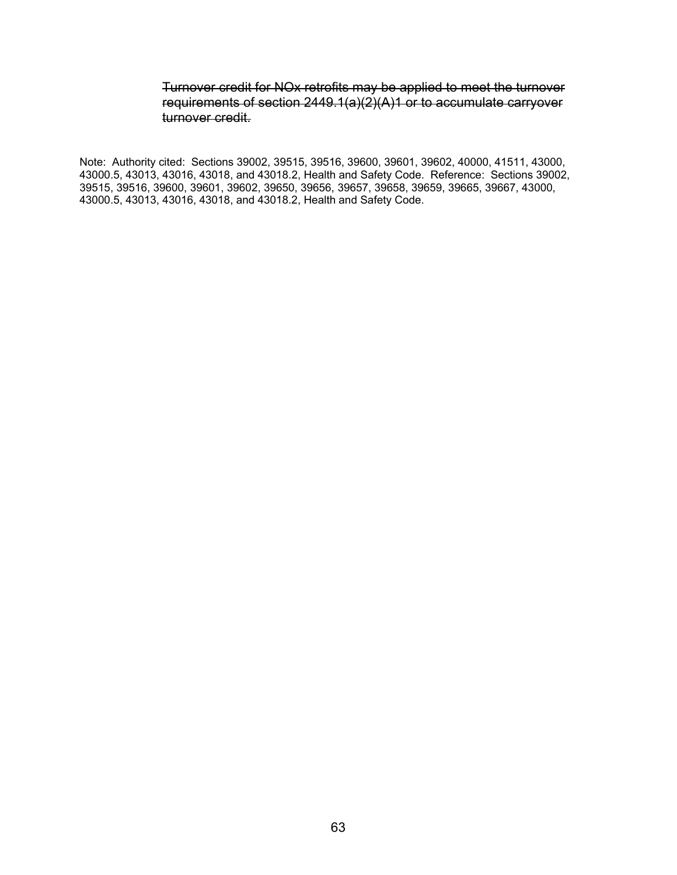#### Turnover credit for NOx retrofits may be applied to meet the turnover requirements of section 2449.1(a)(2)(A)1 or to accumulate carryover turnover credit.

Note: Authority cited: Sections 39002, 39515, 39516, 39600, 39601, 39602, 40000, 41511, 43000, 43000.5, 43013, 43016, 43018, and 43018.2, Health and Safety Code. Reference: Sections 39002, 39515, 39516, 39600, 39601, 39602, 39650, 39656, 39657, 39658, 39659, 39665, 39667, 43000, 43000.5, 43013, 43016, 43018, and 43018.2, Health and Safety Code.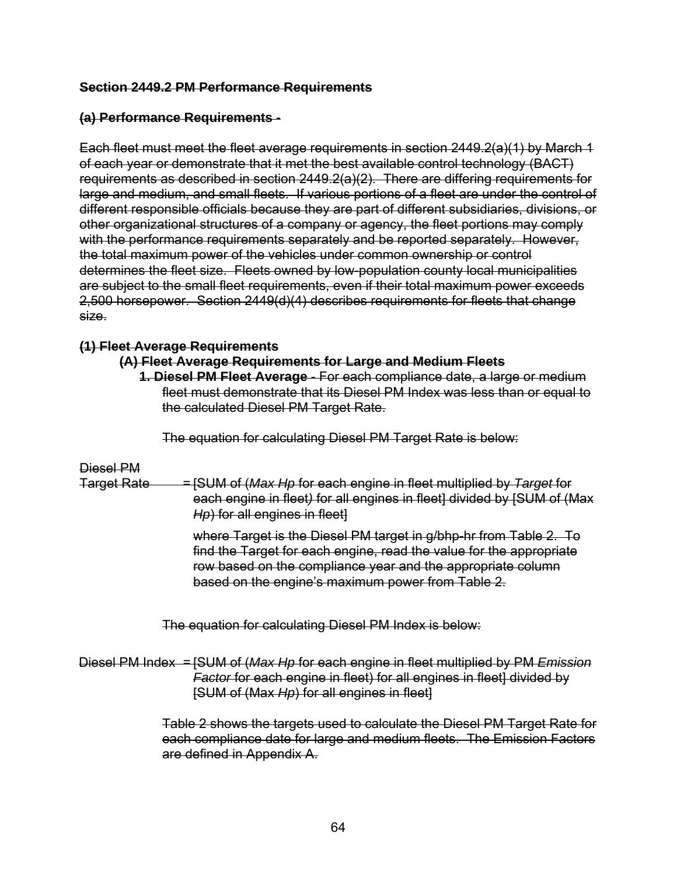#### **Section 2449.2 PM Performance Requirements**

### **(a) Performance Requirements -**

Each fleet must meet the fleet average requirements in section 2449.2(a)(1) by March 1 of each year or demonstrate that it met the best available control technology (BACT) requirements as described in section 2449.2(a)(2). There are differing requirements for large and medium, and small fleets. If various portions of a fleet are under the control of different responsible officials because they are part of different subsidiaries, divisions, or other organizational structures of a company or agency, the fleet portions may comply with the performance requirements separately and be reported separately. However, the total maximum power of the vehicles under common ownership or control determines the fleet size. Fleets owned by low-population county local municipalities are subject to the small fleet requirements, even if their total maximum power exceeds 2,500 horsepower. Section 2449(d)(4) describes requirements for fleets that change size.

### **(1) Fleet Average Requirements**

#### **(A) Fleet Average Requirements for Large and Medium Fleets**

**1. Diesel PM Fleet Average** - For each compliance date, a large or medium fleet must demonstrate that its Diesel PM Index was less than or equal to the calculated Diesel PM Target Rate.

The equation for calculating Diesel PM Target Rate is below:

### Diesel PM

Target Rate = [SUM of (*Max Hp* for each engine in fleet multiplied by *Target* for each engine in fleet*)* for all engines in fleet] divided by [SUM of (Max *Hp*) for all engines in fleet]

> where Target is the Diesel PM target in g/bhp-hr from Table 2. To find the Target for each engine, read the value for the appropriate row based on the compliance year and the appropriate column based on the engine's maximum power from Table 2.

The equation for calculating Diesel PM Index is below:

Diesel PM Index = [SUM of (*Max Hp* for each engine in fleet multiplied by PM *Emission Factor* for each engine in fleet) for all engines in fleet] divided by [SUM of (Max *Hp*) for all engines in fleet]

> Table 2 shows the targets used to calculate the Diesel PM Target Rate for each compliance date for large and medium fleets. The Emission Factors are defined in Appendix A.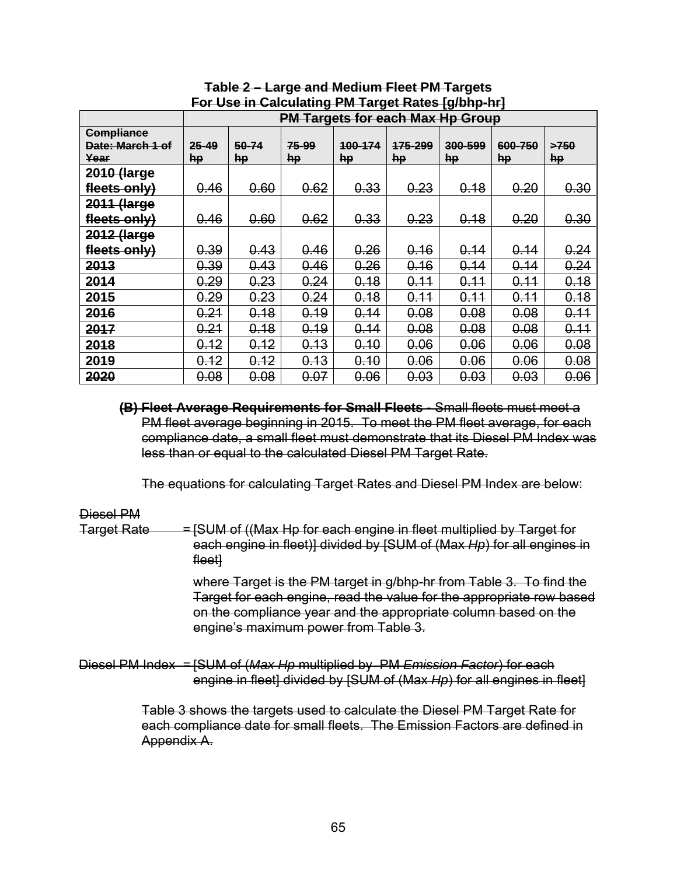| $\sim$ 0.000 m valuating minute gut naturally in $\sim$ |           |       |       |         |                                         |         |         |      |  |  |
|---------------------------------------------------------|-----------|-------|-------|---------|-----------------------------------------|---------|---------|------|--|--|
|                                                         |           |       |       |         | <b>PM Targets for each Max Hp Group</b> |         |         |      |  |  |
| <b>Compliance</b>                                       |           |       |       |         |                                         |         |         |      |  |  |
| Date: March 1 of                                        | $25 - 49$ | 50-74 | 75-99 | 100-174 | 175-299                                 | 300-599 | 600-750 | >750 |  |  |
| Year                                                    | <b>hp</b> | hp    | hp    | hp      | hp                                      | hp      | hp      | hp   |  |  |
| 2010 (large                                             |           |       |       |         |                                         |         |         |      |  |  |
| fleets only)                                            | 0.46      | 0.60  | 0.62  | 0.33    | 0.23                                    | 0.18    | 0.20    | 0.30 |  |  |
| 2011 (large                                             |           |       |       |         |                                         |         |         |      |  |  |
| fleets only)                                            | 0.46      | 0.60  | 0.62  | 0.33    | 0.23                                    | 0.18    | 0.20    | 0.30 |  |  |
| 2012 (large                                             |           |       |       |         |                                         |         |         |      |  |  |
| fleets only)                                            | 0.39      | 0.43  | 0.46  | 0.26    | 0.16                                    | 0.14    | 0.14    | 0.24 |  |  |
| 2013                                                    | 0.39      | 0.43  | 0.46  | 0.26    | 0.16                                    | 0.14    | 0.14    | 0.24 |  |  |
| 2014                                                    | 0.29      | 0.23  | 0.24  | 0.18    | 0.11                                    | 0.11    | 0.11    | 0.18 |  |  |
| 2015                                                    | 0.29      | 0.23  | 0.24  | 0.18    | 0.11                                    | 0.11    | 0.11    | 0.18 |  |  |
| 2016                                                    | 0.21      | 0.18  | 0.19  | 0.14    | 0.08                                    | 0.08    | 0.08    | 0.11 |  |  |
| 2017                                                    | 0.21      | 0.18  | 0.19  | 0.14    | 0.08                                    | 0.08    | 0.08    | 0.11 |  |  |
| 2018                                                    | 0.12      | 0.12  | 0.13  | 0.10    | 0.06                                    | 0.06    | 0.06    | 0.08 |  |  |
| 2019                                                    | 0.12      | 0.12  | 0.13  | 0.10    | 0.06                                    | 0.06    | 0.06    | 0.08 |  |  |
| 2020                                                    | 0.08      | 0.08  | 0.07  | 0.06    | 0.03                                    | 0.03    | 0.03    | 0.06 |  |  |

**Table 2 – Large and Medium Fleet PM Targets For Use in Calculating PM Target Rates [g/bhp-hr]** 

**(B) Fleet Average Requirements for Small Fleets -** Small fleets must meet a PM fleet average beginning in 2015. To meet the PM fleet average, for each compliance date, a small fleet must demonstrate that its Diesel PM Index was less than or equal to the calculated Diesel PM Target Rate.

The equations for calculating Target Rates and Diesel PM Index are below:

#### Diesel PM

Target Rate =  $=$  [SUM of ((Max Hp for each engine in fleet multiplied by Target for each engine in fleet)] divided by [SUM of (Max *Hp*) for all engines in fleet]

> where Target is the PM target in g/bhp-hr from Table 3. To find the Target for each engine, read the value for the appropriate row based on the compliance year and the appropriate column based on the engine's maximum power from Table 3.

Diesel PM Index = [SUM of (*Max Hp* multiplied by PM *Emission Factor*) for each engine in fleet] divided by [SUM of (Max *Hp*) for all engines in fleet]

> Table 3 shows the targets used to calculate the Diesel PM Target Rate for each compliance date for small fleets. The Emission Factors are defined in Appendix A.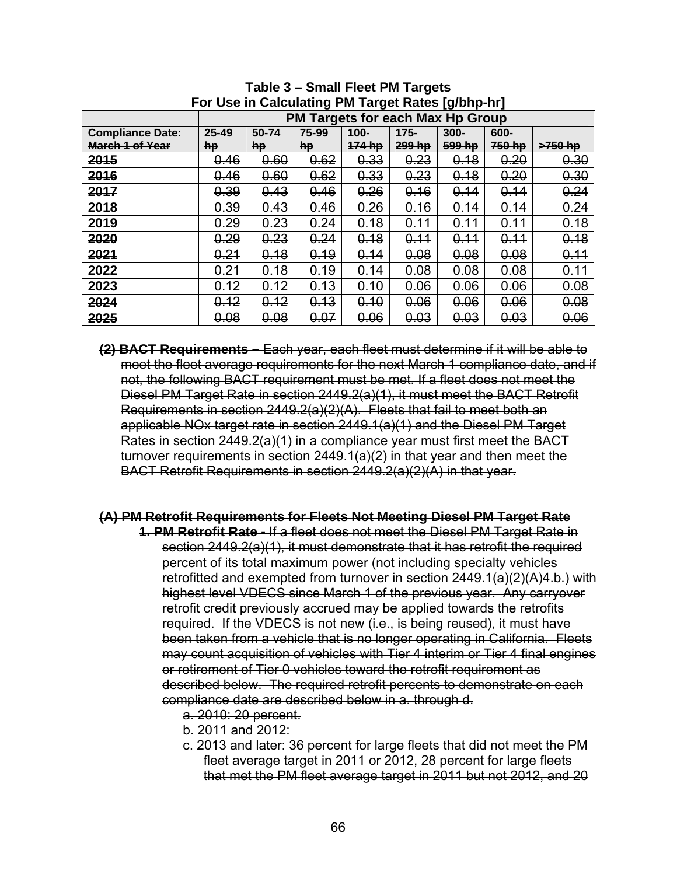|                         |       |                                                   | .    | .  g - |        | .      |        |           |  |  |  |
|-------------------------|-------|---------------------------------------------------|------|--------|--------|--------|--------|-----------|--|--|--|
|                         |       | <b>Targets for each Max Hp Group</b><br><b>PM</b> |      |        |        |        |        |           |  |  |  |
| <b>Compliance Date:</b> | 25-49 | 50-74<br>75-99<br>100-<br>$175 -$<br>300-<br>600- |      |        |        |        |        |           |  |  |  |
| <b>March 1 of Year</b>  | hp    | hp                                                | hp   | 174 hp | 299 hp | 599 hp | 750 hp | $>750$ hp |  |  |  |
| 2015                    | 0.46  | 0.60                                              | 0.62 | 0.33   | 0.23   | 0.18   | 0.20   | 0.30      |  |  |  |
| 2016                    | 0.46  | 0.60                                              | 0.62 | 0.33   | 0.23   | 0.18   | 0.20   | 0.30      |  |  |  |
| 2017                    | 0.39  | 0.43                                              | 0.46 | 0.26   | 0.16   | 0.14   | 0.14   | 0.24      |  |  |  |
| 2018                    | 0.39  | 0.43                                              | 0.46 | 0.26   | 0.16   | 0.14   | 0.14   | 0.24      |  |  |  |
| 2019                    | 0.29  | 0.23                                              | 0.24 | 0.18   | 0.11   | 0.11   | 0.11   | 0.18      |  |  |  |
| 2020                    | 0.29  | 0.23                                              | 0.24 | 0.18   | 0.11   | 0.11   | 0.11   | 0.18      |  |  |  |
| 2021                    | 0.21  | 0.18                                              | 0.19 | 0.14   | 0.08   | 0.08   | 0.08   | 0.11      |  |  |  |
| 2022                    | 0.21  | 0.18                                              | 0.19 | 0.14   | 0.08   | 0.08   | 0.08   | 0.11      |  |  |  |
| 2023                    | 0.12  | 0.12                                              | 0.13 | 0.10   | 0.06   | 0.06   | 0.06   | 0.08      |  |  |  |
| 2024                    | 0.12  | 0.12                                              | 0.13 | 0.10   | 0.06   | 0.06   | 0.06   | 0.08      |  |  |  |
| 2025                    | 0.08  | 0.08                                              | 0.07 | 0.06   | 0.03   | 0.03   | 0.03   | 0.06      |  |  |  |

**Table 3 – Small Fleet PM Targets For Use in Calculating PM Target Rates [g/bhp-hr]** 

**(2) BACT Requirements –** Each year, each fleet must determine if it will be able to meet the fleet average requirements for the next March 1 compliance date, and if not, the following BACT requirement must be met. If a fleet does not meet the Diesel PM Target Rate in section 2449.2(a)(1), it must meet the BACT Retrofit Requirements in section 2449.2(a)(2)(A). Fleets that fail to meet both an applicable NOx target rate in section 2449.1(a)(1) and the Diesel PM Target Rates in section 2449.2(a)(1) in a compliance year must first meet the BACT turnover requirements in section 2449.1(a)(2) in that year and then meet the BACT Retrofit Requirements in section 2449.2(a)(2)(A) in that year.

#### **(A) PM Retrofit Requirements for Fleets Not Meeting Diesel PM Target Rate**

- **1. PM Retrofit Rate** If a fleet does not meet the Diesel PM Target Rate in section 2449.2(a)(1), it must demonstrate that it has retrofit the required percent of its total maximum power (not including specialty vehicles retrofitted and exempted from turnover in section 2449.1(a)(2)(A)4.b.) with highest level VDECS since March 1 of the previous year. Any carryover retrofit credit previously accrued may be applied towards the retrofits required. If the VDECS is not new (i.e., is being reused), it must have been taken from a vehicle that is no longer operating in California. Fleets may count acquisition of vehicles with Tier 4 interim or Tier 4 final engines or retirement of Tier 0 vehicles toward the retrofit requirement as described below. The required retrofit percents to demonstrate on each compliance date are described below in a. through d.
	- a. 2010: 20 percent.
	- b. 2011 and 2012:
	- c. 2013 and later: 36 percent for large fleets that did not meet the PM fleet average target in 2011 or 2012, 28 percent for large fleets that met the PM fleet average target in 2011 but not 2012, and 20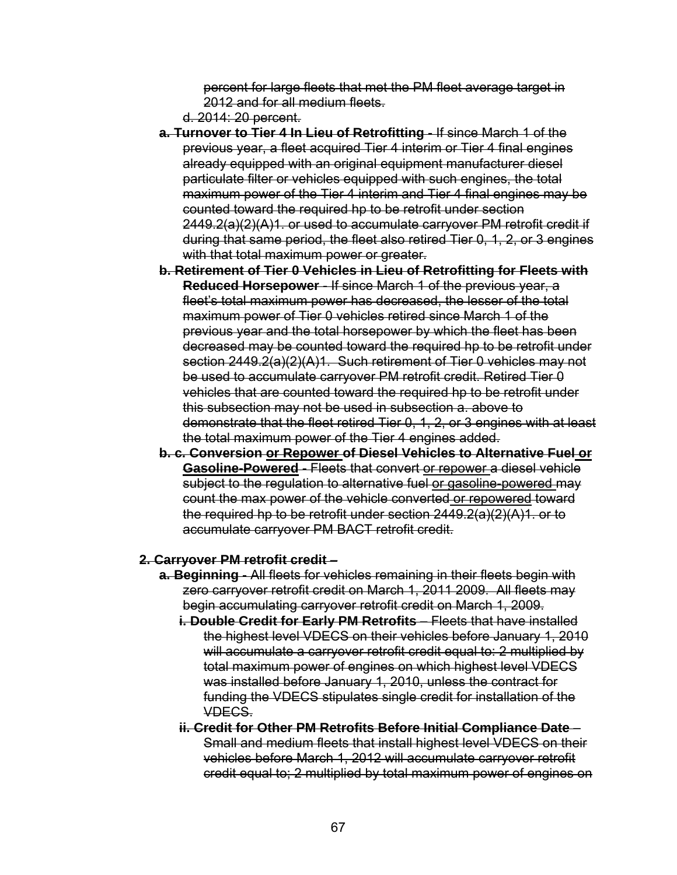percent for large fleets that met the PM fleet average target in 2012 and for all medium fleets.

- d. 2014: 20 percent.
- **a. Turnover to Tier 4 In Lieu of Retrofitting** If since March 1 of the previous year, a fleet acquired Tier 4 interim or Tier 4 final engines already equipped with an original equipment manufacturer diesel particulate filter or vehicles equipped with such engines, the total maximum power of the Tier 4 interim and Tier 4 final engines may be counted toward the required hp to be retrofit under section 2449.2(a)(2)(A)1. or used to accumulate carryover PM retrofit credit if during that same period, the fleet also retired Tier 0, 1, 2, or 3 engines with that total maximum power or greater.
- **b. Retirement of Tier 0 Vehicles in Lieu of Retrofitting for Fleets with Reduced Horsepower** - If since March 1 of the previous year, a fleet's total maximum power has decreased, the lesser of the total maximum power of Tier 0 vehicles retired since March 1 of the previous year and the total horsepower by which the fleet has been decreased may be counted toward the required hp to be retrofit under section 2449.2(a)(2)(A)1. Such retirement of Tier 0 vehicles may not be used to accumulate carryover PM retrofit credit. Retired Tier 0 vehicles that are counted toward the required hp to be retrofit under this subsection may not be used in subsection a. above to demonstrate that the fleet retired Tier 0, 1, 2, or 3 engines with at least the total maximum power of the Tier 4 engines added.
- **b. c. Conversion or Repower of Diesel Vehicles to Alternative Fuel or Gasoline-Powered** - Fleets that convert or repower a diesel vehicle subject to the regulation to alternative fuel or gasoline-powered may count the max power of the vehicle converted or repowered toward the required hp to be retrofit under section 2449.2(a)(2)(A)1. or to accumulate carryover PM BACT retrofit credit.

#### **2. Carryover PM retrofit credit** –

- **a. Beginning**  All fleets for vehicles remaining in their fleets begin with zero carryover retrofit credit on March 1, 2011 2009. All fleets may begin accumulating carryover retrofit credit on March 1, 2009.
	- **i. Double Credit for Early PM Retrofits Fleets that have installed** the highest level VDECS on their vehicles before January 1, 2010 will accumulate a carryover retrofit credit equal to: 2 multiplied by total maximum power of engines on which highest level VDECS was installed before January 1, 2010, unless the contract for funding the VDECS stipulates single credit for installation of the VDECS.
	- **ii. Credit for Other PM Retrofits Before Initial Compliance Date**  Small and medium fleets that install highest level VDECS on their vehicles before March 1, 2012 will accumulate carryover retrofit credit equal to; 2 multiplied by total maximum power of engines on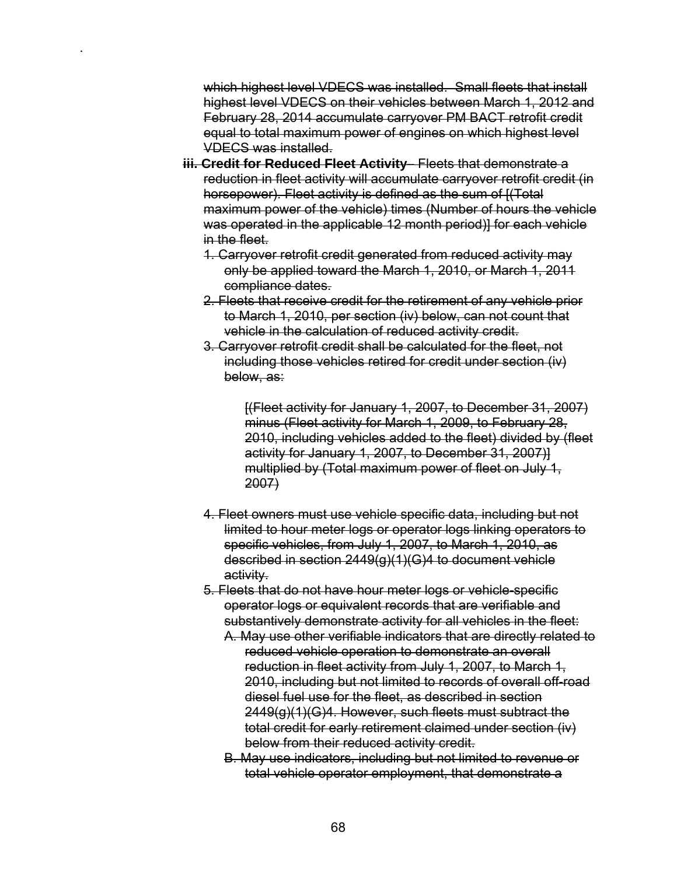which highest level VDECS was installed. Small fleets that install highest level VDECS on their vehicles between March 1, 2012 and February 28, 2014 accumulate carryover PM BACT retrofit credit equal to total maximum power of engines on which highest level VDECS was installed.

.

- **iii. Credit for Reduced Fleet Activity** Fleets that demonstrate a reduction in fleet activity will accumulate carryover retrofit credit (in horsepower). Fleet activity is defined as the sum of [(Total maximum power of the vehicle) times (Number of hours the vehicle was operated in the applicable 12 month period)] for each vehicle in the fleet.
	- 1. Carryover retrofit credit generated from reduced activity may only be applied toward the March 1, 2010, or March 1, 2011 compliance dates.
	- 2. Fleets that receive credit for the retirement of any vehicle prior to March 1, 2010, per section (iv) below, can not count that vehicle in the calculation of reduced activity credit.
	- 3. Carryover retrofit credit shall be calculated for the fleet, not including those vehicles retired for credit under section (iv) below, as:

[(Fleet activity for January 1, 2007, to December 31, 2007) minus (Fleet activity for March 1, 2009, to February 28, 2010, including vehicles added to the fleet) divided by (fleet activity for January 1, 2007, to December 31, 2007)] multiplied by (Total maximum power of fleet on July 1, 2007)

- 4. Fleet owners must use vehicle specific data, including but not limited to hour meter logs or operator logs linking operators to specific vehicles, from July 1, 2007, to March 1, 2010, as described in section 2449(g)(1)(G)4 to document vehicle activity.
- 5. Fleets that do not have hour meter logs or vehicle-specific operator logs or equivalent records that are verifiable and substantively demonstrate activity for all vehicles in the fleet:
	- A. May use other verifiable indicators that are directly related to reduced vehicle operation to demonstrate an overall reduction in fleet activity from July 1, 2007, to March 1, 2010, including but not limited to records of overall off-road diesel fuel use for the fleet, as described in section 2449(g)(1)(G)4. However, such fleets must subtract the total credit for early retirement claimed under section (iv) below from their reduced activity credit.
	- B. May use indicators, including but not limited to revenue or total vehicle operator employment, that demonstrate a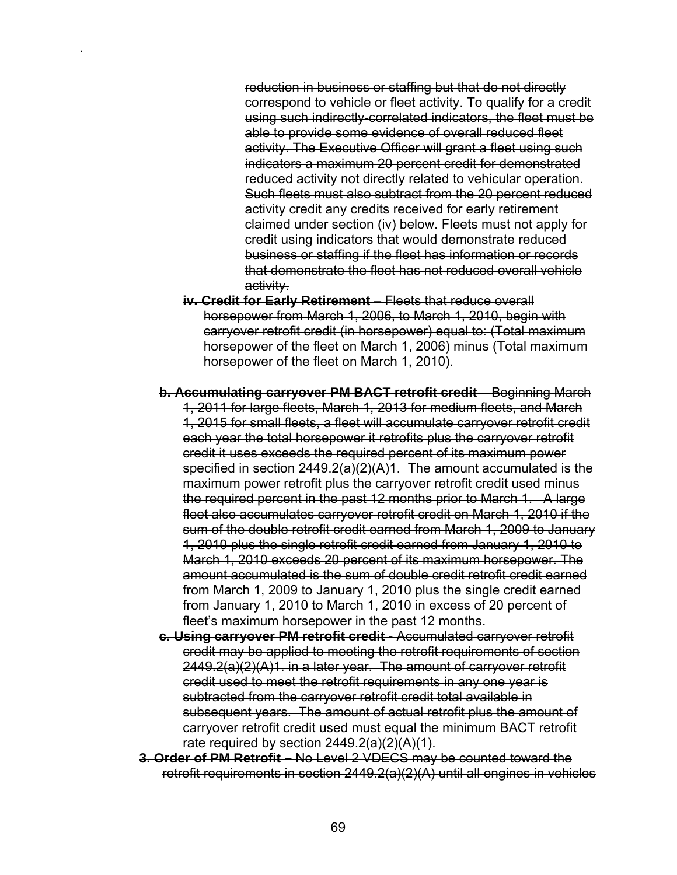reduction in business or staffing but that do not directly correspond to vehicle or fleet activity. To qualify for a credit using such indirectly-correlated indicators, the fleet must be able to provide some evidence of overall reduced fleet activity. The Executive Officer will grant a fleet using such indicators a maximum 20 percent credit for demonstrated reduced activity not directly related to vehicular operation. Such fleets must also subtract from the 20 percent reduced activity credit any credits received for early retirement claimed under section (iv) below. Fleets must not apply for credit using indicators that would demonstrate reduced business or staffing if the fleet has information or records that demonstrate the fleet has not reduced overall vehicle activity.

**iv. Credit for Early Retirement** – Fleets that reduce overall horsepower from March 1, 2006, to March 1, 2010, begin with carryover retrofit credit (in horsepower) equal to: (Total maximum horsepower of the fleet on March 1, 2006) minus (Total maximum horsepower of the fleet on March 1, 2010).

.

- **b. Accumulating carryover PM BACT retrofit credit** Beginning March 1, 2011 for large fleets, March 1, 2013 for medium fleets, and March 1, 2015 for small fleets, a fleet will accumulate carryover retrofit credit each year the total horsepower it retrofits plus the carryover retrofit credit it uses exceeds the required percent of its maximum power specified in section 2449.2(a)(2)(A)1. The amount accumulated is the maximum power retrofit plus the carryover retrofit credit used minus the required percent in the past 12 months prior to March 1. A large fleet also accumulates carryover retrofit credit on March 1, 2010 if the sum of the double retrofit credit earned from March 1, 2009 to January 1, 2010 plus the single retrofit credit earned from January 1, 2010 to March 1, 2010 exceeds 20 percent of its maximum horsepower. The amount accumulated is the sum of double credit retrofit credit earned from March 1, 2009 to January 1, 2010 plus the single credit earned from January 1, 2010 to March 1, 2010 in excess of 20 percent of fleet's maximum horsepower in the past 12 months.
- **c. Using carryover PM retrofit credit** Accumulated carryover retrofit credit may be applied to meeting the retrofit requirements of section 2449.2(a)(2)(A)1. in a later year. The amount of carryover retrofit credit used to meet the retrofit requirements in any one year is subtracted from the carryover retrofit credit total available in subsequent years. The amount of actual retrofit plus the amount of carryover retrofit credit used must equal the minimum BACT retrofit rate required by section 2449.2(a)(2)(A)(1).
- **3. Order of PM Retrofit** No Level 2 VDECS may be counted toward the retrofit requirements in section 2449.2(a)(2)(A) until all engines in vehicles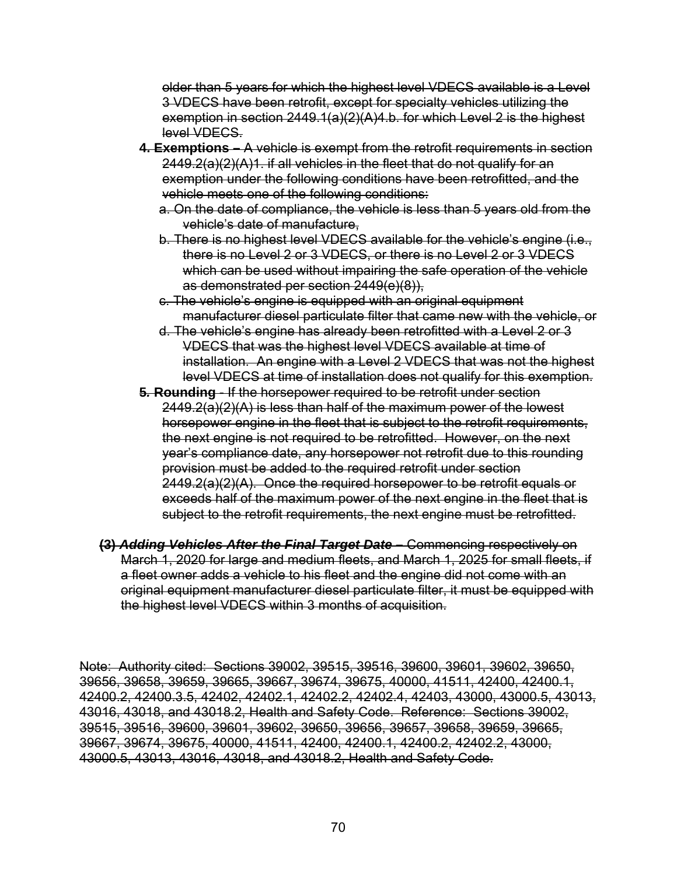older than 5 years for which the highest level VDECS available is a Level 3 VDECS have been retrofit, except for specialty vehicles utilizing the exemption in section 2449.1(a)(2)(A)4.b. for which Level 2 is the highest level VDECS.

- **4. Exemptions** A vehicle is exempt from the retrofit requirements in section 2449.2(a)(2)(A)1. if all vehicles in the fleet that do not qualify for an exemption under the following conditions have been retrofitted, and the vehicle meets one of the following conditions:
	- a. On the date of compliance, the vehicle is less than 5 years old from the vehicle's date of manufacture,
	- b. There is no highest level VDECS available for the vehicle's engine (i.e., there is no Level 2 or 3 VDECS, or there is no Level 2 or 3 VDECS which can be used without impairing the safe operation of the vehicle as demonstrated per section 2449(e)(8)),
	- c. The vehicle's engine is equipped with an original equipment manufacturer diesel particulate filter that came new with the vehicle, or
	- d. The vehicle's engine has already been retrofitted with a Level 2 or 3 VDECS that was the highest level VDECS available at time of installation. An engine with a Level 2 VDECS that was not the highest level VDECS at time of installation does not qualify for this exemption.
- **5***.* **Rounding** If the horsepower required to be retrofit under section 2449.2(a)(2)(A) is less than half of the maximum power of the lowest horsepower engine in the fleet that is subject to the retrofit requirements, the next engine is not required to be retrofitted. However, on the next year's compliance date, any horsepower not retrofit due to this rounding provision must be added to the required retrofit under section 2449.2(a)(2)(A). Once the required horsepower to be retrofit equals or exceeds half of the maximum power of the next engine in the fleet that is subject to the retrofit requirements, the next engine must be retrofitted.
- **(3)** *Adding Vehicles After the Final Target Date*Commencing respectively on March 1, 2020 for large and medium fleets, and March 1, 2025 for small fleets, if a fleet owner adds a vehicle to his fleet and the engine did not come with an original equipment manufacturer diesel particulate filter, it must be equipped with the highest level VDECS within 3 months of acquisition.

Note: Authority cited: Sections 39002, 39515, 39516, 39600, 39601, 39602, 39650, 39656, 39658, 39659, 39665, 39667, 39674, 39675, 40000, 41511, 42400, 42400.1, 42400.2, 42400.3.5, 42402, 42402.1, 42402.2, 42402.4, 42403, 43000, 43000.5, 43013, 43016, 43018, and 43018.2, Health and Safety Code. Reference: Sections 39002, 39515, 39516, 39600, 39601, 39602, 39650, 39656, 39657, 39658, 39659, 39665, 39667, 39674, 39675, 40000, 41511, 42400, 42400.1, 42400.2, 42402.2, 43000, 43000.5, 43013, 43016, 43018, and 43018.2, Health and Safety Code.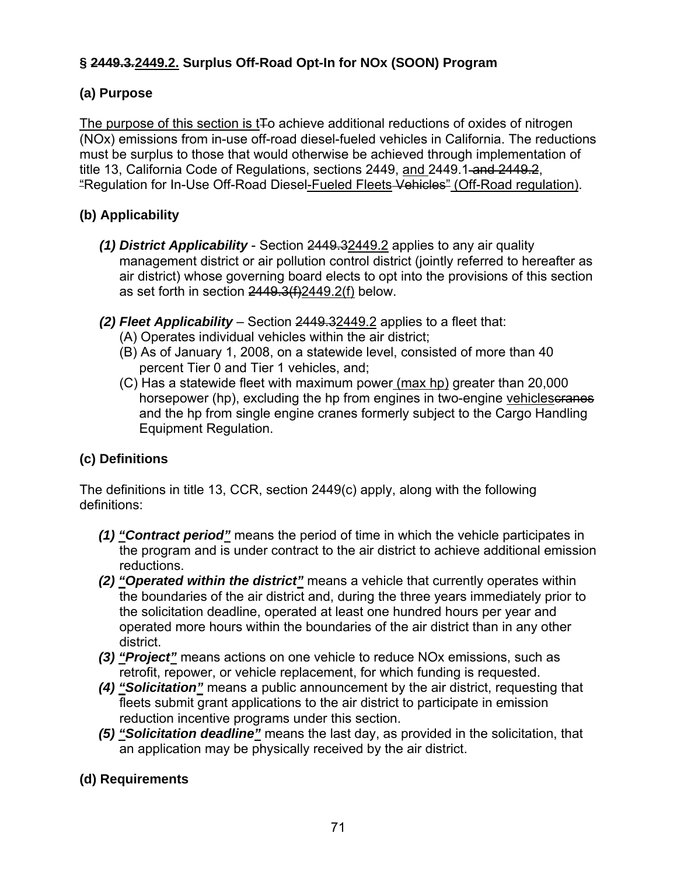# **§ 2449.3***.***2449.2. Surplus Off-Road Opt-In for NOx (SOON) Program**

### **(a) Purpose**

The purpose of this section is t<sub>To</sub> achieve additional reductions of oxides of nitrogen (NOx) emissions from in-use off-road diesel-fueled vehicles in California. The reductions must be surplus to those that would otherwise be achieved through implementation of title 13, California Code of Regulations, sections 2449, and 2449.1 and 2449.2, "Regulation for In-Use Off-Road Diesel-Fueled Fleets Vehicles" (Off-Road regulation).

# **(b) Applicability**

- *(1) District Applicability* Section 2449.32449.2 applies to any air quality management district or air pollution control district (jointly referred to hereafter as air district) whose governing board elects to opt into the provisions of this section as set forth in section  $2449.3(f)2449.2(f)$  below.
- *(2) Fleet Applicability* Section 2449.32449.2 applies to a fleet that:
	- (A) Operates individual vehicles within the air district;
	- (B) As of January 1, 2008, on a statewide level, consisted of more than 40 percent Tier 0 and Tier 1 vehicles, and;
	- (C) Has a statewide fleet with maximum power (max hp) greater than 20,000 horsepower (hp), excluding the hp from engines in two-engine vehicleseranes and the hp from single engine cranes formerly subject to the Cargo Handling Equipment Regulation.

# **(c) Definitions**

The definitions in title 13, CCR, section 2449(c) apply, along with the following definitions:

- *(1) "Contract period"* means the period of time in which the vehicle participates in the program and is under contract to the air district to achieve additional emission reductions.
- *(2) "Operated within the district"* means a vehicle that currently operates within the boundaries of the air district and, during the three years immediately prior to the solicitation deadline, operated at least one hundred hours per year and operated more hours within the boundaries of the air district than in any other district.
- *(3) "Project"* means actions on one vehicle to reduce NOx emissions, such as retrofit, repower, or vehicle replacement, for which funding is requested.
- *(4) "Solicitation"* means a public announcement by the air district, requesting that fleets submit grant applications to the air district to participate in emission reduction incentive programs under this section.
- *(5) "Solicitation deadline"* means the last day, as provided in the solicitation, that an application may be physically received by the air district.

# **(d) Requirements**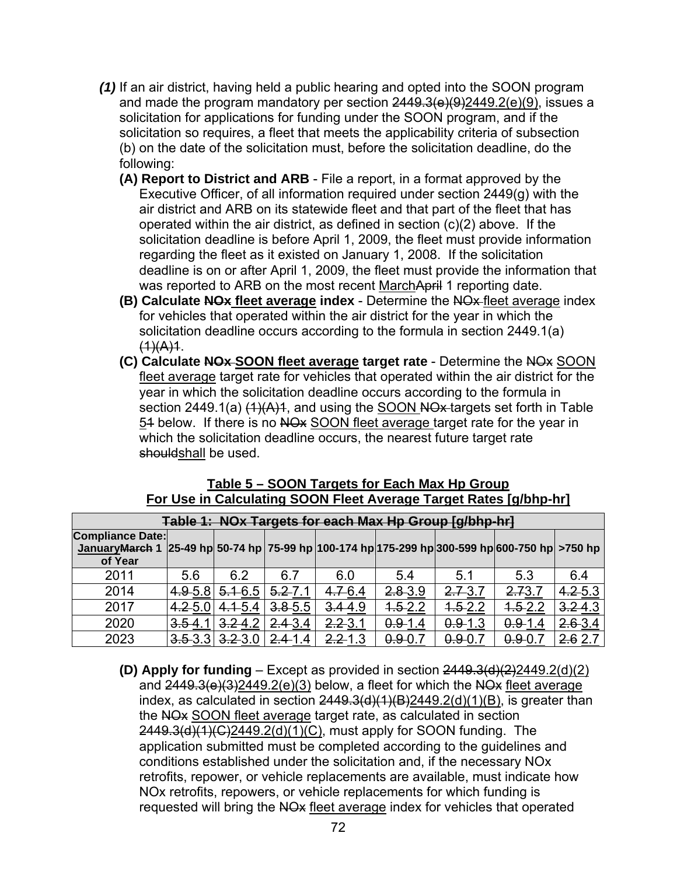- *(1)* If an air district, having held a public hearing and opted into the SOON program and made the program mandatory per section  $2449.3(e)(9)2449.2(e)(9)$ , issues a solicitation for applications for funding under the SOON program, and if the solicitation so requires, a fleet that meets the applicability criteria of subsection (b) on the date of the solicitation must, before the solicitation deadline, do the following:
	- **(A) Report to District and ARB**  File a report, in a format approved by the Executive Officer, of all information required under section 2449(g) with the air district and ARB on its statewide fleet and that part of the fleet that has operated within the air district, as defined in section (c)(2) above. If the solicitation deadline is before April 1, 2009, the fleet must provide information regarding the fleet as it existed on January 1, 2008. If the solicitation deadline is on or after April 1, 2009, the fleet must provide the information that was reported to ARB on the most recent MarchApril 1 reporting date.
	- **(B) Calculate NOx fleet average index** Determine the NOx fleet average index for vehicles that operated within the air district for the year in which the solicitation deadline occurs according to the formula in section 2449.1(a)  $(1)(A)1$ .
	- **(C) Calculate NOx SOON fleet average target rate** Determine the NOx SOON fleet average target rate for vehicles that operated within the air district for the year in which the solicitation deadline occurs according to the formula in section 2449.1(a)  $(1)(A)1$ , and using the SOON NOx-targets set forth in Table 54 below. If there is no NO<sub>x</sub> SOON fleet average target rate for the year in which the solicitation deadline occurs, the nearest future target rate shouldshall be used.

| Table 1: NOx Targets for each Max Hp Group [g/bhp-hr] |             |             |             |             |             |             |                                                                                    |             |  |  |
|-------------------------------------------------------|-------------|-------------|-------------|-------------|-------------|-------------|------------------------------------------------------------------------------------|-------------|--|--|
| <b>Compliance Date:</b><br>JanuaryMarch 1<br>of Year  |             |             |             |             |             |             | $25-49$ hp 50-74 hp 75-99 hp 100-174 hp 175-299 hp 300-599 hp 600-750 hp $>750$ hp |             |  |  |
| 2011                                                  | 5.6         | 6.2         | 6.7         | 6.0         | 5.4         | 5.1         | 5.3                                                                                | 6.4         |  |  |
| 2014                                                  | 4.9-5.      | $5.1 - 6.5$ | $5.2 - 7.1$ | $4.7 - 6.4$ | $2.8 - 3.9$ | 2.73.7      | 2.73.                                                                              | $4.2 - 5.3$ |  |  |
| 2017                                                  | $4.2 - 5.$  | $4.1 - 5.4$ | $3.8 - 5.5$ | $3.4 - 4.9$ | $4.5 - 2.2$ | $4.5 - 2.2$ | $4.5 - 2.2$                                                                        | $3.2 - 4.3$ |  |  |
| 2020                                                  | 3.54.       | 3.24.2      | $2.4 - 3.4$ | $2.2 - 3.1$ | $0.9 - 1.4$ | $0.9 - 1.3$ | $0.9 - 1.4$                                                                        | $2.6 - 3.4$ |  |  |
| 2023                                                  | $3.5 - 3.3$ | $3.2 - 3.0$ | $2,4$ 1.4   | $2.2 - 1.3$ | 0.9.0.      | 0.9.0.      | $0.9 - 0.$                                                                         | 2.62        |  |  |

### **Table 5 – SOON Targets for Each Max Hp Group For Use in Calculating SOON Fleet Average Target Rates [g/bhp-hr]**

**(D)** Apply for funding – Except as provided in section  $2449.3(d)(2)2449.2(d)(2)$ and  $2449.3(e)(3)2449.2(e)(3)$  below, a fleet for which the NO<sub>x</sub> fleet average index, as calculated in section  $2449.3(d)(1)(B)2449.2(d)(1)(B)$ , is greater than the NO<sub>x</sub> SOON fleet average target rate, as calculated in section 2449.3(d)(1)(C)2449.2(d)(1)(C), must apply for SOON funding. The application submitted must be completed according to the guidelines and conditions established under the solicitation and, if the necessary NOx retrofits, repower, or vehicle replacements are available, must indicate how NOx retrofits, repowers, or vehicle replacements for which funding is requested will bring the NO<sub>x</sub> fleet average index for vehicles that operated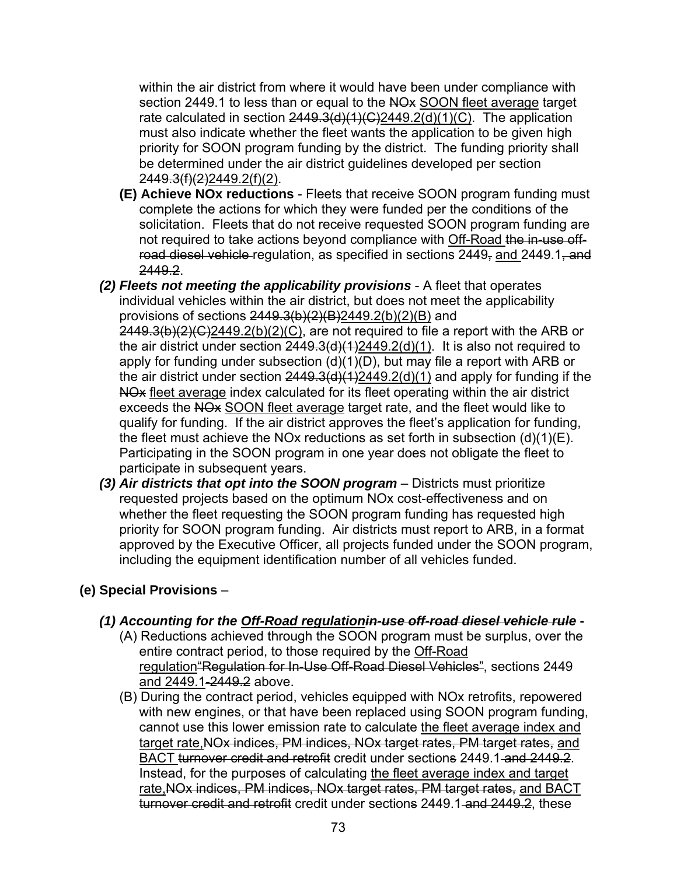within the air district from where it would have been under compliance with section 2449.1 to less than or equal to the NO<sub>x</sub> SOON fleet average target rate calculated in section  $2449.3(d)(1)(C)2449.2(d)(1)(C)$ . The application must also indicate whether the fleet wants the application to be given high priority for SOON program funding by the district. The funding priority shall be determined under the air district guidelines developed per section 2449.3(f)(2)2449.2(f)(2).

- **(E) Achieve NOx reductions**  Fleets that receive SOON program funding must complete the actions for which they were funded per the conditions of the solicitation. Fleets that do not receive requested SOON program funding are not required to take actions beyond compliance with Off-Road the in-use offroad diesel vehicle regulation, as specified in sections 2449, and 2449.1, and 2449.2.
- *(2) Fleets not meeting the applicability provisions* A fleet that operates individual vehicles within the air district, but does not meet the applicability provisions of sections  $2449.3(b)(2)(B)2449.2(b)(2)(B)$  and  $2449.3(b)(2)(C)2449.2(b)(2)(C)$ , are not required to file a report with the ARB or the air district under section  $2449.3(d)(1)2449.2(d)(1)$ . It is also not required to apply for funding under subsection  $(d)(1)(D)$ , but may file a report with ARB or the air district under section  $2449.3(d)(1)2449.2(d)(1)$  and apply for funding if the NO<sub>x</sub> fleet average index calculated for its fleet operating within the air district exceeds the NO<sub>x</sub> SOON fleet average target rate, and the fleet would like to qualify for funding. If the air district approves the fleet's application for funding, the fleet must achieve the NOx reductions as set forth in subsection (d)(1)(E). Participating in the SOON program in one year does not obligate the fleet to participate in subsequent years.
- *(3) Air districts that opt into the SOON program* Districts must prioritize requested projects based on the optimum NOx cost-effectiveness and on whether the fleet requesting the SOON program funding has requested high priority for SOON program funding. Air districts must report to ARB, in a format approved by the Executive Officer, all projects funded under the SOON program, including the equipment identification number of all vehicles funded.

## **(e) Special Provisions** –

- *(1) Accounting for the Off-Road regulationin-use off-road diesel vehicle rule*
	- (A) Reductions achieved through the SOON program must be surplus, over the entire contract period, to those required by the Off-Road regulation Regulation for In-Use Off-Road Diesel Vehicles", sections 2449 and 2449.1-2449.2 above.
	- (B) During the contract period, vehicles equipped with NOx retrofits, repowered with new engines, or that have been replaced using SOON program funding, cannot use this lower emission rate to calculate the fleet average index and target rate, NO<sub>x</sub> indices, PM indices, NO<sub>x</sub> target rates, PM target rates, and BACT turnover credit and retrofit credit under sections 2449.1 and 2449.2. Instead, for the purposes of calculating the fleet average index and target rate,NOx indices, PM indices, NOx target rates, PM target rates, and BACT turnover credit and retrofit credit under sections 2449.1 and 2449.2, these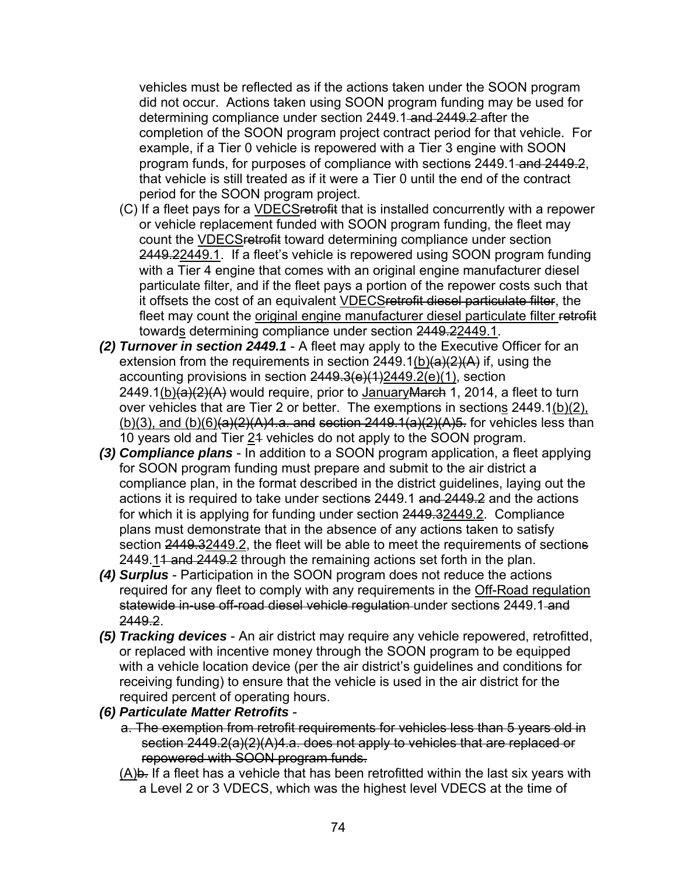vehicles must be reflected as if the actions taken under the SOON program did not occur. Actions taken using SOON program funding may be used for determining compliance under section 2449.1 and 2449.2 after the completion of the SOON program project contract period for that vehicle. For example, if a Tier 0 vehicle is repowered with a Tier 3 engine with SOON program funds, for purposes of compliance with sections 2449.1 and 2449.2, that vehicle is still treated as if it were a Tier 0 until the end of the contract period for the SOON program project.

- (C) If a fleet pays for a VDECSretrofit that is installed concurrently with a repower or vehicle replacement funded with SOON program funding, the fleet may count the VDECSretrofit toward determining compliance under section 2449.22449.1. If a fleet's vehicle is repowered using SOON program funding with a Tier 4 engine that comes with an original engine manufacturer diesel particulate filter, and if the fleet pays a portion of the repower costs such that it offsets the cost of an equivalent VDECSretrofit diesel particulate filter, the fleet may count the original engine manufacturer diesel particulate filter retrofit towards determining compliance under section 2449.22449.1.
- *(2) Turnover in section 2449.1* A fleet may apply to the Executive Officer for an extension from the requirements in section  $2449.1(\underline{b})(a)(2)(A)$  if, using the accounting provisions in section  $2449.3(e)(1)2449.2(e)(1)$ , section 2449.1(b)(a)(2)(A) would require, prior to JanuaryMarch 1, 2014, a fleet to turn over vehicles that are Tier 2 or better. The exemptions in sections 2449.1(b)(2),  $(b)(3)$ , and  $(b)(6)(a)(2)(A)4.a.$  and section  $2449.1(a)(2)(A)5.$  for vehicles less than 10 years old and Tier 21 vehicles do not apply to the SOON program.
- *(3) Compliance plans* In addition to a SOON program application, a fleet applying for SOON program funding must prepare and submit to the air district a compliance plan, in the format described in the district guidelines, laying out the actions it is required to take under sections 2449.1 and 2449.2 and the actions for which it is applying for funding under section 2449.32449.2. Compliance plans must demonstrate that in the absence of any actions taken to satisfy section 2449.32449.2, the fleet will be able to meet the requirements of sections 2449.11 and 2449.2 through the remaining actions set forth in the plan.
- *(4) Surplus* Participation in the SOON program does not reduce the actions required for any fleet to comply with any requirements in the Off-Road regulation statewide in-use off-road diesel vehicle regulation-under sections 2449.1-and 2449.2.
- *(5) Tracking devices* An air district may require any vehicle repowered, retrofitted, or replaced with incentive money through the SOON program to be equipped with a vehicle location device (per the air district's guidelines and conditions for receiving funding) to ensure that the vehicle is used in the air district for the required percent of operating hours.
- *(6) Particulate Matter Retrofits*
	- a. The exemption from retrofit requirements for vehicles less than 5 years old in section 2449.2(a)(2)(A)4.a. does not apply to vehicles that are replaced or repowered with SOON program funds.
	- $(A)$ b. If a fleet has a vehicle that has been retrofitted within the last six years with a Level 2 or 3 VDECS, which was the highest level VDECS at the time of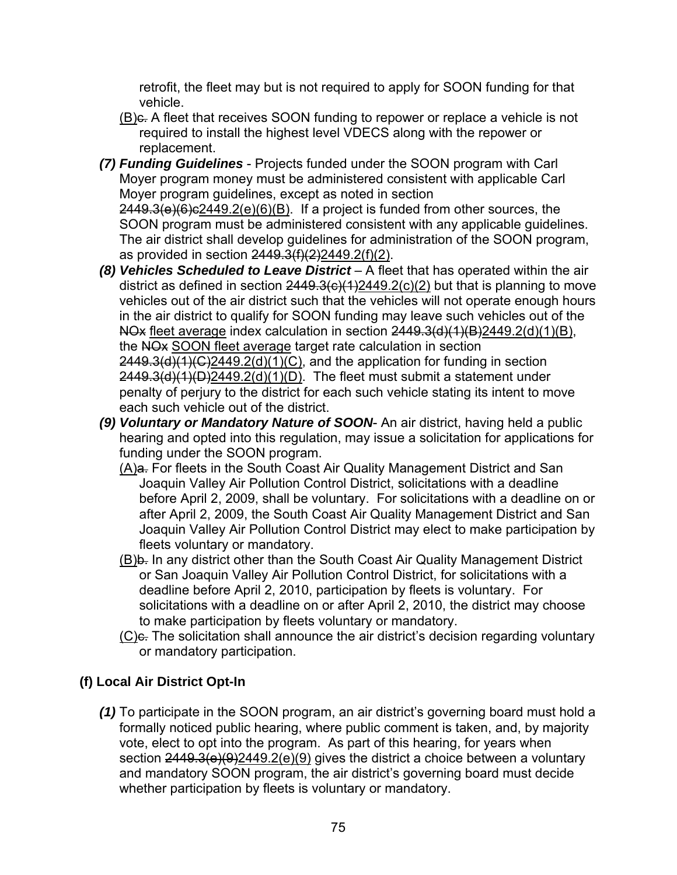retrofit, the fleet may but is not required to apply for SOON funding for that vehicle.

- (B)c. A fleet that receives SOON funding to repower or replace a vehicle is not required to install the highest level VDECS along with the repower or replacement.
- *(7) Funding Guidelines* Projects funded under the SOON program with Carl Moyer program money must be administered consistent with applicable Carl Moyer program guidelines, except as noted in section  $2449.3(e)(6)e^{2449.2(e)(6)(B)}$ . If a project is funded from other sources, the SOON program must be administered consistent with any applicable guidelines.

The air district shall develop guidelines for administration of the SOON program, as provided in section 2449.3(f)(2)2449.2(f)(2).

- *(8) Vehicles Scheduled to Leave District* A fleet that has operated within the air district as defined in section  $2449.3(c)(1)2449.2(c)(2)$  but that is planning to move vehicles out of the air district such that the vehicles will not operate enough hours in the air district to qualify for SOON funding may leave such vehicles out of the NOx fleet average index calculation in section  $2449.3(d)(1)(B)2449.2(d)(1)(B)$ , the NOx SOON fleet average target rate calculation in section  $2449.3(d)(1)(C)2449.2(d)(1)(C)$ , and the application for funding in section  $2449.3(d)(1)(D)2449.2(d)(1)(D)$ . The fleet must submit a statement under penalty of perjury to the district for each such vehicle stating its intent to move each such vehicle out of the district.
- *(9) Voluntary or Mandatory Nature of SOON* An air district, having held a public hearing and opted into this regulation, may issue a solicitation for applications for funding under the SOON program.
	- (A)a. For fleets in the South Coast Air Quality Management District and San Joaquin Valley Air Pollution Control District, solicitations with a deadline before April 2, 2009, shall be voluntary. For solicitations with a deadline on or after April 2, 2009, the South Coast Air Quality Management District and San Joaquin Valley Air Pollution Control District may elect to make participation by fleets voluntary or mandatory.
	- (B)b. In any district other than the South Coast Air Quality Management District or San Joaquin Valley Air Pollution Control District, for solicitations with a deadline before April 2, 2010, participation by fleets is voluntary. For solicitations with a deadline on or after April 2, 2010, the district may choose to make participation by fleets voluntary or mandatory.
	- (C)<sub>e</sub>. The solicitation shall announce the air district's decision regarding voluntary or mandatory participation.

## **(f) Local Air District Opt-In**

*(1)* To participate in the SOON program, an air district's governing board must hold a formally noticed public hearing, where public comment is taken, and, by majority vote, elect to opt into the program. As part of this hearing, for years when section  $2449.3(e)(9)2449.2(e)(9)$  gives the district a choice between a voluntary and mandatory SOON program, the air district's governing board must decide whether participation by fleets is voluntary or mandatory.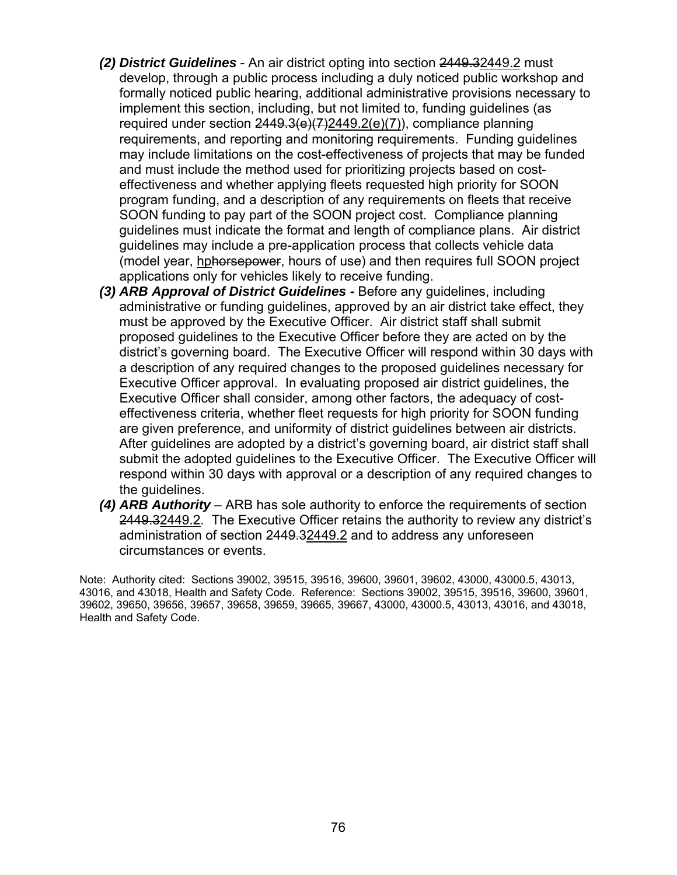- *(2) District Guidelines* An air district opting into section 2449.32449.2 must develop, through a public process including a duly noticed public workshop and formally noticed public hearing, additional administrative provisions necessary to implement this section, including, but not limited to, funding guidelines (as required under section  $2449.3(e)(7)2449.2(e)(7)$ , compliance planning requirements, and reporting and monitoring requirements. Funding guidelines may include limitations on the cost-effectiveness of projects that may be funded and must include the method used for prioritizing projects based on costeffectiveness and whether applying fleets requested high priority for SOON program funding, and a description of any requirements on fleets that receive SOON funding to pay part of the SOON project cost. Compliance planning guidelines must indicate the format and length of compliance plans. Air district guidelines may include a pre-application process that collects vehicle data (model year, hphorsepower, hours of use) and then requires full SOON project applications only for vehicles likely to receive funding.
- *(3) ARB Approval of District Guidelines* **-** Before any guidelines, including administrative or funding guidelines, approved by an air district take effect, they must be approved by the Executive Officer. Air district staff shall submit proposed guidelines to the Executive Officer before they are acted on by the district's governing board. The Executive Officer will respond within 30 days with a description of any required changes to the proposed guidelines necessary for Executive Officer approval. In evaluating proposed air district guidelines, the Executive Officer shall consider, among other factors, the adequacy of costeffectiveness criteria, whether fleet requests for high priority for SOON funding are given preference, and uniformity of district guidelines between air districts. After guidelines are adopted by a district's governing board, air district staff shall submit the adopted guidelines to the Executive Officer. The Executive Officer will respond within 30 days with approval or a description of any required changes to the guidelines.
- *(4) ARB Authority* ARB has sole authority to enforce the requirements of section 2449.32449.2. The Executive Officer retains the authority to review any district's administration of section 2449.32449.2 and to address any unforeseen circumstances or events.

Note: Authority cited: Sections 39002, 39515, 39516, 39600, 39601, 39602, 43000, 43000.5, 43013, 43016, and 43018, Health and Safety Code. Reference: Sections 39002, 39515, 39516, 39600, 39601, 39602, 39650, 39656, 39657, 39658, 39659, 39665, 39667, 43000, 43000.5, 43013, 43016, and 43018, Health and Safety Code.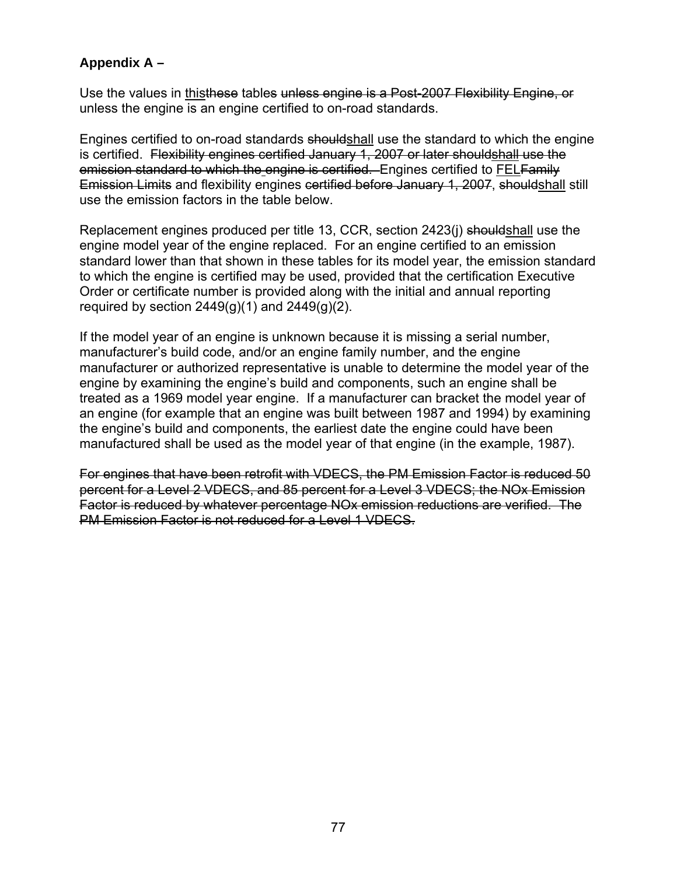## **Appendix A –**

Use the values in thisthese tables unless engine is a Post-2007 Flexibility Engine, or unless the engine is an engine certified to on-road standards.

Engines certified to on-road standards shouldshall use the standard to which the engine is certified. Flexibility engines certified January 1, 2007 or later shouldshall use the emission standard to which the engine is certified. Engines certified to FELFamily Emission Limits and flexibility engines certified before January 1, 2007, shouldshall still use the emission factors in the table below.

Replacement engines produced per title 13, CCR, section 2423(j) shouldshall use the engine model year of the engine replaced. For an engine certified to an emission standard lower than that shown in these tables for its model year, the emission standard to which the engine is certified may be used, provided that the certification Executive Order or certificate number is provided along with the initial and annual reporting required by section  $2449(q)(1)$  and  $2449(q)(2)$ .

If the model year of an engine is unknown because it is missing a serial number, manufacturer's build code, and/or an engine family number, and the engine manufacturer or authorized representative is unable to determine the model year of the engine by examining the engine's build and components, such an engine shall be treated as a 1969 model year engine. If a manufacturer can bracket the model year of an engine (for example that an engine was built between 1987 and 1994) by examining the engine's build and components, the earliest date the engine could have been manufactured shall be used as the model year of that engine (in the example, 1987).

For engines that have been retrofit with VDECS, the PM Emission Factor is reduced 50 percent for a Level 2 VDECS, and 85 percent for a Level 3 VDECS; the NOx Emission Factor is reduced by whatever percentage NOx emission reductions are verified. The PM Emission Factor is not reduced for a Level 1 VDECS.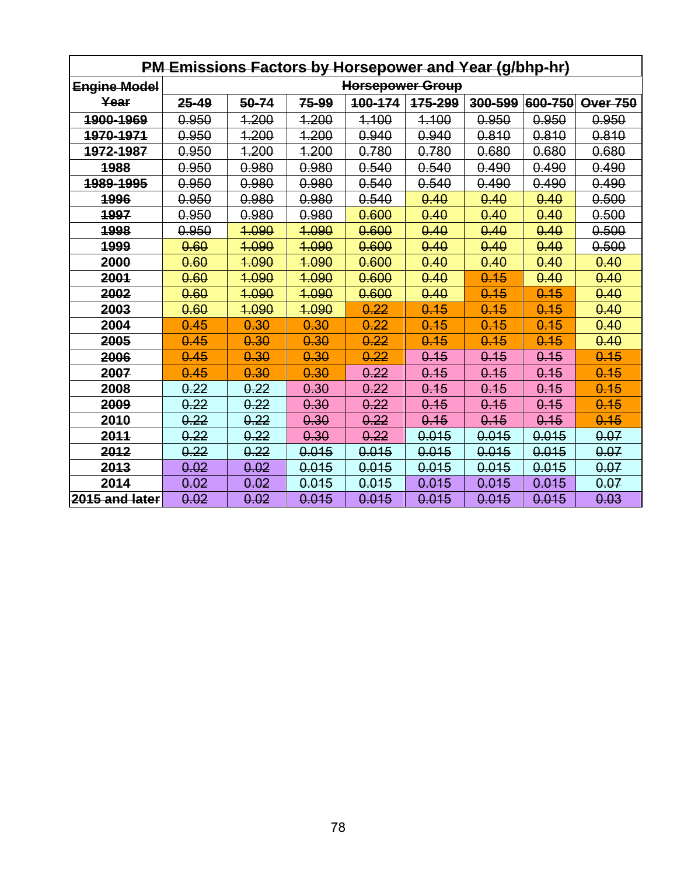| PM Emissions Factors by Horsepower and Year (g/bhp-hr) |                         |       |              |         |         |         |               |                 |  |  |
|--------------------------------------------------------|-------------------------|-------|--------------|---------|---------|---------|---------------|-----------------|--|--|
| <b>Engine Model</b>                                    | <b>Horsepower Group</b> |       |              |         |         |         |               |                 |  |  |
| Year                                                   | $25 - 49$               | 50-74 | 75-99        | 100-174 | 175-299 | 300-599 | $ 600 - 750 $ | <b>Over 750</b> |  |  |
| 1900-1969                                              | 0.950                   | 1.200 | 1.200        | 4.100   | 4.100   | 0.950   | 0.950         | 0.950           |  |  |
| <u>1970-1971</u>                                       | 0.950                   | 1.200 | <u>1.200</u> | 0.940   | 0.940   | 0.810   | 0.810         | 0.810           |  |  |
| 1972-1987                                              | 0.950                   | 1.200 | 1.200        | 0.780   | 0.780   | 0.680   | 0.680         | 0.680           |  |  |
| 1988                                                   | 0.950                   | 0.980 | 0.980        | 0.540   | 0.540   | 0.490   | 0.490         | 0.490           |  |  |
| 1989-1995                                              | 0.950                   | 0.980 | 0.980        | 0.540   | 0.540   | 0.490   | 0.490         | 0.490           |  |  |
| 1996                                                   | 0.950                   | 0.980 | 0.980        | 0.540   | 0.40    | 0.40    | 0.40          | 0.500           |  |  |
| <u> 1997 </u>                                          | 0.950                   | 0.980 | 0.980        | 0.600   | 0.40    | 0.40    | 0.40          | 0.500           |  |  |
| 1998                                                   | 0.950                   | 1.090 | 4.090        | 0.600   | 0.40    | 0.40    | 0.40          | 0.500           |  |  |
| 1999                                                   | 0.60                    | 4.090 | 4.090        | 0.600   | 0.40    | 0.40    | 0.40          | 0.500           |  |  |
| 2000                                                   | 0.60                    | 1.090 | 4.090        | 0.600   | 0.40    | 0.40    | 0.40          | 0.40            |  |  |
| 2001                                                   | 0.60                    | 1.090 | 1.090        | 0.600   | 0.40    | 0.15    | 0.40          | 0.40            |  |  |
| 2002                                                   | 0.60                    | 1.090 | 1.090        | 0.600   | 0.40    | 0.15    | 0.15          | 0.40            |  |  |
| 2003                                                   | 0.60                    | 4.090 | 4.090        | 0.22    | 0.15    | 0.15    | 0.15          | 0.40            |  |  |
| 2004                                                   | 0.45                    | 0.30  | 0.30         | 0.22    | 0.15    | 0.15    | 0.15          | 0.40            |  |  |
| 2005                                                   | 0.45                    | 0.30  | 0.30         | 0.22    | 0.15    | 0.15    | 0.15          | 0.40            |  |  |
| 2006                                                   | 0.45                    | 0.30  | 0.30         | 0.22    | 0.15    | 0.15    | 0.15          | 0.15            |  |  |
| 2007                                                   | 0.45                    | 0.30  | 0.30         | 0.22    | 0.15    | 0.15    | 0.15          | 0.15            |  |  |
| 2008                                                   | 0.22                    | 0.22  | 0.30         | 0.22    | 0.15    | 0.15    | 0.15          | 0.15            |  |  |
| 2009                                                   | 0.22                    | 0.22  | 0.30         | 0.22    | 0.15    | 0.15    | 0.15          | 0.15            |  |  |
| 2010                                                   | 0.22                    | 0.22  | 0.30         | 0.22    | 0.15    | 0.15    | 0.15          | 0.15            |  |  |
| 2011                                                   | 0.22                    | 0.22  | 0.30         | 0.22    | 0.015   | 0.015   | 0.015         | 0.07            |  |  |
| 2012                                                   | 0.22                    | 0.22  | 0.015        | 0.015   | 0.015   | 0.015   | 0.015         | 0.07            |  |  |
| 2013                                                   | 0.02                    | 0.02  | 0.015        | 0.015   | 0.015   | 0.015   | 0.015         | 0.07            |  |  |
| 2014                                                   | 0.02                    | 0.02  | 0.015        | 0.015   | 0.015   | 0.015   | 0.015         | 0.07            |  |  |
| 2015 and later                                         | 0.02                    | 0.02  | 0.015        | 0.015   | 0.015   | 0.015   | 0.015         | 0.03            |  |  |